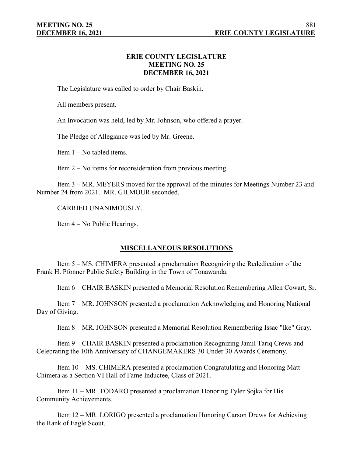## **ERIE COUNTY LEGISLATURE MEETING NO. 25 DECEMBER 16, 2021**

The Legislature was called to order by Chair Baskin.

All members present.

An Invocation was held, led by Mr. Johnson, who offered a prayer.

The Pledge of Allegiance was led by Mr. Greene.

Item 1 – No tabled items.

Item 2 – No items for reconsideration from previous meeting.

Item 3 – MR. MEYERS moved for the approval of the minutes for Meetings Number 23 and Number 24 from 2021. MR. GILMOUR seconded.

CARRIED UNANIMOUSLY.

Item 4 – No Public Hearings.

# **MISCELLANEOUS RESOLUTIONS**

Item 5 – MS. CHIMERA presented a proclamation Recognizing the Rededication of the Frank H. Pfonner Public Safety Building in the Town of Tonawanda.

Item 6 – CHAIR BASKIN presented a Memorial Resolution Remembering Allen Cowart, Sr.

Item 7 – MR. JOHNSON presented a proclamation Acknowledging and Honoring National Day of Giving.

Item 8 – MR. JOHNSON presented a Memorial Resolution Remembering Issac "Ike" Gray.

Item 9 – CHAIR BASKIN presented a proclamation Recognizing Jamil Tariq Crews and Celebrating the 10th Anniversary of CHANGEMAKERS 30 Under 30 Awards Ceremony.

Item 10 – MS. CHIMERA presented a proclamation Congratulating and Honoring Matt Chimera as a Section VI Hall of Fame Inductee, Class of 2021.

Item 11 – MR. TODARO presented a proclamation Honoring Tyler Sojka for His Community Achievements.

Item 12 – MR. LORIGO presented a proclamation Honoring Carson Drews for Achieving the Rank of Eagle Scout.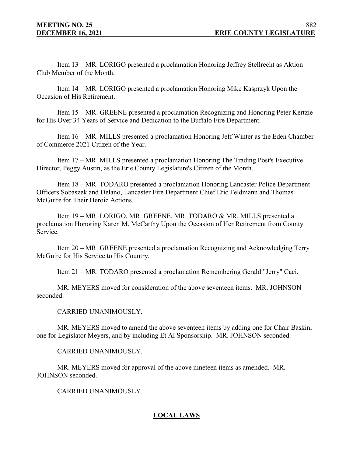Item 13 – MR. LORIGO presented a proclamation Honoring Jeffrey Stellrecht as Aktion Club Member of the Month.

Item 14 – MR. LORIGO presented a proclamation Honoring Mike Kasprzyk Upon the Occasion of His Retirement.

Item 15 – MR. GREENE presented a proclamation Recognizing and Honoring Peter Kertzie for His Over 34 Years of Service and Dedication to the Buffalo Fire Department.

Item 16 – MR. MILLS presented a proclamation Honoring Jeff Winter as the Eden Chamber of Commerce 2021 Citizen of the Year.

Item 17 – MR. MILLS presented a proclamation Honoring The Trading Post's Executive Director, Peggy Austin, as the Erie County Legislature's Citizen of the Month.

Item 18 – MR. TODARO presented a proclamation Honoring Lancaster Police Department Officers Sobaszek and Delano, Lancaster Fire Department Chief Eric Feldmann and Thomas McGuire for Their Heroic Actions.

Item 19 – MR. LORIGO, MR. GREENE, MR. TODARO & MR. MILLS presented a proclamation Honoring Karen M. McCarthy Upon the Occasion of Her Retirement from County Service.

Item 20 – MR. GREENE presented a proclamation Recognizing and Acknowledging Terry McGuire for His Service to His Country.

Item 21 – MR. TODARO presented a proclamation Remembering Gerald "Jerry" Caci.

MR. MEYERS moved for consideration of the above seventeen items. MR. JOHNSON seconded.

CARRIED UNANIMOUSLY.

MR. MEYERS moved to amend the above seventeen items by adding one for Chair Baskin, one for Legislator Meyers, and by including Et Al Sponsorship. MR. JOHNSON seconded.

CARRIED UNANIMOUSLY.

MR. MEYERS moved for approval of the above nineteen items as amended. MR. JOHNSON seconded.

CARRIED UNANIMOUSLY.

# **LOCAL LAWS**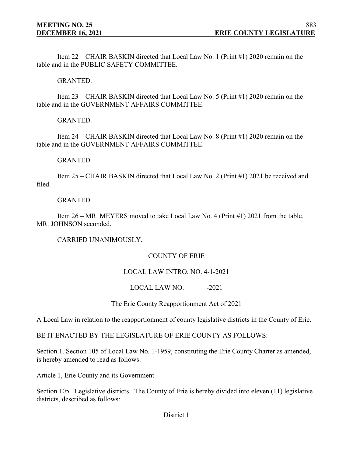Item 22 – CHAIR BASKIN directed that Local Law No. 1 (Print #1) 2020 remain on the table and in the PUBLIC SAFETY COMMITTEE.

GRANTED.

Item 23 – CHAIR BASKIN directed that Local Law No. 5 (Print #1) 2020 remain on the table and in the GOVERNMENT AFFAIRS COMMITTEE.

GRANTED.

Item 24 – CHAIR BASKIN directed that Local Law No. 8 (Print #1) 2020 remain on the table and in the GOVERNMENT AFFAIRS COMMITTEE.

GRANTED.

Item 25 – CHAIR BASKIN directed that Local Law No. 2 (Print #1) 2021 be received and filed.

GRANTED.

Item 26 – MR. MEYERS moved to take Local Law No. 4 (Print #1) 2021 from the table. MR. JOHNSON seconded.

CARRIED UNANIMOUSLY.

# COUNTY OF ERIE

## LOCAL LAW INTRO. NO. 4-1-2021

LOCAL LAW NO.  $-2021$ 

The Erie County Reapportionment Act of 2021

A Local Law in relation to the reapportionment of county legislative districts in the County of Erie.

BE IT ENACTED BY THE LEGISLATURE OF ERIE COUNTY AS FOLLOWS:

Section 1. Section 105 of Local Law No. 1-1959, constituting the Erie County Charter as amended, is hereby amended to read as follows:

Article 1, Erie County and its Government

Section 105. Legislative districts. The County of Erie is hereby divided into eleven (11) legislative districts, described as follows: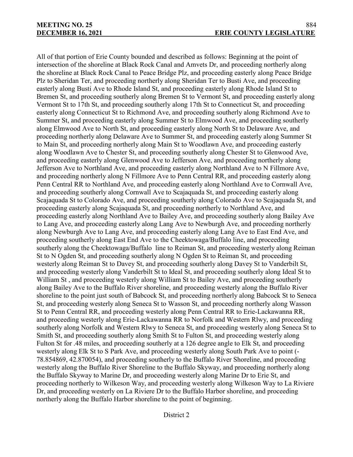All of that portion of Erie County bounded and described as follows: Beginning at the point of intersection of the shoreline at Black Rock Canal and Amvets Dr, and proceeding northerly along the shoreline at Black Rock Canal to Peace Bridge Plz, and proceeding easterly along Peace Bridge Plz to Sheridan Ter, and proceeding northerly along Sheridan Ter to Busti Ave, and proceeding easterly along Busti Ave to Rhode Island St, and proceeding easterly along Rhode Island St to Bremen St, and proceeding southerly along Bremen St to Vermont St, and proceeding easterly along Vermont St to 17th St, and proceeding southerly along 17th St to Connecticut St, and proceeding easterly along Connecticut St to Richmond Ave, and proceeding southerly along Richmond Ave to Summer St, and proceeding easterly along Summer St to Elmwood Ave, and proceeding southerly along Elmwood Ave to North St, and proceeding easterly along North St to Delaware Ave, and proceeding northerly along Delaware Ave to Summer St, and proceeding easterly along Summer St to Main St, and proceeding northerly along Main St to Woodlawn Ave, and proceeding easterly along Woodlawn Ave to Chester St, and proceeding southerly along Chester St to Glenwood Ave, and proceeding easterly along Glenwood Ave to Jefferson Ave, and proceeding northerly along Jefferson Ave to Northland Ave, and proceeding easterly along Northland Ave to N Fillmore Ave, and proceeding northerly along N Fillmore Ave to Penn Central RR, and proceeding easterly along Penn Central RR to Northland Ave, and proceeding easterly along Northland Ave to Cornwall Ave, and proceeding southerly along Cornwall Ave to Scajaquada St, and proceeding easterly along Scajaquada St to Colorado Ave, and proceeding southerly along Colorado Ave to Scajaquada St, and proceeding easterly along Scajaquada St, and proceeding northerly to Northland Ave, and proceeding easterly along Northland Ave to Bailey Ave, and proceeding southerly along Bailey Ave to Lang Ave, and proceeding easterly along Lang Ave to Newburgh Ave, and proceeding northerly along Newburgh Ave to Lang Ave, and proceeding easterly along Lang Ave to East End Ave, and proceeding southerly along East End Ave to the Cheektowaga/Buffalo line, and proceeding southerly along the Cheektowaga/Buffalo line to Reiman St, and proceeding westerly along Reiman St to N Ogden St, and proceeding southerly along N Ogden St to Reiman St, and proceeding westerly along Reiman St to Davey St, and proceeding southerly along Davey St to Vanderbilt St, and proceeding westerly along Vanderbilt St to Ideal St, and proceeding southerly along Ideal St to William St, and proceeding westerly along William St to Bailey Ave, and proceeding southerly along Bailey Ave to the Buffalo River shoreline, and proceeding westerly along the Buffalo River shoreline to the point just south of Babcock St, and proceeding northerly along Babcock St to Seneca St, and proceeding westerly along Seneca St to Wasson St, and proceeding northerly along Wasson St to Penn Central RR, and proceeding westerly along Penn Central RR to Erie-Lackawanna RR, and proceeding westerly along Erie-Lackawanna RR to Norfolk and Western Rlwy, and proceeding southerly along Norfolk and Western Rlwy to Seneca St, and proceeding westerly along Seneca St to Smith St, and proceeding southerly along Smith St to Fulton St, and proceeding westerly along Fulton St for .48 miles, and proceeding southerly at a 126 degree angle to Elk St, and proceeding westerly along Elk St to S Park Ave, and proceeding westerly along South Park Ave to point (- 78.854869, 42.870054), and proceeding southerly to the Buffalo River Shoreline, and proceeding westerly along the Buffalo River Shoreline to the Buffalo Skyway, and proceeding northerly along the Buffalo Skyway to Marine Dr, and proceeding westerly along Marine Dr to Erie St, and proceeding northerly to Wilkeson Way, and proceeding westerly along Wilkeson Way to La Riviere Dr, and proceeding westerly on La Riviere Dr to the Buffalo Harbor shoreline, and proceeding northerly along the Buffalo Harbor shoreline to the point of beginning.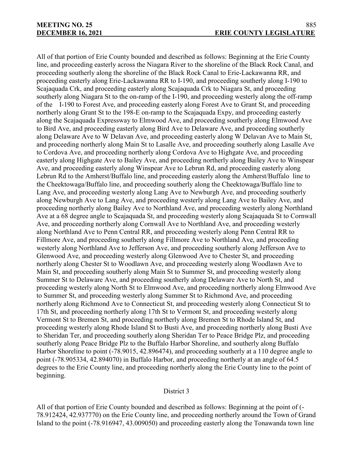All of that portion of Erie County bounded and described as follows: Beginning at the Erie County line, and proceeding easterly across the Niagara River to the shoreline of the Black Rock Canal, and proceeding southerly along the shoreline of the Black Rock Canal to Erie-Lackawanna RR, and proceeding easterly along Erie-Lackawanna RR to I-190, and proceeding southerly along I-190 to Scajaquada Crk, and proceeding easterly along Scajaquada Crk to Niagara St, and proceeding southerly along Niagara St to the on-ramp of the I-190, and proceeding westerly along the off-ramp of the I-190 to Forest Ave, and proceeding easterly along Forest Ave to Grant St, and proceeding northerly along Grant St to the 198-E on-ramp to the Scajaquada Expy, and proceeding easterly along the Scajaquada Expressway to Elmwood Ave, and proceeding southerly along Elmwood Ave to Bird Ave, and proceeding easterly along Bird Ave to Delaware Ave, and proceeding southerly along Delaware Ave to W Delavan Ave, and proceeding easterly along W Delavan Ave to Main St, and proceeding northerly along Main St to Lasalle Ave, and proceeding southerly along Lasalle Ave to Cordova Ave, and proceeding northerly along Cordova Ave to Highgate Ave, and proceeding easterly along Highgate Ave to Bailey Ave, and proceeding northerly along Bailey Ave to Winspear Ave, and proceeding easterly along Winspear Ave to Lebrun Rd, and proceeding easterly along Lebrun Rd to the Amherst/Buffalo line, and proceeding easterly along the Amherst/Buffalo line to the Cheektowaga/Buffalo line, and proceeding southerly along the Cheektowaga/Buffalo line to Lang Ave, and proceeding westerly along Lang Ave to Newburgh Ave, and proceeding southerly along Newburgh Ave to Lang Ave, and proceeding westerly along Lang Ave to Bailey Ave, and proceeding northerly along Bailey Ave to Northland Ave, and proceeding westerly along Northland Ave at a 68 degree angle to Scajaquada St, and proceeding westerly along Scajaquada St to Cornwall Ave, and proceeding northerly along Cornwall Ave to Northland Ave, and proceeding westerly along Northland Ave to Penn Central RR, and proceeding westerly along Penn Central RR to Fillmore Ave, and proceeding southerly along Fillmore Ave to Northland Ave, and proceeding westerly along Northland Ave to Jefferson Ave, and proceeding southerly along Jefferson Ave to Glenwood Ave, and proceeding westerly along Glenwood Ave to Chester St, and proceeding northerly along Chester St to Woodlawn Ave, and proceeding westerly along Woodlawn Ave to Main St, and proceeding southerly along Main St to Summer St, and proceeding westerly along Summer St to Delaware Ave, and proceeding southerly along Delaware Ave to North St, and proceeding westerly along North St to Elmwood Ave, and proceeding northerly along Elmwood Ave to Summer St, and proceeding westerly along Summer St to Richmond Ave, and proceeding northerly along Richmond Ave to Connecticut St, and proceeding westerly along Connecticut St to 17th St, and proceeding northerly along 17th St to Vermont St, and proceeding westerly along Vermont St to Bremen St, and proceeding northerly along Bremen St to Rhode Island St, and proceeding westerly along Rhode Island St to Busti Ave, and proceeding northerly along Busti Ave to Sheridan Ter, and proceeding southerly along Sheridan Ter to Peace Bridge Plz, and proceeding southerly along Peace Bridge Plz to the Buffalo Harbor Shoreline, and southerly along Buffalo Harbor Shoreline to point (-78.9015, 42.896474), and proceeding southerly at a 110 degree angle to point (-78.905334, 42.894070) in Buffalo Harbor, and proceeding northerly at an angle of 64.5 degrees to the Erie County line, and proceeding northerly along the Erie County line to the point of beginning.

## District 3

All of that portion of Erie County bounded and described as follows: Beginning at the point of (- 78.912424, 42.937770) on the Erie County line, and proceeding northerly around the Town of Grand Island to the point (-78.916947, 43.009050) and proceeding easterly along the Tonawanda town line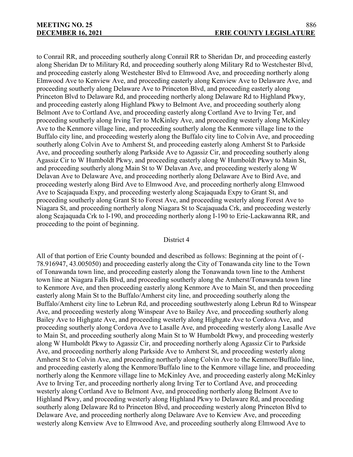to Conrail RR, and proceeding southerly along Conrail RR to Sheridan Dr, and proceeding easterly along Sheridan Dr to Military Rd, and proceeding southerly along Military Rd to Westchester Blvd, and proceeding easterly along Westchester Blvd to Elmwood Ave, and proceeding northerly along Elmwood Ave to Kenview Ave, and proceeding easterly along Kenview Ave to Delaware Ave, and proceeding southerly along Delaware Ave to Princeton Blvd, and proceeding easterly along Princeton Blvd to Delaware Rd, and proceeding northerly along Delaware Rd to Highland Pkwy, and proceeding easterly along Highland Pkwy to Belmont Ave, and proceeding southerly along Belmont Ave to Cortland Ave, and proceeding easterly along Cortland Ave to Irving Ter, and proceeding southerly along Irving Ter to McKinley Ave, and proceeding westerly along McKinley Ave to the Kenmore village line, and proceeding southerly along the Kenmore village line to the Buffalo city line, and proceeding westerly along the Buffalo city line to Colvin Ave, and proceeding southerly along Colvin Ave to Amherst St, and proceeding easterly along Amherst St to Parkside Ave, and proceeding southerly along Parkside Ave to Agassiz Cir, and proceeding southerly along Agassiz Cir to W Humboldt Pkwy, and proceeding easterly along W Humboldt Pkwy to Main St, and proceeding southerly along Main St to W Delavan Ave, and proceeding westerly along W Delavan Ave to Delaware Ave, and proceeding northerly along Delaware Ave to Bird Ave, and proceeding westerly along Bird Ave to Elmwood Ave, and proceeding northerly along Elmwood Ave to Scajaquada Expy, and proceeding westerly along Scajaquada Expy to Grant St, and proceeding southerly along Grant St to Forest Ave, and proceeding westerly along Forest Ave to Niagara St, and proceeding northerly along Niagara St to Scajaquada Crk, and proceeding westerly along Scajaquada Crk to I-190, and proceeding northerly along I-190 to Erie-Lackawanna RR, and proceeding to the point of beginning.

#### District 4

All of that portion of Erie County bounded and described as follows: Beginning at the point of (- 78.916947, 43.005050) and proceeding easterly along the City of Tonawanda city line to the Town of Tonawanda town line, and proceeding easterly along the Tonawanda town line to the Amherst town line at Niagara Falls Blvd, and proceeding southerly along the Amherst/Tonawanda town line to Kenmore Ave, and then proceeding easterly along Kenmore Ave to Main St, and then proceeding easterly along Main St to the Buffalo/Amherst city line, and proceeding southerly along the Buffalo/Amherst city line to Lebrun Rd, and proceeding southwesterly along Lebrun Rd to Winspear Ave, and proceeding westerly along Winspear Ave to Bailey Ave, and proceeding southerly along Bailey Ave to Highgate Ave, and proceeding westerly along Highgate Ave to Cordova Ave, and proceeding southerly along Cordova Ave to Lasalle Ave, and proceeding westerly along Lasalle Ave to Main St, and proceeding southerly along Main St to W Humboldt Pkwy, and proceeding westerly along W Humboldt Pkwy to Agassiz Cir, and proceeding northerly along Agassiz Cir to Parkside Ave, and proceeding northerly along Parkside Ave to Amherst St, and proceeding westerly along Amherst St to Colvin Ave, and proceeding northerly along Colvin Ave to the Kenmore/Buffalo line, and proceeding easterly along the Kenmore/Buffalo line to the Kenmore village line, and proceeding northerly along the Kenmore village line to McKinley Ave, and proceeding easterly along McKinley Ave to Irving Ter, and proceeding northerly along Irving Ter to Cortland Ave, and proceeding westerly along Cortland Ave to Belmont Ave, and proceeding northerly along Belmont Ave to Highland Pkwy, and proceeding westerly along Highland Pkwy to Delaware Rd, and proceeding southerly along Delaware Rd to Princeton Blvd, and proceeding westerly along Princeton Blvd to Delaware Ave, and proceeding northerly along Delaware Ave to Kenview Ave, and proceeding westerly along Kenview Ave to Elmwood Ave, and proceeding southerly along Elmwood Ave to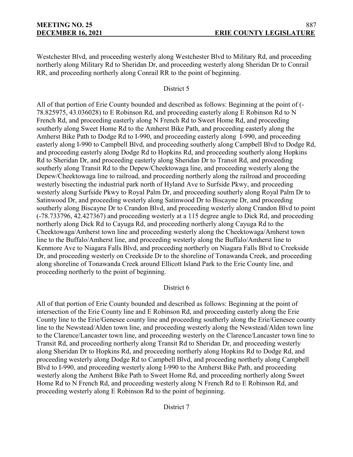Westchester Blvd, and proceeding westerly along Westchester Blvd to Military Rd, and proceeding northerly along Military Rd to Sheridan Dr, and proceeding westerly along Sheridan Dr to Conrail RR, and proceeding northerly along Conrail RR to the point of beginning.

## District 5

All of that portion of Erie County bounded and described as follows: Beginning at the point of (- 78.825975, 43.036028) to E Robinson Rd, and proceeding easterly along E Robinson Rd to N French Rd, and proceeding easterly along N French Rd to Sweet Home Rd, and proceeding southerly along Sweet Home Rd to the Amherst Bike Path, and proceeding easterly along the Amherst Bike Path to Dodge Rd to I-990, and proceeding easterly along I-990, and proceeding easterly along I-990 to Campbell Blvd, and proceeding southerly along Campbell Blvd to Dodge Rd, and proceeding easterly along Dodge Rd to Hopkins Rd, and proceeding southerly along Hopkins Rd to Sheridan Dr, and proceeding easterly along Sheridan Dr to Transit Rd, and proceeding southerly along Transit Rd to the Depew/Cheektowaga line, and proceeding westerly along the Depew/Cheektowaga line to railroad, and proceeding northerly along the railroad and proceeding westerly bisecting the industrial park north of Hyland Ave to Surfside Pkwy, and proceeding westerly along Surfside Pkwy to Royal Palm Dr, and proceeding southerly along Royal Palm Dr to Satinwood Dr, and proceeding westerly along Satinwood Dr to Biscayne Dr, and proceeding southerly along Biscayne Dr to Crandon Blvd, and proceeding westerly along Crandon Blvd to point (-78.733796, 42.427367) and proceeding westerly at a 115 degree angle to Dick Rd, and proceeding northerly along Dick Rd to Cayuga Rd, and proceeding northerly along Cayuga Rd to the Cheektowaga/Amherst town line and proceeding westerly along the Cheektowaga/Amherst town line to the Buffalo/Amherst line, and proceeding westerly along the Buffalo/Amherst line to Kenmore Ave to Niagara Falls Blvd, and proceeding northerly on Niagara Falls Blvd to Creekside Dr, and proceeding westerly on Creekside Dr to the shoreline of Tonawanda Creek, and proceeding along shoreline of Tonawanda Creek around Ellicott Island Park to the Erie County line, and proceeding northerly to the point of beginning.

## District 6

All of that portion of Erie County bounded and described as follows: Beginning at the point of intersection of the Erie County line and E Robinson Rd, and proceeding easterly along the Erie County line to the Erie/Genesee county line and proceeding southerly along the Erie/Genesee county line to the Newstead/Alden town line, and proceeding westerly along the Newstead/Alden town line to the Clarence/Lancaster town line, and proceeding westerly on the Clarence/Lancaster town line to Transit Rd, and proceeding northerly along Transit Rd to Sheridan Dr, and proceeding westerly along Sheridan Dr to Hopkins Rd, and proceeding northerly along Hopkins Rd to Dodge Rd, and proceeding westerly along Dodge Rd to Campbell Blvd, and proceeding northerly along Campbell Blvd to I-990, and proceeding westerly along I-990 to the Amherst Bike Path, and proceeding westerly along the Amherst Bike Path to Sweet Home Rd, and proceeding northerly along Sweet Home Rd to N French Rd, and proceeding westerly along N French Rd to E Robinson Rd, and proceeding westerly along E Robinson Rd to the point of beginning.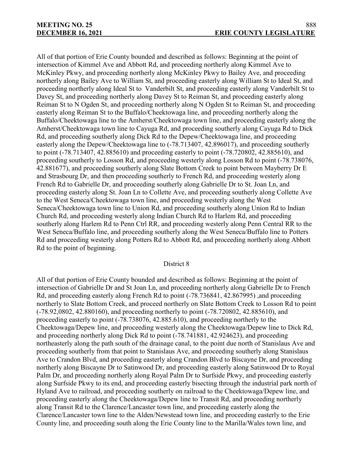All of that portion of Erie County bounded and described as follows: Beginning at the point of intersection of Kimmel Ave and Abbott Rd, and proceeding northerly along Kimmel Ave to McKinley Pkwy, and proceeding northerly along McKinley Pkwy to Bailey Ave, and proceeding northerly along Bailey Ave to William St, and proceeding easterly along William St to Ideal St, and proceeding northerly along Ideal St to Vanderbilt St, and proceeding easterly along Vanderbilt St to Davey St, and proceeding northerly along Davey St to Reiman St, and proceeding easterly along Reiman St to N Ogden St, and proceeding northerly along N Ogden St to Reiman St, and proceeding easterly along Reiman St to the Buffalo/Cheektowaga line, and proceeding northerly along the Buffalo/Cheektowaga line to the Amherst/Cheektowaga town line, and proceeding easterly along the Amherst/Cheektowaga town line to Cayuga Rd, and proceeding southerly along Cayuga Rd to Dick Rd, and proceeding southerly along Dick Rd to the Depew/Cheektowaga line, and proceeding easterly along the Depew/Cheektowaga line to  $(-78.713407, 42.896017)$ , and proceeding southerly to point (-78.713407, 42.885610) and proceeding easterly to point (-78.720802, 42.885610), and proceeding southerly to Losson Rd, and proceeding westerly along Losson Rd to point (-78.738076, 42.881677), and proceeding southerly along Slate Bottom Creek to point between Mayberry Dr E and Strasbourg Dr, and then proceeding southerly to French Rd, and proceeding westerly along French Rd to Gabrielle Dr, and proceeding southerly along Gabrielle Dr to St. Joan Ln, and proceeding easterly along St. Joan Ln to Collette Ave, and proceeding southerly along Collette Ave to the West Seneca/Cheektowaga town line, and proceeding westerly along the West Seneca/Cheektowaga town line to Union Rd, and proceeding southerly along Union Rd to Indian Church Rd, and proceeding westerly along Indian Church Rd to Harlem Rd, and proceeding southerly along Harlem Rd to Penn Ctrl RR, and proceeding westerly along Penn Central RR to the West Seneca/Buffalo line, and proceeding southerly along the West Seneca/Buffalo line to Potters Rd and proceeding westerly along Potters Rd to Abbott Rd, and proceeding northerly along Abbott Rd to the point of beginning.

## District 8

All of that portion of Erie County bounded and described as follows: Beginning at the point of intersection of Gabrielle Dr and St Joan Ln, and proceeding northerly along Gabrielle Dr to French Rd, and proceeding easterly along French Rd to point (-78.736841, 42.867995) ,and proceeding northerly to Slate Bottom Creek, and proceed northerly on Slate Bottom Creek to Losson Rd to point (-78.92,0802, 42.880160), and proceeding northerly to point (-78.720802, 42.885610), and proceeding easterly to point (-78.738076, 42.885.610), and proceeding northerly to the Cheektowaga/Depew line, and proceeding westerly along the Cheektowaga/Depew line to Dick Rd, and proceeding northerly along Dick Rd to point (-78.741881, 42.924623), and proceeding northeasterly along the path south of the drainage canal, to the point due north of Stanislaus Ave and proceeding southerly from that point to Stanislaus Ave, and proceeding southerly along Stanislaus Ave to Crandon Blvd, and proceeding easterly along Crandon Blvd to Biscayne Dr, and proceeding northerly along Biscayne Dr to Satinwood Dr, and proceeding easterly along Satinwood Dr to Royal Palm Dr, and proceeding northerly along Royal Palm Dr to Surfside Pkwy, and proceeding easterly along Surfside Pkwy to its end, and proceeding easterly bisecting through the industrial park north of Hyland Ave to railroad, and proceeding southerly on railroad to the Cheektowaga/Depew line, and proceeding easterly along the Cheektowaga/Depew line to Transit Rd, and proceeding northerly along Transit Rd to the Clarence/Lancaster town line, and proceeding easterly along the Clarence/Lancaster town line to the Alden/Newstead town line, and proceeding easterly to the Erie County line, and proceeding south along the Erie County line to the Marilla/Wales town line, and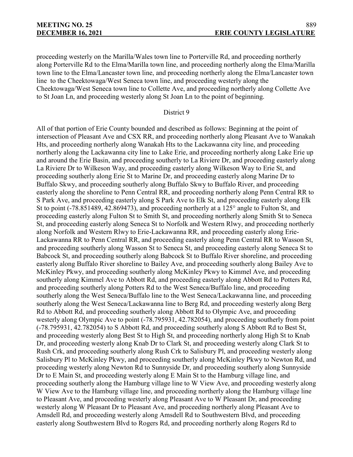proceeding westerly on the Marilla/Wales town line to Porterville Rd, and proceeding northerly along Porterville Rd to the Elma/Marilla town line, and proceeding northerly along the Elma/Marilla town line to the Elma/Lancaster town line, and proceeding northerly along the Elma/Lancaster town line to the Cheektowaga/West Seneca town line, and proceeding westerly along the Cheektowaga/West Seneca town line to Collette Ave, and proceeding northerly along Collette Ave to St Joan Ln, and proceeding westerly along St Joan Ln to the point of beginning.

#### District 9

All of that portion of Erie County bounded and described as follows: Beginning at the point of intersection of Pleasant Ave and CSX RR, and proceeding northerly along Pleasant Ave to Wanakah Hts, and proceeding northerly along Wanakah Hts to the Lackawanna city line, and proceeding northerly along the Lackawanna city line to Lake Erie, and proceeding northerly along Lake Erie up and around the Erie Basin, and proceeding southerly to La Riviere Dr, and proceeding easterly along La Riviere Dr to Wilkeson Way, and proceeding easterly along Wilkeson Way to Erie St, and proceeding southerly along Erie St to Marine Dr, and proceeding easterly along Marine Dr to Buffalo Skwy, and proceeding southerly along Buffalo Skwy to Buffalo River, and proceeding easterly along the shoreline to Penn Central RR, and proceeding northerly along Penn Central RR to S Park Ave, and proceeding easterly along S Park Ave to Elk St, and proceeding easterly along Elk St to point (-78.851489, 42.869473), and proceeding northerly at a 125° angle to Fulton St, and proceeding easterly along Fulton St to Smith St, and proceeding northerly along Smith St to Seneca St, and proceeding easterly along Seneca St to Norfolk and Western Rlwy, and proceeding northerly along Norfolk and Western Rlwy to Erie-Lackawanna RR, and proceeding easterly along Erie-Lackawanna RR to Penn Central RR, and proceeding easterly along Penn Central RR to Wasson St, and proceeding southerly along Wasson St to Seneca St, and proceeding easterly along Seneca St to Babcock St, and proceeding southerly along Babcock St to Buffalo River shoreline, and proceeding easterly along Buffalo River shoreline to Bailey Ave, and proceeding southerly along Bailey Ave to McKinley Pkwy, and proceeding southerly along McKinley Pkwy to Kimmel Ave, and proceeding southerly along Kimmel Ave to Abbott Rd, and proceeding easterly along Abbott Rd to Potters Rd, and proceeding southerly along Potters Rd to the West Seneca/Buffalo line, and proceeding southerly along the West Seneca/Buffalo line to the West Seneca/Lackawanna line, and proceeding southerly along the West Seneca/Lackawanna line to Berg Rd, and proceeding westerly along Berg Rd to Abbott Rd, and proceeding southerly along Abbott Rd to Olympic Ave, and proceeding westerly along Olympic Ave to point (-78.795931, 42.782054), and proceeding southerly from point (-78.795931, 42.782054) to S Abbott Rd, and proceeding southerly along S Abbott Rd to Best St, and proceeding westerly along Best St to High St, and proceeding northerly along High St to Knab Dr, and proceeding westerly along Knab Dr to Clark St, and proceeding westerly along Clark St to Rush Crk, and proceeding southerly along Rush Crk to Salisbury Pl, and proceeding westerly along Salisbury Pl to McKinley Pkwy, and proceeding southerly along McKinley Pkwy to Newton Rd, and proceeding westerly along Newton Rd to Sunnyside Dr, and proceeding southerly along Sunnyside Dr to E Main St, and proceeding westerly along E Main St to the Hamburg village line, and proceeding southerly along the Hamburg village line to W View Ave, and proceeding westerly along W View Ave to the Hamburg village line, and proceeding northerly along the Hamburg village line to Pleasant Ave, and proceeding westerly along Pleasant Ave to W Pleasant Dr, and proceeding westerly along W Pleasant Dr to Pleasant Ave, and proceeding northerly along Pleasant Ave to Amsdell Rd, and proceeding westerly along Amsdell Rd to Southwestern Blvd, and proceeding easterly along Southwestern Blvd to Rogers Rd, and proceeding northerly along Rogers Rd to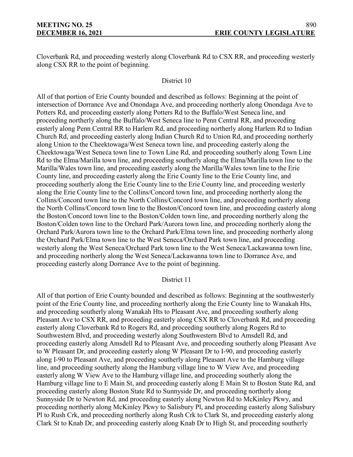Cloverbank Rd, and proceeding westerly along Cloverbank Rd to CSX RR, and proceeding westerly along CSX RR to the point of beginning.

## District 10

All of that portion of Erie County bounded and described as follows: Beginning at the point of intersection of Dorrance Ave and Onondaga Ave, and proceeding northerly along Onondaga Ave to Potters Rd, and proceeding easterly along Potters Rd to the Buffalo/West Seneca line, and proceeding northerly along the Buffalo/West Seneca line to Penn Central RR, and proceeding easterly along Penn Central RR to Harlem Rd, and proceeding northerly along Harlem Rd to Indian Church Rd, and proceeding easterly along Indian Church Rd to Union Rd, and proceeding northerly along Union to the Cheektowaga/West Seneca town line, and proceeding easterly along the Cheektowaga/West Seneca town line to Town Line Rd, and proceeding southerly along Town Line Rd to the Elma/Marilla town line, and proceeding southerly along the Elma/Marilla town line to the Marilla/Wales town line, and proceeding easterly along the Marilla/Wales town line to the Erie County line, and proceeding easterly along the Erie County line to the Erie County line, and proceeding southerly along the Erie County line to the Erie County line, and proceeding westerly along the Erie County line to the Collins/Concord town line, and proceeding northerly along the Collins/Concord town line to the North Collins/Concord town line, and proceeding northerly along the North Collins/Concord town line to the Boston/Concord town line, and proceeding easterly along the Boston/Concord town line to the Boston/Colden town line, and proceeding northerly along the Boston/Colden town line to the Orchard Park/Aurora town line, and proceeding northerly along the Orchard Park/Aurora town line to the Orchard Park/Elma town line, and proceeding northerly along the Orchard Park/Elma town line to the West Seneca/Orchard Park town line, and proceeding westerly along the West Seneca/Orchard Park town line to the West Seneca/Lackawanna town line, and proceeding northerly along the West Seneca/Lackawanna town line to Dorrance Ave, and proceeding easterly along Dorrance Ave to the point of beginning.

## District 11

All of that portion of Erie County bounded and described as follows: Beginning at the southwesterly point of the Erie County line, and proceeding northerly along the Erie County line to Wanakah Hts, and proceeding southerly along Wanakah Hts to Pleasant Ave, and proceeding southerly along Pleasant Ave to CSX RR, and proceeding easterly along CSX RR to Cloverbank Rd, and proceeding easterly along Cloverbank Rd to Rogers Rd, and proceeding southerly along Rogers Rd to Southwestern Blvd, and proceeding westerly along Southwestern Blvd to Amsdell Rd, and proceeding easterly along Amsdell Rd to Pleasant Ave, and proceeding southerly along Pleasant Ave to W Pleasant Dr, and proceeding easterly along W Pleasant Dr to I-90, and proceeding easterly along I-90 to Pleasant Ave, and proceeding southerly along Pleasant Ave to the Hamburg village line, and proceeding southerly along the Hamburg village line to W View Ave, and proceeding easterly along W View Ave to the Hamburg village line, and proceeding southerly along the Hamburg village line to E Main St, and proceeding easterly along E Main St to Boston State Rd, and proceeding easterly along Boston State Rd to Sunnyside Dr, and proceeding northerly along Sunnyside Dr to Newton Rd, and proceeding easterly along Newton Rd to McKinley Pkwy, and proceeding northerly along McKinley Pkwy to Salisbury Pl, and proceeding easterly along Salisbury Pl to Rush Crk, and proceeding northerly along Rush Crk to Clark St, and proceeding easterly along Clark St to Knab Dr, and proceeding easterly along Knab Dr to High St, and proceeding southerly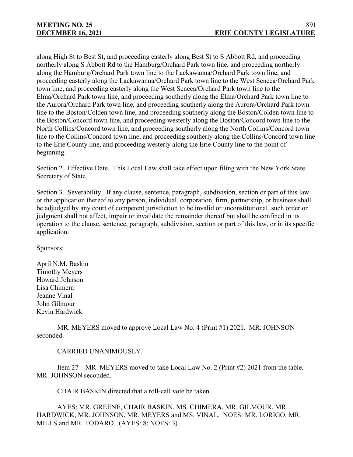along High St to Best St, and proceeding easterly along Best St to S Abbott Rd, and proceeding northerly along S Abbott Rd to the Hamburg/Orchard Park town line, and proceeding northerly along the Hamburg/Orchard Park town line to the Lackawanna/Orchard Park town line, and proceeding easterly along the Lackawanna/Orchard Park town line to the West Seneca/Orchard Park town line, and proceeding easterly along the West Seneca/Orchard Park town line to the Elma/Orchard Park town line, and proceeding southerly along the Elma/Orchard Park town line to the Aurora/Orchard Park town line, and proceeding southerly along the Aurora/Orchard Park town line to the Boston/Colden town line, and proceeding southerly along the Boston/Colden town line to the Boston/Concord town line, and proceeding westerly along the Boston/Concord town line to the North Collins/Concord town line, and proceeding southerly along the North Collins/Concord town line to the Collins/Concord town line, and proceeding southerly along the Collins/Concord town line to the Erie County line, and proceeding westerly along the Erie County line to the point of beginning.

Section 2. Effective Date. This Local Law shall take effect upon filing with the New York State Secretary of State.

Section 3. Severability. If any clause, sentence, paragraph, subdivision, section or part of this law or the application thereof to any person, individual, corporation, firm, partnership, or business shall be adjudged by any court of competent jurisdiction to be invalid or unconstitutional, such order or judgment shall not affect, impair or invalidate the remainder thereof but shall be confined in its operation to the clause, sentence, paragraph, subdivision, section or part of this law, or in its specific application.

Sponsors:

April N.M. Baskin Timothy Meyers Howard Johnson Lisa Chimera Jeanne Vinal John Gilmour Kevin Hardwick

MR. MEYERS moved to approve Local Law No. 4 (Print #1) 2021. MR. JOHNSON seconded.

## CARRIED UNANIMOUSLY.

Item 27 – MR. MEYERS moved to take Local Law No. 2 (Print #2) 2021 from the table. MR. JOHNSON seconded.

CHAIR BASKIN directed that a roll-call vote be taken.

AYES: MR. GREENE, CHAIR BASKIN, MS. CHIMERA, MR. GILMOUR, MR. HARDWICK, MR. JOHNSON, MR. MEYERS and MS. VINAL. NOES: MR. LORIGO, MR. MILLS and MR. TODARO. (AYES: 8; NOES: 3)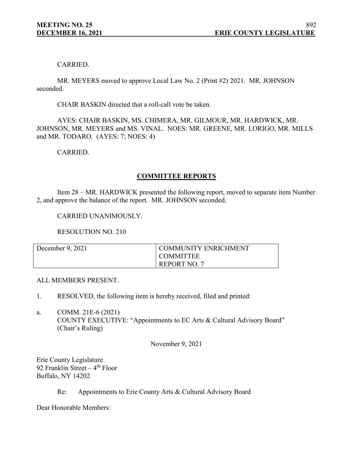## CARRIED.

MR. MEYERS moved to approve Local Law No. 2 (Print #2) 2021. MR. JOHNSON seconded.

CHAIR BASKIN directed that a roll-call vote be taken.

AYES: CHAIR BASKIN, MS. CHIMERA, MR. GILMOUR, MR. HARDWICK, MR. JOHNSON, MR. MEYERS and MS. VINAL. NOES: MR. GREENE, MR. LORIGO, MR. MILLS and MR. TODARO. (AYES: 7; NOES: 4)

CARRIED.

## **COMMITTEE REPORTS**

Item 28 – MR. HARDWICK presented the following report, moved to separate item Number 2, and approve the balance of the report. MR. JOHNSON seconded.

## CARRIED UNANIMOUSLY.

RESOLUTION NO. 210

| December 9, 2021 | <b>COMMUNITY ENRICHMENT</b> |
|------------------|-----------------------------|
|                  | <b>COMMITTEE</b>            |
|                  | REPORT NO. 7                |

## ALL MEMBERS PRESENT.

- 1. RESOLVED, the following item is hereby received, filed and printed:
- a. COMM. 21E-6 (2021) COUNTY EXECUTIVE: "Appointments to EC Arts & Cultural Advisory Board" (Chair's Ruling)

November 9, 2021

Erie County Legislature 92 Franklin Street  $-4$ <sup>th</sup> Floor Buffalo, NY 14202

Re: Appointments to Erie County Arts & Cultural Advisory Board

Dear Honorable Members: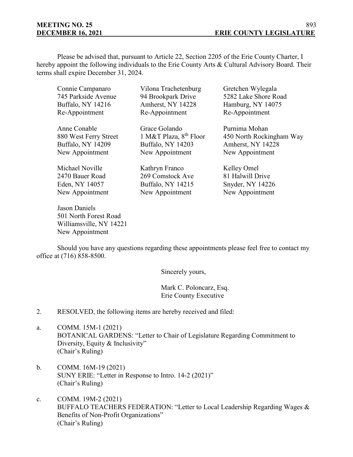# **MEETING NO. 25**

Please be advised that, pursuant to Article 22, Section 2205 of the Erie County Charter, I hereby appoint the following individuals to the Erie County Arts & Cultural Advisory Board. Their terms shall expire December 31, 2024.

| Connie Campanaro                                    | Vilona Trachetenburg     | Gretchen Wylegala        |
|-----------------------------------------------------|--------------------------|--------------------------|
| 745 Parkside Avenue                                 | 94 Brookpark Drive       | 5282 Lake Shore Road     |
| <b>Buffalo, NY 14216</b>                            | Amherst, NY 14228        | Hamburg, NY 14075        |
| Re-Appointment                                      | Re-Appointment           | Re-Appointment           |
| Anne Conable                                        | Grace Golando            | Purnima Mohan            |
| 880 West Ferry Street                               | 1 M&T Plaza, $8th$ Floor | 450 North Rockingham Way |
| Buffalo, NY 14209                                   | Buffalo, NY 14203        | Amherst, NY 14228        |
| New Appointment                                     | New Appointment          | New Appointment          |
| Michael Noville                                     | Kathryn Franco           | Kelley Omel              |
| 2470 Bauer Road                                     | 269 Comstock Ave         | 81 Halwill Drive         |
| Eden, NY 14057                                      | Buffalo, NY 14215        | Snyder, NY 14226         |
| New Appointment                                     | New Appointment          | New Appointment          |
| $\mathbf{r}$ $\mathbf{r}$ $\mathbf{r}$ $\mathbf{r}$ |                          |                          |

Jason Daniels 501 North Forest Road Williamsville, NY 14221 New Appointment

Should you have any questions regarding these appointments please feel free to contact my office at (716) 858-8500.

Sincerely yours,

Mark C. Poloncarz, Esq. Erie County Executive

2. RESOLVED, the following items are hereby received and filed:

- a. COMM. 15M-1 (2021) BOTANICAL GARDENS: "Letter to Chair of Legislature Regarding Commitment to Diversity, Equity & Inclusivity" (Chair's Ruling)
- b. COMM. 16M-19 (2021) SUNY ERIE: "Letter in Response to Intro. 14-2 (2021)" (Chair's Ruling)
- c. COMM. 19M-2 (2021) BUFFALO TEACHERS FEDERATION: "Letter to Local Leadership Regarding Wages & Benefits of Non-Profit Organizations" (Chair's Ruling)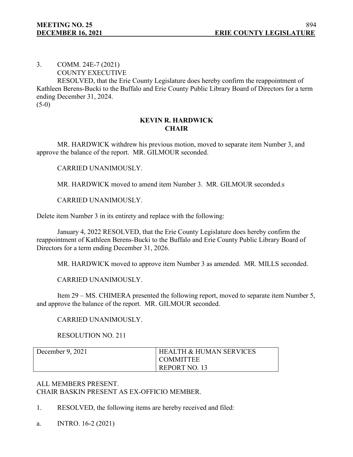3. COMM. 24E-7 (2021) COUNTY EXECUTIVE

RESOLVED, that the Erie County Legislature does hereby confirm the reappointment of Kathleen Berens-Bucki to the Buffalo and Erie County Public Library Board of Directors for a term ending December 31, 2024.

 $(5-0)$ 

## **KEVIN R. HARDWICK CHAIR**

MR. HARDWICK withdrew his previous motion, moved to separate item Number 3, and approve the balance of the report. MR. GILMOUR seconded.

CARRIED UNANIMOUSLY.

MR. HARDWICK moved to amend item Number 3. MR. GILMOUR seconded.s

CARRIED UNANIMOUSLY.

Delete item Number 3 in its entirety and replace with the following:

January 4, 2022 RESOLVED, that the Erie County Legislature does hereby confirm the reappointment of Kathleen Berens-Bucki to the Buffalo and Erie County Public Library Board of Directors for a term ending December 31, 2026.

MR. HARDWICK moved to approve item Number 3 as amended. MR. MILLS seconded.

CARRIED UNANIMOUSLY.

Item 29 – MS. CHIMERA presented the following report, moved to separate item Number 5, and approve the balance of the report. MR. GILMOUR seconded.

# CARRIED UNANIMOUSLY.

RESOLUTION NO. 211

| December $9, 2021$ | <b>HEALTH &amp; HUMAN SERVICES</b> |
|--------------------|------------------------------------|
|                    | <b>COMMITTEE</b>                   |
|                    | REPORT NO. 13                      |

# ALL MEMBERS PRESENT. CHAIR BASKIN PRESENT AS EX-OFFICIO MEMBER.

- 1. RESOLVED, the following items are hereby received and filed:
- a. INTRO. 16-2 (2021)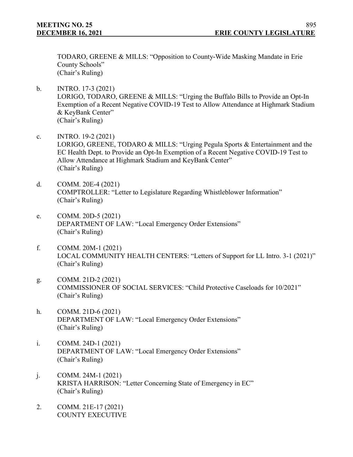TODARO, GREENE & MILLS: "Opposition to County-Wide Masking Mandate in Erie County Schools" (Chair's Ruling)

- b. INTRO. 17-3 (2021) LORIGO, TODARO, GREENE & MILLS: "Urging the Buffalo Bills to Provide an Opt-In Exemption of a Recent Negative COVID-19 Test to Allow Attendance at Highmark Stadium & KeyBank Center" (Chair's Ruling)
- c. INTRO. 19-2 (2021) LORIGO, GREENE, TODARO & MILLS: "Urging Pegula Sports & Entertainment and the EC Health Dept. to Provide an Opt-In Exemption of a Recent Negative COVID-19 Test to Allow Attendance at Highmark Stadium and KeyBank Center" (Chair's Ruling)
- d. COMM. 20E-4 (2021) COMPTROLLER: "Letter to Legislature Regarding Whistleblower Information" (Chair's Ruling)
- e. COMM. 20D-5 (2021) DEPARTMENT OF LAW: "Local Emergency Order Extensions" (Chair's Ruling)
- f. COMM. 20M-1 (2021) LOCAL COMMUNITY HEALTH CENTERS: "Letters of Support for LL Intro. 3-1 (2021)" (Chair's Ruling)
- g. COMM. 21D-2 (2021) COMMISSIONER OF SOCIAL SERVICES: "Child Protective Caseloads for 10/2021" (Chair's Ruling)
- h. COMM. 21D-6 (2021) DEPARTMENT OF LAW: "Local Emergency Order Extensions" (Chair's Ruling)
- i. COMM. 24D-1 (2021) DEPARTMENT OF LAW: "Local Emergency Order Extensions" (Chair's Ruling)
- j. COMM. 24M-1 (2021) KRISTA HARRISON: "Letter Concerning State of Emergency in EC" (Chair's Ruling)
- 2. COMM. 21E-17 (2021) COUNTY EXECUTIVE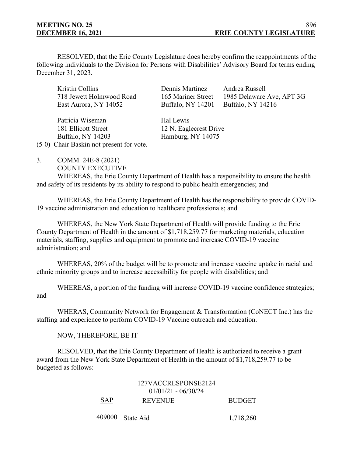RESOLVED, that the Erie County Legislature does hereby confirm the reappointments of the following individuals to the Division for Persons with Disabilities' Advisory Board for terms ending December 31, 2023.

Kristin Collins Dennis Martinez Andrea Russell 718 Jewett Holmwood Road 165 Mariner Street 1985 Delaware Ave, APT 3G East Aurora, NY 14052 Buffalo, NY 14201 Buffalo, NY 14216

Patricia Wiseman Hal Lewis 181 Ellicott Street 12 N. Eaglecrest Drive Buffalo, NY 14203 Hamburg, NY 14075

(5-0) Chair Baskin not present for vote.

- 3. COMM. 24E-8 (2021)
	- COUNTY EXECUTIVE

WHEREAS, the Erie County Department of Health has a responsibility to ensure the health and safety of its residents by its ability to respond to public health emergencies; and

WHEREAS, the Erie County Department of Health has the responsibility to provide COVID-19 vaccine administration and education to healthcare professionals; and

WHEREAS, the New York State Department of Health will provide funding to the Erie County Department of Health in the amount of \$1,718,259.77 for marketing materials, education materials, staffing, supplies and equipment to promote and increase COVID-19 vaccine administration; and

WHEREAS, 20% of the budget will be to promote and increase vaccine uptake in racial and ethnic minority groups and to increase accessibility for people with disabilities; and

WHEREAS, a portion of the funding will increase COVID-19 vaccine confidence strategies; and

WHERAS, Community Network for Engagement & Transformation (CoNECT Inc.) has the staffing and experience to perform COVID-19 Vaccine outreach and education.

NOW, THEREFORE, BE IT

RESOLVED, that the Erie County Department of Health is authorized to receive a grant award from the New York State Department of Health in the amount of \$1,718,259.77 to be budgeted as follows:

|     | 127VACCRESPONSE2124   |               |
|-----|-----------------------|---------------|
|     | $01/01/21 - 06/30/24$ |               |
| SAP | <b>REVENUE</b>        | <b>BUDGET</b> |

409000 State Aid 1,718,260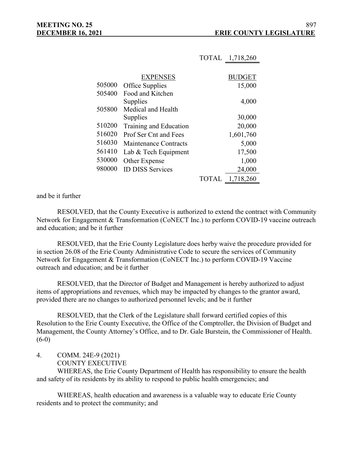|        |                         | TOTAL        | 1,718,260 |
|--------|-------------------------|--------------|-----------|
|        |                         |              |           |
|        | <b>EXPENSES</b>         |              | BUDGET    |
| 505000 | Office Supplies         |              | 15,000    |
| 505400 | Food and Kitchen        |              |           |
|        | Supplies                |              | 4,000     |
| 505800 | Medical and Health      |              |           |
|        | Supplies                |              | 30,000    |
| 510200 | Training and Education  |              | 20,000    |
| 516020 | Prof Ser Cnt and Fees   |              | 1,601,760 |
| 516030 | Maintenance Contracts   |              | 5,000     |
| 561410 | Lab & Tech Equipment    |              | 17,500    |
| 530000 | Other Expense           |              | 1,000     |
| 980000 | <b>ID DISS Services</b> |              | 24,000    |
|        |                         | <b>TOTAL</b> | 1,718,260 |

and be it further

RESOLVED, that the County Executive is authorized to extend the contract with Community Network for Engagement & Transformation (CoNECT Inc.) to perform COVID-19 vaccine outreach and education; and be it further

RESOLVED, that the Erie County Legislature does herby waive the procedure provided for in section 26.08 of the Erie County Administrative Code to secure the services of Community Network for Engagement & Transformation (CoNECT Inc.) to perform COVID-19 Vaccine outreach and education; and be it further

RESOLVED, that the Director of Budget and Management is hereby authorized to adjust items of appropriations and revenues, which may be impacted by changes to the grantor award, provided there are no changes to authorized personnel levels; and be it further

RESOLVED, that the Clerk of the Legislature shall forward certified copies of this Resolution to the Erie County Executive, the Office of the Comptroller, the Division of Budget and Management, the County Attorney's Office, and to Dr. Gale Burstein, the Commissioner of Health.  $(6-0)$ 

4. COMM. 24E-9 (2021) COUNTY EXECUTIVE

WHEREAS, the Erie County Department of Health has responsibility to ensure the health and safety of its residents by its ability to respond to public health emergencies; and

WHEREAS, health education and awareness is a valuable way to educate Erie County residents and to protect the community; and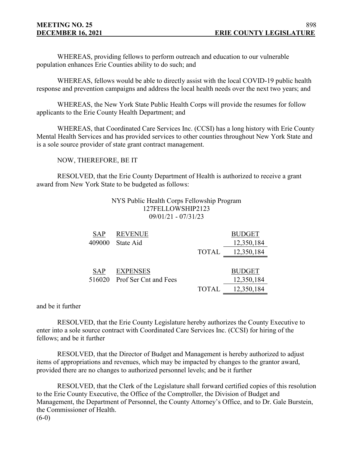WHEREAS, providing fellows to perform outreach and education to our vulnerable population enhances Erie Counties ability to do such; and

WHEREAS, fellows would be able to directly assist with the local COVID-19 public health response and prevention campaigns and address the local health needs over the next two years; and

WHEREAS, the New York State Public Health Corps will provide the resumes for follow applicants to the Erie County Health Department; and

WHEREAS, that Coordinated Care Services Inc. (CCSI) has a long history with Erie County Mental Health Services and has provided services to other counties throughout New York State and is a sole source provider of state grant contract management.

NOW, THEREFORE, BE IT

RESOLVED, that the Erie County Department of Health is authorized to receive a grant award from New York State to be budgeted as follows:

## NYS Public Health Corps Fellowship Program 127FELLOWSHIP2123 09/01/21 - 07/31/23

| <b>SAP</b> | <b>REVENUE</b>        |              | <b>BUDGET</b> |
|------------|-----------------------|--------------|---------------|
| 409000     | State Aid             |              | 12,350,184    |
|            |                       | <b>TOTAL</b> | 12,350,184    |
|            |                       |              |               |
| <b>SAP</b> | <b>EXPENSES</b>       |              | <b>BUDGET</b> |
| 516020     | Prof Ser Cnt and Fees |              | 12,350,184    |
|            |                       | TOTAL        | 12,350,184    |

and be it further

RESOLVED, that the Erie County Legislature hereby authorizes the County Executive to enter into a sole source contract with Coordinated Care Services Inc. (CCSI) for hiring of the fellows; and be it further

RESOLVED, that the Director of Budget and Management is hereby authorized to adjust items of appropriations and revenues, which may be impacted by changes to the grantor award, provided there are no changes to authorized personnel levels; and be it further

RESOLVED, that the Clerk of the Legislature shall forward certified copies of this resolution to the Erie County Executive, the Office of the Comptroller, the Division of Budget and Management, the Department of Personnel, the County Attorney's Office, and to Dr. Gale Burstein, the Commissioner of Health.  $(6-0)$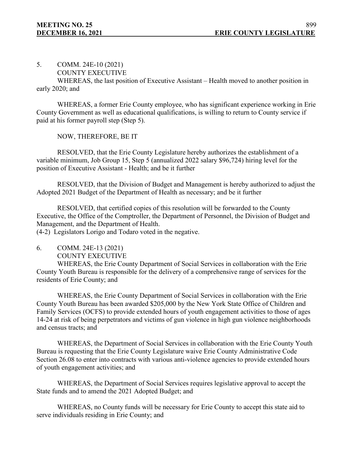5. COMM. 24E-10 (2021)

COUNTY EXECUTIVE

WHEREAS, the last position of Executive Assistant – Health moved to another position in early 2020; and

WHEREAS, a former Erie County employee, who has significant experience working in Erie County Government as well as educational qualifications, is willing to return to County service if paid at his former payroll step (Step 5).

NOW, THEREFORE, BE IT

RESOLVED, that the Erie County Legislature hereby authorizes the establishment of a variable minimum, Job Group 15, Step 5 (annualized 2022 salary \$96,724) hiring level for the position of Executive Assistant - Health; and be it further

RESOLVED, that the Division of Budget and Management is hereby authorized to adjust the Adopted 2021 Budget of the Department of Health as necessary; and be it further

RESOLVED, that certified copies of this resolution will be forwarded to the County Executive, the Office of the Comptroller, the Department of Personnel, the Division of Budget and Management, and the Department of Health.

(4-2) Legislators Lorigo and Todaro voted in the negative.

6. COMM. 24E-13 (2021)

COUNTY EXECUTIVE

WHEREAS, the Erie County Department of Social Services in collaboration with the Erie County Youth Bureau is responsible for the delivery of a comprehensive range of services for the residents of Erie County; and

WHEREAS, the Erie County Department of Social Services in collaboration with the Erie County Youth Bureau has been awarded \$205,000 by the New York State Office of Children and Family Services (OCFS) to provide extended hours of youth engagement activities to those of ages 14-24 at risk of being perpetrators and victims of gun violence in high gun violence neighborhoods and census tracts; and

WHEREAS, the Department of Social Services in collaboration with the Erie County Youth Bureau is requesting that the Erie County Legislature waive Erie County Administrative Code Section 26.08 to enter into contracts with various anti-violence agencies to provide extended hours of youth engagement activities; and

WHEREAS, the Department of Social Services requires legislative approval to accept the State funds and to amend the 2021 Adopted Budget; and

WHEREAS, no County funds will be necessary for Erie County to accept this state aid to serve individuals residing in Erie County; and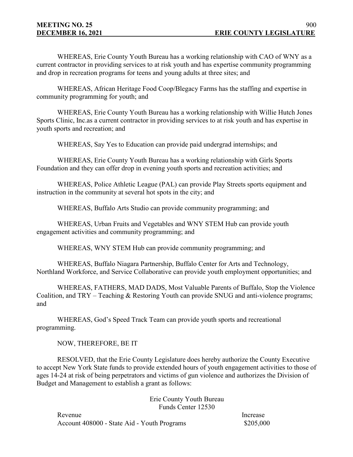WHEREAS, Erie County Youth Bureau has a working relationship with CAO of WNY as a current contractor in providing services to at risk youth and has expertise community programming and drop in recreation programs for teens and young adults at three sites; and

WHEREAS, African Heritage Food Coop/Blegacy Farms has the staffing and expertise in community programming for youth; and

WHEREAS, Erie County Youth Bureau has a working relationship with Willie Hutch Jones Sports Clinic, Inc.as a current contractor in providing services to at risk youth and has expertise in youth sports and recreation; and

WHEREAS, Say Yes to Education can provide paid undergrad internships; and

WHEREAS, Erie County Youth Bureau has a working relationship with Girls Sports Foundation and they can offer drop in evening youth sports and recreation activities; and

WHEREAS, Police Athletic League (PAL) can provide Play Streets sports equipment and instruction in the community at several hot spots in the city; and

WHEREAS, Buffalo Arts Studio can provide community programming; and

WHEREAS, Urban Fruits and Vegetables and WNY STEM Hub can provide youth engagement activities and community programming; and

WHEREAS, WNY STEM Hub can provide community programming; and

WHEREAS, Buffalo Niagara Partnership, Buffalo Center for Arts and Technology, Northland Workforce, and Service Collaborative can provide youth employment opportunities; and

WHEREAS, FATHERS, MAD DADS, Most Valuable Parents of Buffalo, Stop the Violence Coalition, and TRY – Teaching & Restoring Youth can provide SNUG and anti-violence programs; and

WHEREAS, God's Speed Track Team can provide youth sports and recreational programming.

NOW, THEREFORE, BE IT

RESOLVED, that the Erie County Legislature does hereby authorize the County Executive to accept New York State funds to provide extended hours of youth engagement activities to those of ages 14-24 at risk of being perpetrators and victims of gun violence and authorizes the Division of Budget and Management to establish a grant as follows:

> Erie County Youth Bureau Funds Center 12530

Revenue Increase Account 408000 - State Aid - Youth Programs \$205,000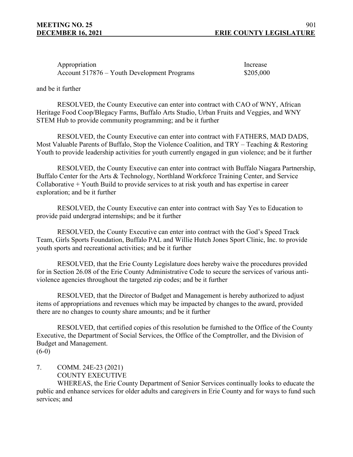| Appropriation                               | Increase |
|---------------------------------------------|----------|
| Account 517876 – Youth Development Programs | \$205,00 |

\$205,000

and be it further

RESOLVED, the County Executive can enter into contract with CAO of WNY, African Heritage Food Coop/Blegacy Farms, Buffalo Arts Studio, Urban Fruits and Veggies, and WNY STEM Hub to provide community programming; and be it further

RESOLVED, the County Executive can enter into contract with FATHERS, MAD DADS, Most Valuable Parents of Buffalo, Stop the Violence Coalition, and TRY – Teaching & Restoring Youth to provide leadership activities for youth currently engaged in gun violence; and be it further

RESOLVED, the County Executive can enter into contract with Buffalo Niagara Partnership, Buffalo Center for the Arts & Technology, Northland Workforce Training Center, and Service Collaborative + Youth Build to provide services to at risk youth and has expertise in career exploration; and be it further

RESOLVED, the County Executive can enter into contract with Say Yes to Education to provide paid undergrad internships; and be it further

RESOLVED, the County Executive can enter into contract with the God's Speed Track Team, Girls Sports Foundation, Buffalo PAL and Willie Hutch Jones Sport Clinic, Inc. to provide youth sports and recreational activities; and be it further

RESOLVED, that the Erie County Legislature does hereby waive the procedures provided for in Section 26.08 of the Erie County Administrative Code to secure the services of various antiviolence agencies throughout the targeted zip codes; and be it further

RESOLVED, that the Director of Budget and Management is hereby authorized to adjust items of appropriations and revenues which may be impacted by changes to the award, provided there are no changes to county share amounts; and be it further

RESOLVED, that certified copies of this resolution be furnished to the Office of the County Executive, the Department of Social Services, the Office of the Comptroller, and the Division of Budget and Management.

 $(6-0)$ 

7. COMM. 24E-23 (2021) COUNTY EXECUTIVE

WHEREAS, the Erie County Department of Senior Services continually looks to educate the public and enhance services for older adults and caregivers in Erie County and for ways to fund such services; and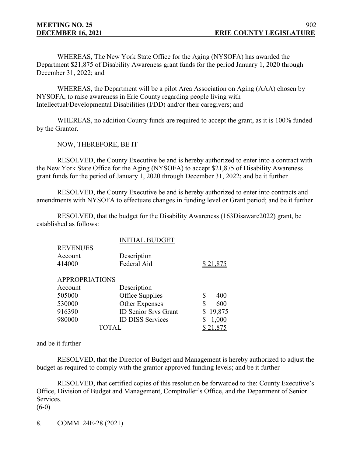WHEREAS, The New York State Office for the Aging (NYSOFA) has awarded the Department \$21,875 of Disability Awareness grant funds for the period January 1, 2020 through December 31, 2022; and

WHEREAS, the Department will be a pilot Area Association on Aging (AAA) chosen by NYSOFA, to raise awareness in Erie County regarding people living with Intellectual/Developmental Disabilities (I/DD) and/or their caregivers; and

WHEREAS, no addition County funds are required to accept the grant, as it is 100% funded by the Grantor.

NOW, THEREFORE, BE IT

RESOLVED, the County Executive be and is hereby authorized to enter into a contract with the New York State Office for the Aging (NYSOFA) to accept \$21,875 of Disability Awareness grant funds for the period of January 1, 2020 through December 31, 2022; and be it further

RESOLVED, the County Executive be and is hereby authorized to enter into contracts and amendments with NYSOFA to effectuate changes in funding level or Grant period; and be it further

RESOLVED, that the budget for the Disability Awareness (163Disaware2022) grant, be established as follows:

|                       | <b>INITIAL BUDGET</b>       |              |
|-----------------------|-----------------------------|--------------|
| <b>REVENUES</b>       |                             |              |
| Account               | Description                 |              |
| 414000                | Federal Aid                 | \$21,875     |
| <b>APPROPRIATIONS</b> |                             |              |
| Account               | Description                 |              |
| 505000                | Office Supplies             | 400<br>\$    |
| 530000                | Other Expenses              | \$<br>600    |
| 916390                | <b>ID Senior Srvs Grant</b> | 19,875<br>\$ |
| 980000                | <b>ID DISS Services</b>     | 1,000        |
|                       | TOTAL                       | 21,875       |

and be it further

RESOLVED, that the Director of Budget and Management is hereby authorized to adjust the budget as required to comply with the grantor approved funding levels; and be it further

RESOLVED, that certified copies of this resolution be forwarded to the: County Executive's Office, Division of Budget and Management, Comptroller's Office, and the Department of Senior Services.

 $(6-0)$ 

8. COMM. 24E-28 (2021)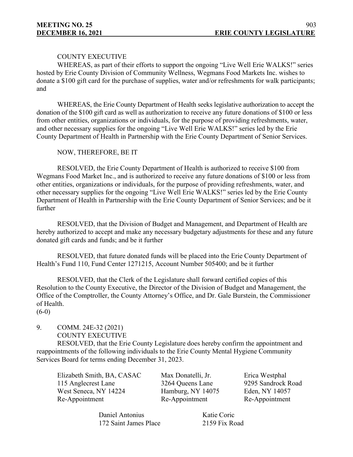## COUNTY EXECUTIVE

WHEREAS, as part of their efforts to support the ongoing "Live Well Erie WALKS!" series hosted by Erie County Division of Community Wellness, Wegmans Food Markets Inc. wishes to donate a \$100 gift card for the purchase of supplies, water and/or refreshments for walk participants; and

WHEREAS, the Erie County Department of Health seeks legislative authorization to accept the donation of the \$100 gift card as well as authorization to receive any future donations of \$100 or less from other entities, organizations or individuals, for the purpose of providing refreshments, water, and other necessary supplies for the ongoing "Live Well Erie WALKS!" series led by the Erie County Department of Health in Partnership with the Erie County Department of Senior Services.

## NOW, THEREFORE, BE IT

RESOLVED, the Erie County Department of Health is authorized to receive \$100 from Wegmans Food Market Inc., and is authorized to receive any future donations of \$100 or less from other entities, organizations or individuals, for the purpose of providing refreshments, water, and other necessary supplies for the ongoing "Live Well Erie WALKS!" series led by the Erie County Department of Health in Partnership with the Erie County Department of Senior Services; and be it further

RESOLVED, that the Division of Budget and Management, and Department of Health are hereby authorized to accept and make any necessary budgetary adjustments for these and any future donated gift cards and funds; and be it further

RESOLVED, that future donated funds will be placed into the Erie County Department of Health's Fund 110, Fund Center 1271215, Account Number 505400; and be it further

RESOLVED, that the Clerk of the Legislature shall forward certified copies of this Resolution to the County Executive, the Director of the Division of Budget and Management, the Office of the Comptroller, the County Attorney's Office, and Dr. Gale Burstein, the Commissioner of Health.

 $(6-0)$ 

# 9. COMM. 24E-32 (2021) COUNTY EXECUTIVE

RESOLVED, that the Erie County Legislature does hereby confirm the appointment and reappointments of the following individuals to the Erie County Mental Hygiene Community Services Board for terms ending December 31, 2023.

Elizabeth Smith, BA, CASAC Max Donatelli, Jr. Erica Westphal 115 Anglecrest Lane 3264 Queens Lane 9295 Sandrock Road West Seneca, NY 14224 Hamburg, NY 14075 Eden, NY 14057 Re-Appointment Re-Appointment Re-Appointment

Daniel Antonius Katie Coric 172 Saint James Place 2159 Fix Road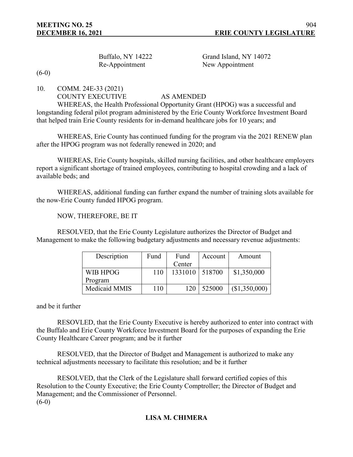| <b>Buffalo, NY 14222</b> |  |
|--------------------------|--|
| Re-Appointment           |  |

Grand Island, NY 14072 New Appointment

 $(6-0)$ 

10. COMM. 24E-33 (2021)

## COUNTY EXECUTIVE AS AMENDED

WHEREAS, the Health Professional Opportunity Grant (HPOG) was a successful and longstanding federal pilot program administered by the Erie County Workforce Investment Board that helped train Erie County residents for in-demand healthcare jobs for 10 years; and

WHEREAS, Erie County has continued funding for the program via the 2021 RENEW plan after the HPOG program was not federally renewed in 2020; and

WHEREAS, Erie County hospitals, skilled nursing facilities, and other healthcare employers report a significant shortage of trained employees, contributing to hospital crowding and a lack of available beds; and

WHEREAS, additional funding can further expand the number of training slots available for the now-Erie County funded HPOG program.

NOW, THEREFORE, BE IT

RESOLVED, that the Erie County Legislature authorizes the Director of Budget and Management to make the following budgetary adjustments and necessary revenue adjustments:

| Description   | Fund | Fund    | Account | Amount        |
|---------------|------|---------|---------|---------------|
|               |      | Center  |         |               |
| WIB HPOG      | 110  | 1331010 | 518700  | \$1,350,000   |
| Program       |      |         |         |               |
| Medicaid MMIS | 110  | 120     | 525000  | (\$1,350,000) |

## and be it further

RESOVLED, that the Erie County Executive is hereby authorized to enter into contract with the Buffalo and Erie County Workforce Investment Board for the purposes of expanding the Erie County Healthcare Career program; and be it further

RESOLVED, that the Director of Budget and Management is authorized to make any technical adjustments necessary to facilitate this resolution; and be it further

RESOLVED, that the Clerk of the Legislature shall forward certified copies of this Resolution to the County Executive; the Erie County Comptroller; the Director of Budget and Management; and the Commissioner of Personnel.  $(6-0)$ 

# **LISA M. CHIMERA**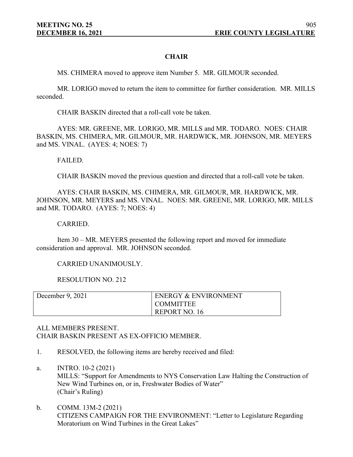## **CHAIR**

MS. CHIMERA moved to approve item Number 5. MR. GILMOUR seconded.

MR. LORIGO moved to return the item to committee for further consideration. MR. MILLS seconded.

CHAIR BASKIN directed that a roll-call vote be taken.

AYES: MR. GREENE, MR. LORIGO, MR. MILLS and MR. TODARO. NOES: CHAIR BASKIN, MS. CHIMERA, MR. GILMOUR, MR. HARDWICK, MR. JOHNSON, MR. MEYERS and MS. VINAL. (AYES: 4; NOES: 7)

FAILED.

CHAIR BASKIN moved the previous question and directed that a roll-call vote be taken.

AYES: CHAIR BASKIN, MS. CHIMERA, MR. GILMOUR, MR. HARDWICK, MR. JOHNSON, MR. MEYERS and MS. VINAL. NOES: MR. GREENE, MR. LORIGO, MR. MILLS and MR. TODARO. (AYES: 7; NOES: 4)

CARRIED.

Item 30 – MR. MEYERS presented the following report and moved for immediate consideration and approval. MR. JOHNSON seconded.

CARRIED UNANIMOUSLY.

RESOLUTION NO. 212

| December 9, 2021 | <b>ENERGY &amp; ENVIRONMENT</b> |
|------------------|---------------------------------|
|                  | <b>COMMITTEE</b>                |
|                  | REPORT NO. 16                   |

## ALL MEMBERS PRESENT. CHAIR BASKIN PRESENT AS EX-OFFICIO MEMBER.

1. RESOLVED, the following items are hereby received and filed:

a. INTRO. 10-2 (2021) MILLS: "Support for Amendments to NYS Conservation Law Halting the Construction of New Wind Turbines on, or in, Freshwater Bodies of Water" (Chair's Ruling)

b. COMM. 13M-2 (2021) CITIZENS CAMPAIGN FOR THE ENVIRONMENT: "Letter to Legislature Regarding Moratorium on Wind Turbines in the Great Lakes"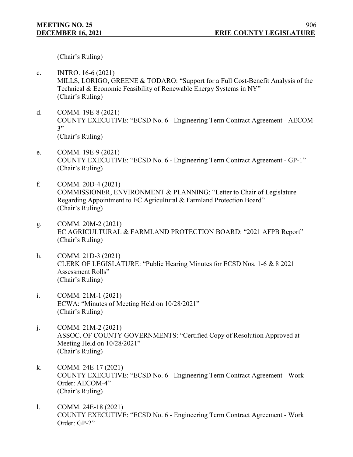(Chair's Ruling)

- c. INTRO. 16-6 (2021) MILLS, LORIGO, GREENE & TODARO: "Support for a Full Cost-Benefit Analysis of the Technical & Economic Feasibility of Renewable Energy Systems in NY" (Chair's Ruling)
- d. COMM. 19E-8 (2021) COUNTY EXECUTIVE: "ECSD No. 6 - Engineering Term Contract Agreement - AECOM-3" (Chair's Ruling)
- e. COMM. 19E-9 (2021) COUNTY EXECUTIVE: "ECSD No. 6 - Engineering Term Contract Agreement - GP-1" (Chair's Ruling)
- f. COMM. 20D-4 (2021) COMMISSIONER, ENVIRONMENT & PLANNING: "Letter to Chair of Legislature Regarding Appointment to EC Agricultural & Farmland Protection Board" (Chair's Ruling)
- g. COMM. 20M-2 (2021) EC AGRICULTURAL & FARMLAND PROTECTION BOARD: "2021 AFPB Report" (Chair's Ruling)
- h. COMM. 21D-3 (2021) CLERK OF LEGISLATURE: "Public Hearing Minutes for ECSD Nos. 1-6 & 8 2021 Assessment Rolls" (Chair's Ruling)
- i. COMM. 21M-1 (2021) ECWA: "Minutes of Meeting Held on 10/28/2021" (Chair's Ruling)
- j. COMM. 21M-2 (2021) ASSOC. OF COUNTY GOVERNMENTS: "Certified Copy of Resolution Approved at Meeting Held on 10/28/2021" (Chair's Ruling)
- k. COMM. 24E-17 (2021) COUNTY EXECUTIVE: "ECSD No. 6 - Engineering Term Contract Agreement - Work Order: AECOM-4" (Chair's Ruling)
- l. COMM. 24E-18 (2021) COUNTY EXECUTIVE: "ECSD No. 6 - Engineering Term Contract Agreement - Work Order: GP-2"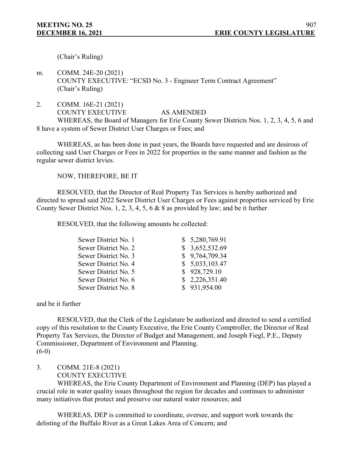(Chair's Ruling)

m. COMM. 24E-20 (2021) COUNTY EXECUTIVE: "ECSD No. 3 - Engineer Term Contract Agreement" (Chair's Ruling)

2. COMM. 16E-21 (2021) COUNTY EXECUTIVE AS AMENDED WHEREAS, the Board of Managers for Erie County Sewer Districts Nos. 1, 2, 3, 4, 5, 6 and 8 have a system of Sewer District User Charges or Fees; and

WHEREAS, as has been done in past years, the Boards have requested and are desirous of collecting said User Charges or Fees in 2022 for properties in the same manner and fashion as the regular sewer district levies.

NOW, THEREFORE, BE IT

RESOLVED, that the Director of Real Property Tax Services is hereby authorized and directed to spread said 2022 Sewer District User Charges or Fees against properties serviced by Erie County Sewer District Nos. 1, 2, 3, 4, 5, 6 & 8 as provided by law; and be it further

RESOLVED, that the following amounts be collected:

| Sewer District No. 1 | \$5,280,769.91 |
|----------------------|----------------|
| Sewer District No. 2 | \$3,652,532.69 |
| Sewer District No. 3 | \$9,764,709.34 |
| Sewer District No. 4 | \$5,033,103.47 |
| Sewer District No. 5 | \$928,729.10   |
| Sewer District No. 6 | \$2,226,351.40 |
| Sewer District No. 8 | \$931,954.00   |

and be it further

RESOLVED, that the Clerk of the Legislature be authorized and directed to send a certified copy of this resolution to the County Executive, the Erie County Comptroller, the Director of Real Property Tax Services, the Director of Budget and Management, and Joseph Fiegl, P.E., Deputy Commissioner, Department of Environment and Planning.  $(6-0)$ 

3. COMM. 21E-8 (2021)

COUNTY EXECUTIVE

WHEREAS, the Erie County Department of Environment and Planning (DEP) has played a crucial role in water quality issues throughout the region for decades and continues to administer many initiatives that protect and preserve our natural water resources; and

WHEREAS, DEP is committed to coordinate, oversee, and support work towards the delisting of the Buffalo River as a Great Lakes Area of Concern; and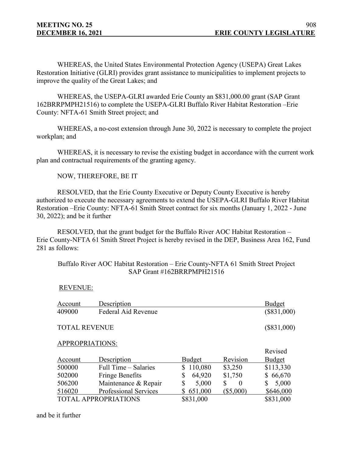WHEREAS, the United States Environmental Protection Agency (USEPA) Great Lakes Restoration Initiative (GLRI) provides grant assistance to municipalities to implement projects to improve the quality of the Great Lakes; and

WHEREAS, the USEPA-GLRI awarded Erie County an \$831,000.00 grant (SAP Grant 162BRRPMPH21516) to complete the USEPA-GLRI Buffalo River Habitat Restoration –Erie County: NFTA-61 Smith Street project; and

WHEREAS, a no-cost extension through June 30, 2022 is necessary to complete the project workplan; and

WHEREAS, it is necessary to revise the existing budget in accordance with the current work plan and contractual requirements of the granting agency.

NOW, THEREFORE, BE IT

RESOLVED, that the Erie County Executive or Deputy County Executive is hereby authorized to execute the necessary agreements to extend the USEPA-GLRI Buffalo River Habitat Restoration –Erie County: NFTA-61 Smith Street contract for six months (January 1, 2022 - June 30, 2022); and be it further

RESOLVED, that the grant budget for the Buffalo River AOC Habitat Restoration – Erie County-NFTA 61 Smith Street Project is hereby revised in the DEP, Business Area 162, Fund 281 as follows:

## Buffalo River AOC Habitat Restoration – Erie County-NFTA 61 Smith Street Project SAP Grant #162BRRPMPH21516

## REVENUE:

| Account                     | Description                  |                         |                | <b>Budget</b> |
|-----------------------------|------------------------------|-------------------------|----------------|---------------|
| 409000                      | Federal Aid Revenue          |                         |                | $(\$831,000)$ |
| <b>TOTAL REVENUE</b>        | $(\$831,000)$                |                         |                |               |
| APPROPRIATIONS:             |                              |                         |                |               |
|                             |                              |                         |                | Revised       |
| Account                     | Description                  | Budget                  | Revision       | Budget        |
| 500000                      | Full Time – Salaries         | 110,080<br>$\mathbb{S}$ | \$3,250        | \$113,330     |
| 502000                      | <b>Fringe Benefits</b>       | 64,920<br>\$            | \$1,750        | \$66,670      |
| 506200                      | Maintenance & Repair         | \$<br>5,000             | \$<br>$\Omega$ | 5,000<br>S    |
| 516020                      | <b>Professional Services</b> | 651,000                 | $(\$5,000)$    | \$646,000     |
| <b>TOTAL APPROPRIATIONS</b> |                              | \$831,000               |                | \$831,000     |

and be it further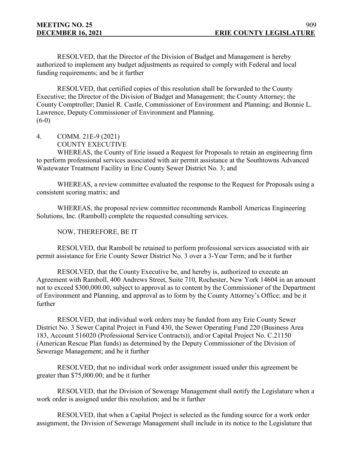RESOLVED, that the Director of the Division of Budget and Management is hereby authorized to implement any budget adjustments as required to comply with Federal and local funding requirements; and be it further

RESOLVED, that certified copies of this resolution shall be forwarded to the County Executive; the Director of the Division of Budget and Management; the County Attorney; the County Comptroller; Daniel R. Castle, Commissioner of Environment and Planning; and Bonnie L. Lawrence, Deputy Commissioner of Environment and Planning.  $(6-0)$ 

4. COMM. 21E-9 (2021) COUNTY EXECUTIVE

WHEREAS, the County of Erie issued a Request for Proposals to retain an engineering firm to perform professional services associated with air permit assistance at the Southtowns Advanced Wastewater Treatment Facility in Erie County Sewer District No. 3; and

WHEREAS, a review committee evaluated the response to the Request for Proposals using a consistent scoring matrix; and

WHEREAS, the proposal review committee recommends Ramboll Americas Engineering Solutions, Inc. (Ramboll) complete the requested consulting services.

NOW, THEREFORE, BE IT

RESOLVED, that Ramboll be retained to perform professional services associated with air permit assistance for Erie County Sewer District No. 3 over a 3-Year Term; and be it further

RESOLVED, that the County Executive be, and hereby is, authorized to execute an Agreement with Ramboll, 400 Andrews Street, Suite 710, Rochester, New York 14604 in an amount not to exceed \$300,000.00, subject to approval as to content by the Commissioner of the Department of Environment and Planning, and approval as to form by the County Attorney's Office; and be it further

RESOLVED, that individual work orders may be funded from any Erie County Sewer District No. 3 Sewer Capital Project in Fund 430, the Sewer Operating Fund 220 (Business Area 183, Account 516020 (Professional Service Contracts)), and/or Capital Project No. C.21150 (American Rescue Plan funds) as determined by the Deputy Commissioner of the Division of Sewerage Management; and be it further

RESOLVED, that no individual work order assignment issued under this agreement be greater than \$75,000.00; and be it further

RESOLVED, that the Division of Sewerage Management shall notify the Legislature when a work order is assigned under this resolution; and be it further

RESOLVED, that when a Capital Project is selected as the funding source for a work order assignment, the Division of Sewerage Management shall include in its notice to the Legislature that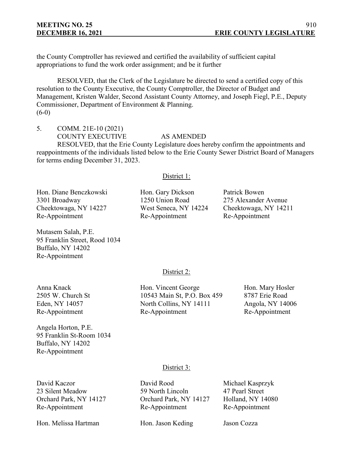the County Comptroller has reviewed and certified the availability of sufficient capital appropriations to fund the work order assignment; and be it further

RESOLVED, that the Clerk of the Legislature be directed to send a certified copy of this resolution to the County Executive, the County Comptroller, the Director of Budget and Management, Kristen Walder, Second Assistant County Attorney, and Joseph Fiegl, P.E., Deputy Commissioner, Department of Environment & Planning.  $(6-0)$ 

5. COMM. 21E-10 (2021)

## COUNTY EXECUTIVE AS AMENDED

RESOLVED, that the Erie County Legislature does hereby confirm the appointments and reappointments of the individuals listed below to the Erie County Sewer District Board of Managers for terms ending December 31, 2023.

## District 1:

Hon. Diane Benczkowski Hon. Gary Dickson Patrick Bowen 3301 Broadway 1250 Union Road 275 Alexander Avenue Cheektowaga, NY 14227 West Seneca, NY 14224 Cheektowaga, NY 14211 Re-Appointment Re-Appointment Re-Appointment

Mutasem Salah, P.E. 95 Franklin Street, Rood 1034 Buffalo, NY 14202 Re-Appointment

## District 2:

Angela Horton, P.E. 95 Franklin St-Room 1034 Buffalo, NY 14202 Re-Appointment

Anna Knack **Hon. Vincent George** Hon. Mary Hosler 2505 W. Church St 10543 Main St, P.O. Box 459 8787 Erie Road Eden, NY 14057 **North Collins, NY 14111** Angola, NY 14006 Re-Appointment Re-Appointment Re-Appointment

## District 3:

Hon. Melissa Hartman Hon. Jason Keding Jason Cozza

David Kaczor David Rood Michael Kasprzyk 23 Silent Meadow 59 North Lincoln 47 Pearl Street Orchard Park, NY 14127 Orchard Park, NY 14127 Holland, NY 14080 Re-Appointment Re-Appointment Re-Appointment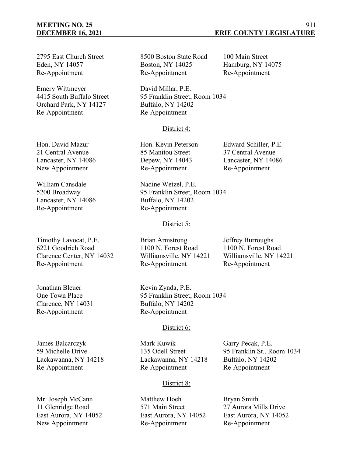# **MEETING NO. 25**

2795 East Church Street 8500 Boston State Road 100 Main Street Eden, NY 14057 Boston, NY 14025 Hamburg, NY 14075 Re-Appointment Re-Appointment Re-Appointment

Emery Wittmeyer David Millar, P.E. Orchard Park, NY 14127 Buffalo, NY 14202 Re-Appointment Re-Appointment

4415 South Buffalo Street 95 Franklin Street, Room 1034

## District 4:

Lancaster, NY 14086 Depew, NY 14043 Lancaster, NY 14086 New Appointment Re-Appointment Re-Appointment

William Cansdale Nadine Wetzel, P.E. 5200 Broadway 95 Franklin Street, Room 1034

## District 5:

One Town Place 95 Franklin Street, Room 1034

## District 6:

James Balcarczyk Mark Kuwik Garry Pecak, P.E. Lackawanna, NY 14218 Lackawanna, NY 14218 Buffalo, NY 14202 Re-Appointment Re-Appointment Re-Appointment

59 Michelle Drive 135 Odell Street 95 Franklin St., Room 1034

# District 8:

Mr. Joseph McCann Matthew Hoeh Bryan Smith 11 Glenridge Road 571 Main Street 27 Aurora Mills Drive East Aurora, NY 14052 East Aurora, NY 14052 East Aurora, NY 14052 New Appointment Re-Appointment Re-Appointment

Hon. David Mazur Hon. Kevin Peterson Edward Schiller, P.E. 21 Central Avenue 85 Manitou Street 37 Central Avenue

Lancaster, NY 14086 Buffalo, NY 14202 Re-Appointment Re-Appointment

Timothy Lavocat, P.E. Brian Armstrong Jeffrey Burroughs 6221 Goodrich Road 1100 N. Forest Road 1100 N. Forest Road Clarence Center, NY 14032 Williamsville, NY 14221 Williamsville, NY 14221 Re-Appointment Re-Appointment Re-Appointment

Jonathan Bleuer Kevin Zynda, P.E. Clarence, NY 14031 Buffalo, NY 14202 Re-Appointment Re-Appointment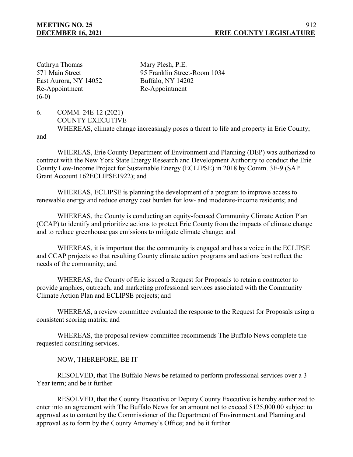Cathryn Thomas Mary Plesh, P.E. East Aurora, NY 14052 Buffalo, NY 14202 Re-Appointment Re-Appointment  $(6-0)$ 

571 Main Street 95 Franklin Street-Room 1034

6. COMM. 24E-12 (2021) COUNTY EXECUTIVE WHEREAS, climate change increasingly poses a threat to life and property in Erie County; and

WHEREAS, Erie County Department of Environment and Planning (DEP) was authorized to contract with the New York State Energy Research and Development Authority to conduct the Erie County Low-Income Project for Sustainable Energy (ECLIPSE) in 2018 by Comm. 3E-9 (SAP Grant Account 162ECLIPSE1922); and

WHEREAS, ECLIPSE is planning the development of a program to improve access to renewable energy and reduce energy cost burden for low- and moderate-income residents; and

WHEREAS, the County is conducting an equity-focused Community Climate Action Plan (CCAP) to identify and prioritize actions to protect Erie County from the impacts of climate change and to reduce greenhouse gas emissions to mitigate climate change; and

WHEREAS, it is important that the community is engaged and has a voice in the ECLIPSE and CCAP projects so that resulting County climate action programs and actions best reflect the needs of the community; and

WHEREAS, the County of Erie issued a Request for Proposals to retain a contractor to provide graphics, outreach, and marketing professional services associated with the Community Climate Action Plan and ECLIPSE projects; and

WHEREAS, a review committee evaluated the response to the Request for Proposals using a consistent scoring matrix; and

WHEREAS, the proposal review committee recommends The Buffalo News complete the requested consulting services.

NOW, THEREFORE, BE IT

RESOLVED, that The Buffalo News be retained to perform professional services over a 3- Year term; and be it further

RESOLVED, that the County Executive or Deputy County Executive is hereby authorized to enter into an agreement with The Buffalo News for an amount not to exceed \$125,000.00 subject to approval as to content by the Commissioner of the Department of Environment and Planning and approval as to form by the County Attorney's Office; and be it further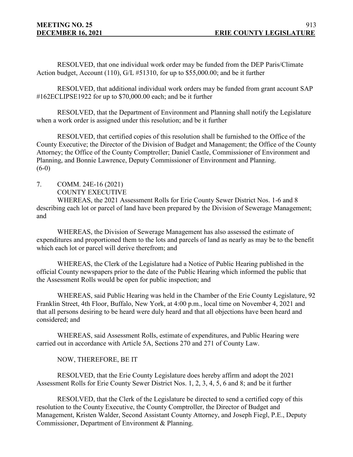RESOLVED, that one individual work order may be funded from the DEP Paris/Climate Action budget, Account (110), G/L #51310, for up to \$55,000.00; and be it further

RESOLVED, that additional individual work orders may be funded from grant account SAP #162ECLIPSE1922 for up to \$70,000.00 each; and be it further

RESOLVED, that the Department of Environment and Planning shall notify the Legislature when a work order is assigned under this resolution; and be it further

RESOLVED, that certified copies of this resolution shall be furnished to the Office of the County Executive; the Director of the Division of Budget and Management; the Office of the County Attorney; the Office of the County Comptroller; Daniel Castle, Commissioner of Environment and Planning, and Bonnie Lawrence, Deputy Commissioner of Environment and Planning.  $(6-0)$ 

7. COMM. 24E-16 (2021) COUNTY EXECUTIVE

WHEREAS, the 2021 Assessment Rolls for Erie County Sewer District Nos. 1-6 and 8 describing each lot or parcel of land have been prepared by the Division of Sewerage Management; and

WHEREAS, the Division of Sewerage Management has also assessed the estimate of expenditures and proportioned them to the lots and parcels of land as nearly as may be to the benefit which each lot or parcel will derive therefrom; and

WHEREAS, the Clerk of the Legislature had a Notice of Public Hearing published in the official County newspapers prior to the date of the Public Hearing which informed the public that the Assessment Rolls would be open for public inspection; and

WHEREAS, said Public Hearing was held in the Chamber of the Erie County Legislature, 92 Franklin Street, 4th Floor, Buffalo, New York, at 4:00 p.m., local time on November 4, 2021 and that all persons desiring to be heard were duly heard and that all objections have been heard and considered; and

WHEREAS, said Assessment Rolls, estimate of expenditures, and Public Hearing were carried out in accordance with Article 5A, Sections 270 and 271 of County Law.

# NOW, THEREFORE, BE IT

RESOLVED, that the Erie County Legislature does hereby affirm and adopt the 2021 Assessment Rolls for Erie County Sewer District Nos. 1, 2, 3, 4, 5, 6 and 8; and be it further

RESOLVED, that the Clerk of the Legislature be directed to send a certified copy of this resolution to the County Executive, the County Comptroller, the Director of Budget and Management, Kristen Walder, Second Assistant County Attorney, and Joseph Fiegl, P.E., Deputy Commissioner, Department of Environment & Planning.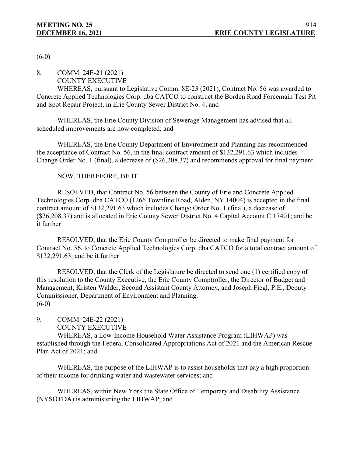$(6-0)$ 

8. COMM. 24E-21 (2021)

COUNTY EXECUTIVE

WHEREAS, pursuant to Legislative Comm. 8E-23 (2021), Contract No. 56 was awarded to Concrete Applied Technologies Corp. dba CATCO to construct the Borden Road Forcemain Test Pit and Spot Repair Project, in Erie County Sewer District No. 4; and

WHEREAS, the Erie County Division of Sewerage Management has advised that all scheduled improvements are now completed; and

WHEREAS, the Erie County Department of Environment and Planning has recommended the acceptance of Contract No. 56, in the final contract amount of \$132,291.63 which includes Change Order No. 1 (final), a decrease of (\$26,208.37) and recommends approval for final payment.

# NOW, THEREFORE, BE IT

RESOLVED, that Contract No. 56 between the County of Erie and Concrete Applied Technologies Corp. dba CATCO (1266 Townline Road, Alden, NY 14004) is accepted in the final contract amount of \$132,291.63 which includes Change Order No. 1 (final), a decrease of (\$26,208.37) and is allocated in Erie County Sewer District No. 4 Capital Account C.17401; and be it further

RESOLVED, that the Erie County Comptroller be directed to make final payment for Contract No. 56, to Concrete Applied Technologies Corp. dba CATCO for a total contract amount of \$132,291.63; and be it further

RESOLVED, that the Clerk of the Legislature be directed to send one (1) certified copy of this resolution to the County Executive, the Erie County Comptroller, the Director of Budget and Management, Kristen Walder, Second Assistant County Attorney, and Joseph Fiegl, P.E., Deputy Commissioner, Department of Environment and Planning.  $(6-0)$ 

## 9. COMM. 24E-22 (2021) COUNTY EXECUTIVE

WHEREAS, a Low-Income Household Water Assistance Program (LIHWAP) was established through the Federal Consolidated Appropriations Act of 2021 and the American Rescue Plan Act of 2021; and

WHEREAS, the purpose of the LIHWAP is to assist households that pay a high proportion of their income for drinking water and wastewater services; and

WHEREAS, within New York the State Office of Temporary and Disability Assistance (NYSOTDA) is administering the LIHWAP; and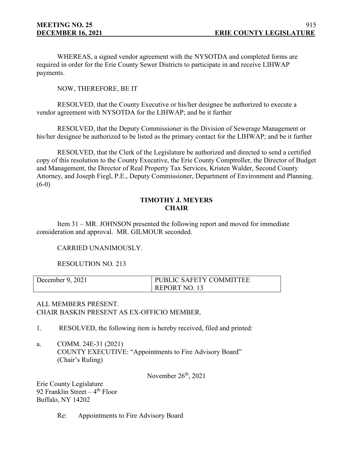WHEREAS, a signed vendor agreement with the NYSOTDA and completed forms are required in order for the Erie County Sewer Districts to participate in and receive LIHWAP payments.

NOW, THEREFORE, BE IT

RESOLVED, that the County Executive or his/her designee be authorized to execute a vendor agreement with NYSOTDA for the LIHWAP; and be it further

RESOLVED, that the Deputy Commissioner in the Division of Sewerage Management or his/her designee be authorized to be listed as the primary contact for the LIHWAP; and be it further

RESOLVED, that the Clerk of the Legislature be authorized and directed to send a certified copy of this resolution to the County Executive, the Erie County Comptroller, the Director of Budget and Management, the Director of Real Property Tax Services, Kristen Walder, Second County Attorney, and Joseph Fiegl, P.E., Deputy Commissioner, Department of Environment and Planning.  $(6-0)$ 

## **TIMOTHY J. MEYERS CHAIR**

Item 31 – MR. JOHNSON presented the following report and moved for immediate consideration and approval. MR. GILMOUR seconded.

CARRIED UNANIMOUSLY.

RESOLUTION NO. 213

| December 9, 2021 | PUBLIC SAFETY COMMITTEE |
|------------------|-------------------------|
|                  | REPORT NO. 13           |

# ALL MEMBERS PRESENT. CHAIR BASKIN PRESENT AS EX-OFFICIO MEMBER.

- 1. RESOLVED, the following item is hereby received, filed and printed:
- a. COMM. 24E-31 (2021) COUNTY EXECUTIVE: "Appointments to Fire Advisory Board" (Chair's Ruling)

November  $26<sup>th</sup>$ , 2021

Erie County Legislature 92 Franklin Street  $-4$ <sup>th</sup> Floor Buffalo, NY 14202

Re: Appointments to Fire Advisory Board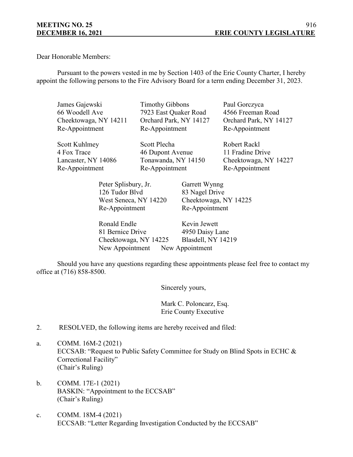Dear Honorable Members:

Pursuant to the powers vested in me by Section 1403 of the Erie County Charter, I hereby appoint the following persons to the Fire Advisory Board for a term ending December 31, 2023.

| James Gajewski        | <b>Timothy Gibbons</b> | Paul Gorczyca          |
|-----------------------|------------------------|------------------------|
| 66 Woodell Ave        | 7923 East Quaker Road  | 4566 Freeman Road      |
| Cheektowaga, NY 14211 | Orchard Park, NY 14127 | Orchard Park, NY 14127 |
| Re-Appointment        | Re-Appointment         | Re-Appointment         |
| Scott Kuhlmey         | Scott Plecha           | Robert Rackl           |
| 4 Fox Trace           | 46 Dupont Avenue       | 11 Fradine Drive       |
| Lancaster, NY 14086   | Tonawanda, NY 14150    | Cheektowaga, NY 14227  |

Re-Appointment Re-Appointment Re-Appointment

Peter Splisbury, Jr. Garrett Wynng 126 Tudor Blvd 83 Nagel Drive Re-Appointment Re-Appointment

West Seneca, NY 14220 Cheektowaga, NY 14225

| Ronald Endle                    | Kevin Jewett              |
|---------------------------------|---------------------------|
| 81 Bernice Drive                | 4950 Daisy Lane           |
| Cheektowaga, NY 14225           | <b>Blasdell, NY 14219</b> |
| New Appointment New Appointment |                           |

Should you have any questions regarding these appointments please feel free to contact my office at (716) 858-8500.

Sincerely yours,

Mark C. Poloncarz, Esq. Erie County Executive

- 2. RESOLVED, the following items are hereby received and filed:
- a. COMM. 16M-2 (2021) ECCSAB: "Request to Public Safety Committee for Study on Blind Spots in ECHC & Correctional Facility" (Chair's Ruling)
- b. COMM. 17E-1 (2021) BASKIN: "Appointment to the ECCSAB" (Chair's Ruling)
- c. COMM. 18M-4 (2021) ECCSAB: "Letter Regarding Investigation Conducted by the ECCSAB"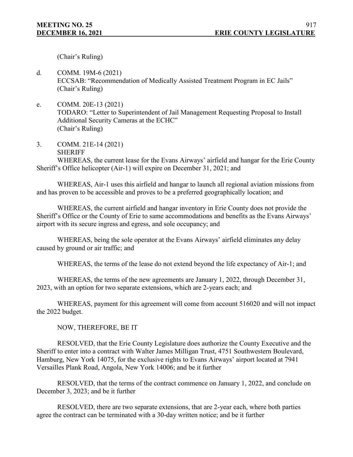(Chair's Ruling)

- d. COMM. 19M-6 (2021) ECCSAB: "Recommendation of Medically Assisted Treatment Program in EC Jails" (Chair's Ruling)
- e. COMM. 20E-13 (2021) TODARO: "Letter to Superintendent of Jail Management Requesting Proposal to Install Additional Security Cameras at the ECHC" (Chair's Ruling)
- 3. COMM. 21E-14 (2021) **SHERIFF**

WHEREAS, the current lease for the Evans Airways' airfield and hangar for the Erie County Sheriff's Office helicopter (Air-1) will expire on December 31, 2021; and

WHEREAS, Air-1 uses this airfield and hangar to launch all regional aviation missions from and has proven to be accessible and proves to be a preferred geographically location; and

WHEREAS, the current airfield and hangar inventory in Erie County does not provide the Sheriff's Office or the County of Erie to same accommodations and benefits as the Evans Airways' airport with its secure ingress and egress, and sole occupancy; and

WHEREAS, being the sole operator at the Evans Airways' airfield eliminates any delay caused by ground or air traffic; and

WHEREAS, the terms of the lease do not extend beyond the life expectancy of Air-1; and

WHEREAS, the terms of the new agreements are January 1, 2022, through December 31, 2023, with an option for two separate extensions, which are 2-years each; and

WHEREAS, payment for this agreement will come from account 516020 and will not impact the 2022 budget.

NOW, THEREFORE, BE IT

RESOLVED, that the Erie County Legislature does authorize the County Executive and the Sheriff to enter into a contract with Walter James Milligan Trust, 4751 Southwestern Boulevard, Hamburg, New York 14075, for the exclusive rights to Evans Airways' airport located at 7941 Versailles Plank Road, Angola, New York 14006; and be it further

RESOLVED, that the terms of the contract commence on January 1, 2022, and conclude on December 3, 2023; and be it further

RESOLVED, there are two separate extensions, that are 2-year each, where both parties agree the contract can be terminated with a 30-day written notice; and be it further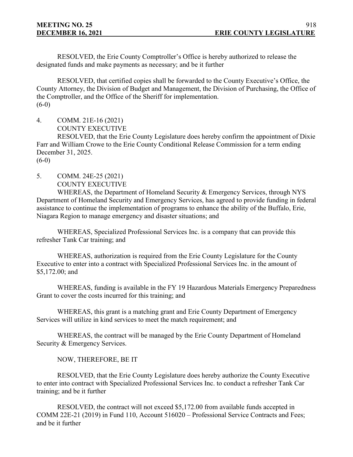RESOLVED, the Erie County Comptroller's Office is hereby authorized to release the designated funds and make payments as necessary; and be it further

RESOLVED, that certified copies shall be forwarded to the County Executive's Office, the County Attorney, the Division of Budget and Management, the Division of Purchasing, the Office of the Comptroller, and the Office of the Sheriff for implementation.  $(6-0)$ 

4. COMM. 21E-16 (2021) COUNTY EXECUTIVE

RESOLVED, that the Erie County Legislature does hereby confirm the appointment of Dixie Farr and William Crowe to the Erie County Conditional Release Commission for a term ending December 31, 2025.

 $(6-0)$ 

5. COMM. 24E-25 (2021) COUNTY EXECUTIVE

WHEREAS, the Department of Homeland Security & Emergency Services, through NYS Department of Homeland Security and Emergency Services, has agreed to provide funding in federal assistance to continue the implementation of programs to enhance the ability of the Buffalo, Erie, Niagara Region to manage emergency and disaster situations; and

WHEREAS, Specialized Professional Services Inc. is a company that can provide this refresher Tank Car training; and

WHEREAS, authorization is required from the Erie County Legislature for the County Executive to enter into a contract with Specialized Professional Services Inc. in the amount of \$5,172.00; and

WHEREAS, funding is available in the FY 19 Hazardous Materials Emergency Preparedness Grant to cover the costs incurred for this training; and

WHEREAS, this grant is a matching grant and Erie County Department of Emergency Services will utilize in kind services to meet the match requirement; and

WHEREAS, the contract will be managed by the Erie County Department of Homeland Security & Emergency Services.

NOW, THEREFORE, BE IT

RESOLVED, that the Erie County Legislature does hereby authorize the County Executive to enter into contract with Specialized Professional Services Inc. to conduct a refresher Tank Car training; and be it further

RESOLVED, the contract will not exceed \$5,172.00 from available funds accepted in COMM 22E-21 (2019) in Fund 110, Account 516020 – Professional Service Contracts and Fees; and be it further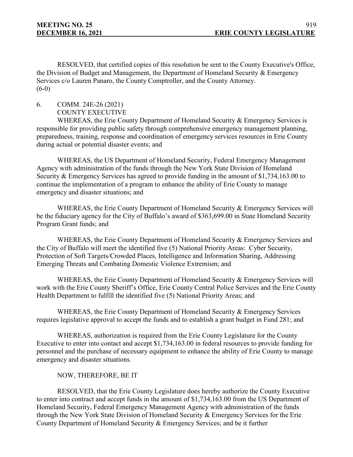RESOLVED, that certified copies of this resolution be sent to the County Executive's Office, the Division of Budget and Management, the Department of Homeland Security & Emergency Services c/o Lauren Panaro, the County Comptroller, and the County Attorney.  $(6-0)$ 

6. COMM. 24E-26 (2021)

COUNTY EXECUTIVE

WHEREAS, the Erie County Department of Homeland Security & Emergency Services is responsible for providing public safety through comprehensive emergency management planning, preparedness, training, response and coordination of emergency services resources in Erie County during actual or potential disaster events; and

WHEREAS, the US Department of Homeland Security, Federal Emergency Management Agency with administration of the funds through the New York State Division of Homeland Security & Emergency Services has agreed to provide funding in the amount of \$1,734,163.00 to continue the implementation of a program to enhance the ability of Erie County to manage emergency and disaster situations; and

WHEREAS, the Erie County Department of Homeland Security & Emergency Services will be the fiduciary agency for the City of Buffalo's award of \$363,699.00 in State Homeland Security Program Grant funds; and

WHEREAS, the Erie County Department of Homeland Security & Emergency Services and the City of Buffalo will meet the identified five (5) National Priority Areas: Cyber Security, Protection of Soft Targets/Crowded Places, Intelligence and Information Sharing, Addressing Emerging Threats and Combating Domestic Violence Extremism; and

WHEREAS, the Erie County Department of Homeland Security & Emergency Services will work with the Erie County Sheriff's Office, Erie County Central Police Services and the Erie County Health Department to fulfill the identified five (5) National Priority Areas; and

WHEREAS, the Erie County Department of Homeland Security & Emergency Services requires legislative approval to accept the funds and to establish a grant budget in Fund 281; and

WHEREAS, authorization is required from the Erie County Legislature for the County Executive to enter into contact and accept \$1,734,163.00 in federal resources to provide funding for personnel and the purchase of necessary equipment to enhance the ability of Erie County to manage emergency and disaster situations.

#### NOW, THEREFORE, BE IT

RESOLVED, that the Erie County Legislature does hereby authorize the County Executive to enter into contract and accept funds in the amount of \$1,734,163.00 from the US Department of Homeland Security, Federal Emergency Management Agency with administration of the funds through the New York State Division of Homeland Security & Emergency Services for the Erie County Department of Homeland Security & Emergency Services; and be it further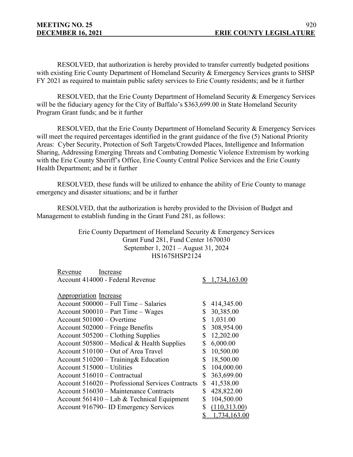RESOLVED, that authorization is hereby provided to transfer currently budgeted positions with existing Erie County Department of Homeland Security & Emergency Services grants to SHSP FY 2021 as required to maintain public safety services to Erie County residents; and be it further

RESOLVED, that the Erie County Department of Homeland Security & Emergency Services will be the fiduciary agency for the City of Buffalo's \$363,699.00 in State Homeland Security Program Grant funds; and be it further

RESOLVED, that the Erie County Department of Homeland Security & Emergency Services will meet the required percentages identified in the grant guidance of the five (5) National Priority Areas: Cyber Security, Protection of Soft Targets/Crowded Places, Intelligence and Information Sharing, Addressing Emerging Threats and Combating Domestic Violence Extremism by working with the Erie County Sheriff's Office, Erie County Central Police Services and the Erie County Health Department; and be it further

RESOLVED, these funds will be utilized to enhance the ability of Erie County to manage emergency and disaster situations; and be it further

RESOLVED, that the authorization is hereby provided to the Division of Budget and Management to establish funding in the Grant Fund 281, as follows:

> Erie County Department of Homeland Security & Emergency Services Grant Fund 281, Fund Center 1670030 September 1, 2021 – August 31, 2024 HS167SHSP2124

| Revenue<br>Increase                              |                    |
|--------------------------------------------------|--------------------|
| Account 414000 - Federal Revenue                 | 1,734,163.00       |
|                                                  |                    |
| <b>Appropriation Increase</b>                    |                    |
| Account 500000 – Full Time – Salaries            | \$<br>414,345.00   |
| Account $500010 - Part Time - Wages$             | \$<br>30,385.00    |
| Account 501000 – Overtime                        | \$<br>1,031.00     |
| Account 502000 – Fringe Benefits                 | \$<br>308,954.00   |
| Account 505200 - Clothing Supplies               | \$<br>12,202.00    |
| Account $505800$ – Medical & Health Supplies     | \$<br>6,000.00     |
| Account 510100 – Out of Area Travel              | \$<br>10,500.00    |
| Account 510200 - Training& Education             | \$<br>18,500.00    |
| Account $515000 - U$ tilities                    | \$<br>104,000.00   |
| Account 516010 – Contractual                     | \$<br>363,699.00   |
| Account 516020 – Professional Services Contracts | \$<br>41,538.00    |
| Account 516030 – Maintenance Contracts           | \$<br>428,822.00   |
| Account $561410 -$ Lab & Technical Equipment     | \$<br>104,500.00   |
| Account 916790– ID Emergency Services            | \$<br>(110,313.00) |
|                                                  | 1,734,163.00       |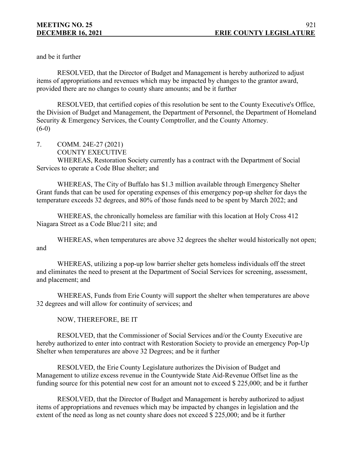and be it further

RESOLVED, that the Director of Budget and Management is hereby authorized to adjust items of appropriations and revenues which may be impacted by changes to the grantor award, provided there are no changes to county share amounts; and be it further

RESOLVED, that certified copies of this resolution be sent to the County Executive's Office, the Division of Budget and Management, the Department of Personnel, the Department of Homeland Security & Emergency Services, the County Comptroller, and the County Attorney.  $(6-0)$ 

- 7. COMM. 24E-27 (2021)
	- COUNTY EXECUTIVE

WHEREAS, Restoration Society currently has a contract with the Department of Social Services to operate a Code Blue shelter; and

WHEREAS, The City of Buffalo has \$1.3 million available through Emergency Shelter Grant funds that can be used for operating expenses of this emergency pop-up shelter for days the temperature exceeds 32 degrees, and 80% of those funds need to be spent by March 2022; and

WHEREAS, the chronically homeless are familiar with this location at Holy Cross 412 Niagara Street as a Code Blue/211 site; and

WHEREAS, when temperatures are above 32 degrees the shelter would historically not open; and

WHEREAS, utilizing a pop-up low barrier shelter gets homeless individuals off the street and eliminates the need to present at the Department of Social Services for screening, assessment, and placement; and

WHEREAS, Funds from Erie County will support the shelter when temperatures are above 32 degrees and will allow for continuity of services; and

NOW, THEREFORE, BE IT

RESOLVED, that the Commissioner of Social Services and/or the County Executive are hereby authorized to enter into contract with Restoration Society to provide an emergency Pop-Up Shelter when temperatures are above 32 Degrees; and be it further

RESOLVED, the Erie County Legislature authorizes the Division of Budget and Management to utilize excess revenue in the Countywide State Aid-Revenue Offset line as the funding source for this potential new cost for an amount not to exceed \$ 225,000; and be it further

RESOLVED, that the Director of Budget and Management is hereby authorized to adjust items of appropriations and revenues which may be impacted by changes in legislation and the extent of the need as long as net county share does not exceed \$ 225,000; and be it further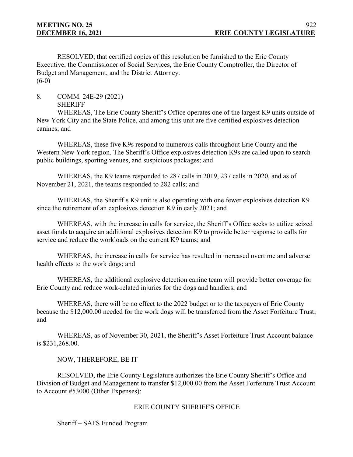RESOLVED, that certified copies of this resolution be furnished to the Erie County Executive, the Commissioner of Social Services, the Erie County Comptroller, the Director of Budget and Management, and the District Attorney.  $(6-0)$ 

8. COMM. 24E-29 (2021)

SHERIFF

WHEREAS, The Erie County Sheriff's Office operates one of the largest K9 units outside of New York City and the State Police, and among this unit are five certified explosives detection canines; and

WHEREAS, these five K9s respond to numerous calls throughout Erie County and the Western New York region. The Sheriff's Office explosives detection K9s are called upon to search public buildings, sporting venues, and suspicious packages; and

WHEREAS, the K9 teams responded to 287 calls in 2019, 237 calls in 2020, and as of November 21, 2021, the teams responded to 282 calls; and

WHEREAS, the Sheriff's K9 unit is also operating with one fewer explosives detection K9 since the retirement of an explosives detection K9 in early 2021; and

WHEREAS, with the increase in calls for service, the Sheriff's Office seeks to utilize seized asset funds to acquire an additional explosives detection K9 to provide better response to calls for service and reduce the workloads on the current K9 teams; and

WHEREAS, the increase in calls for service has resulted in increased overtime and adverse health effects to the work dogs; and

WHEREAS, the additional explosive detection canine team will provide better coverage for Erie County and reduce work-related injuries for the dogs and handlers; and

WHEREAS, there will be no effect to the 2022 budget or to the taxpayers of Erie County because the \$12,000.00 needed for the work dogs will be transferred from the Asset Forfeiture Trust; and

WHEREAS, as of November 30, 2021, the Sheriff's Asset Forfeiture Trust Account balance is \$231,268.00.

NOW, THEREFORE, BE IT

RESOLVED, the Erie County Legislature authorizes the Erie County Sheriff's Office and Division of Budget and Management to transfer \$12,000.00 from the Asset Forfeiture Trust Account to Account #53000 (Other Expenses):

# ERIE COUNTY SHERIFF'S OFFICE

Sheriff – SAFS Funded Program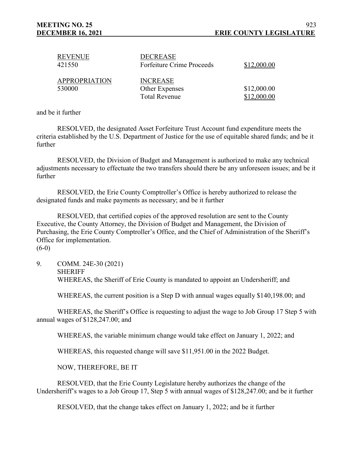| <b>REVENUE</b><br>421550       | <b>DECREASE</b><br><b>Forfeiture Crime Proceeds</b>       | \$12,000.00                |
|--------------------------------|-----------------------------------------------------------|----------------------------|
| <b>APPROPRIATION</b><br>530000 | <b>INCREASE</b><br>Other Expenses<br><b>Total Revenue</b> | \$12,000.00<br>\$12,000.00 |

and be it further

RESOLVED, the designated Asset Forfeiture Trust Account fund expenditure meets the criteria established by the U.S. Department of Justice for the use of equitable shared funds; and be it further

RESOLVED, the Division of Budget and Management is authorized to make any technical adjustments necessary to effectuate the two transfers should there be any unforeseen issues; and be it further

RESOLVED, the Erie County Comptroller's Office is hereby authorized to release the designated funds and make payments as necessary; and be it further

RESOLVED, that certified copies of the approved resolution are sent to the County Executive, the County Attorney, the Division of Budget and Management, the Division of Purchasing, the Erie County Comptroller's Office, and the Chief of Administration of the Sheriff's Office for implementation.  $(6-0)$ 

9. COMM. 24E-30 (2021) **SHERIFF** WHEREAS, the Sheriff of Erie County is mandated to appoint an Undersheriff; and

WHEREAS, the current position is a Step D with annual wages equally \$140,198.00; and

WHEREAS, the Sheriff's Office is requesting to adjust the wage to Job Group 17 Step 5 with annual wages of \$128,247.00; and

WHEREAS, the variable minimum change would take effect on January 1, 2022; and

WHEREAS, this requested change will save \$11,951.00 in the 2022 Budget.

NOW, THEREFORE, BE IT

RESOLVED, that the Erie County Legislature hereby authorizes the change of the Undersheriff's wages to a Job Group 17, Step 5 with annual wages of \$128,247.00; and be it further

RESOLVED, that the change takes effect on January 1, 2022; and be it further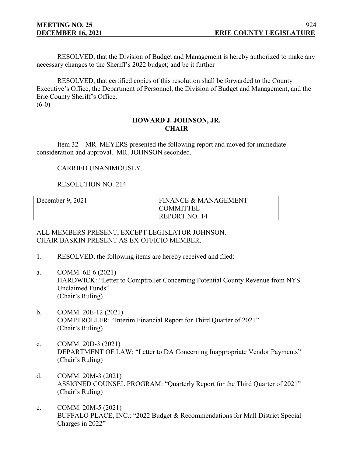RESOLVED, that the Division of Budget and Management is hereby authorized to make any necessary changes to the Sheriff's 2022 budget; and be it further

RESOLVED, that certified copies of this resolution shall be forwarded to the County Executive's Office, the Department of Personnel, the Division of Budget and Management, and the Erie County Sheriff's Office.  $(6-0)$ 

#### **HOWARD J. JOHNSON, JR. CHAIR**

Item 32 – MR. MEYERS presented the following report and moved for immediate consideration and approval. MR. JOHNSON seconded.

# CARRIED UNANIMOUSLY.

# RESOLUTION NO. 214

| December $9, 2021$ | <b>FINANCE &amp; MANAGEMENT</b> |
|--------------------|---------------------------------|
|                    | <b>COMMITTEE</b>                |
|                    | REPORT NO. 14                   |

ALL MEMBERS PRESENT, EXCEPT LEGISLATOR JOHNSON. CHAIR BASKIN PRESENT AS EX-OFFICIO MEMBER.

- 1. RESOLVED, the following items are hereby received and filed:
- a. COMM. 6E-6 (2021) HARDWICK: "Letter to Comptroller Concerning Potential County Revenue from NYS Unclaimed Funds" (Chair's Ruling)
- b. COMM. 20E-12 (2021) COMPTROLLER: "Interim Financial Report for Third Quarter of 2021" (Chair's Ruling)
- c. COMM. 20D-3 (2021) DEPARTMENT OF LAW: "Letter to DA Concerning Inappropriate Vendor Payments" (Chair's Ruling)
- d. COMM. 20M-3 (2021) ASSIGNED COUNSEL PROGRAM: "Quarterly Report for the Third Quarter of 2021" (Chair's Ruling)
- e. COMM. 20M-5 (2021) BUFFALO PLACE, INC.: "2022 Budget & Recommendations for Mall District Special Charges in 2022"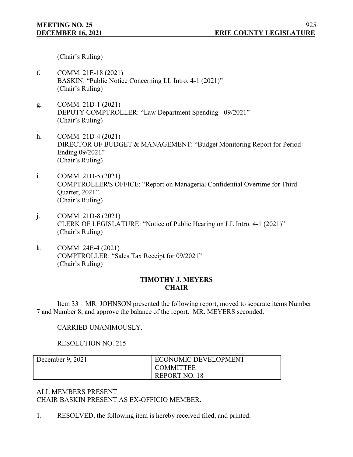(Chair's Ruling)

- f. COMM. 21E-18 (2021) BASKIN: "Public Notice Concerning LL Intro. 4-1 (2021)" (Chair's Ruling)
- g. COMM. 21D-1 (2021) DEPUTY COMPTROLLER: "Law Department Spending - 09/2021" (Chair's Ruling)
- h. COMM. 21D-4 (2021) DIRECTOR OF BUDGET & MANAGEMENT: "Budget Monitoring Report for Period Ending 09/2021" (Chair's Ruling)
- i. COMM. 21D-5 (2021) COMPTROLLER'S OFFICE: "Report on Managerial Confidential Overtime for Third Quarter, 2021" (Chair's Ruling)
- j. COMM. 21D-8 (2021) CLERK OF LEGISLATURE: "Notice of Public Hearing on LL Intro. 4-1 (2021)" (Chair's Ruling)
- k. COMM. 24E-4 (2021) COMPTROLLER: "Sales Tax Receipt for 09/2021" (Chair's Ruling)

# **TIMOTHY J. MEYERS CHAIR**

Item 33 – MR. JOHNSON presented the following report, moved to separate items Number 7 and Number 8, and approve the balance of the report. MR. MEYERS seconded.

CARRIED UNANIMOUSLY.

RESOLUTION NO. 215

| December $9, 2021$ | <b>ECONOMIC DEVELOPMENT</b> |
|--------------------|-----------------------------|
|                    | I COMMITTEE                 |
|                    | <b>REPORT NO. 18</b>        |

ALL MEMBERS PRESENT CHAIR BASKIN PRESENT AS EX-OFFICIO MEMBER.

1. RESOLVED, the following item is hereby received filed, and printed: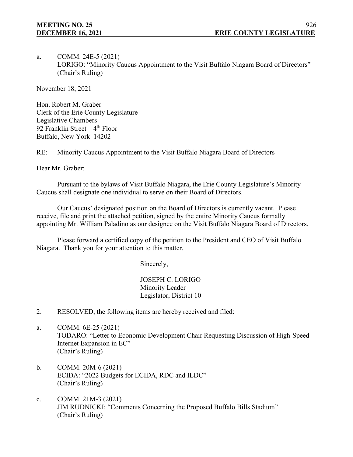a. COMM. 24E-5 (2021) LORIGO: "Minority Caucus Appointment to the Visit Buffalo Niagara Board of Directors" (Chair's Ruling)

November 18, 2021

Hon. Robert M. Graber Clerk of the Erie County Legislature Legislative Chambers 92 Franklin Street –  $4<sup>th</sup>$  Floor Buffalo, New York 14202

RE: Minority Caucus Appointment to the Visit Buffalo Niagara Board of Directors

Dear Mr. Graber:

Pursuant to the bylaws of Visit Buffalo Niagara, the Erie County Legislature's Minority Caucus shall designate one individual to serve on their Board of Directors.

Our Caucus' designated position on the Board of Directors is currently vacant. Please receive, file and print the attached petition, signed by the entire Minority Caucus formally appointing Mr. William Paladino as our designee on the Visit Buffalo Niagara Board of Directors.

Please forward a certified copy of the petition to the President and CEO of Visit Buffalo Niagara. Thank you for your attention to this matter.

Sincerely,

JOSEPH C. LORIGO Minority Leader Legislator, District 10

- 2. RESOLVED, the following items are hereby received and filed:
- a. COMM. 6E-25 (2021) TODARO: "Letter to Economic Development Chair Requesting Discussion of High-Speed Internet Expansion in EC" (Chair's Ruling)
- b. COMM. 20M-6 (2021) ECIDA: "2022 Budgets for ECIDA, RDC and ILDC" (Chair's Ruling)
- c. COMM. 21M-3 (2021) JIM RUDNICKI: "Comments Concerning the Proposed Buffalo Bills Stadium" (Chair's Ruling)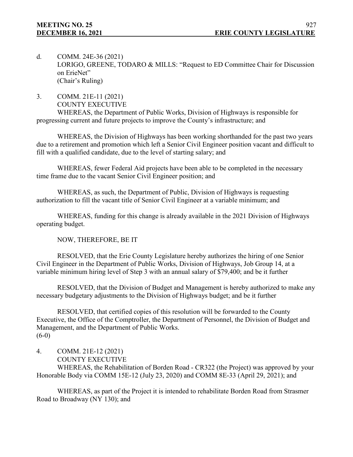- d. COMM. 24E-36 (2021) LORIGO, GREENE, TODARO & MILLS: "Request to ED Committee Chair for Discussion on ErieNet" (Chair's Ruling)
- 3. COMM. 21E-11 (2021) COUNTY EXECUTIVE

WHEREAS, the Department of Public Works, Division of Highways is responsible for progressing current and future projects to improve the County's infrastructure; and

WHEREAS, the Division of Highways has been working shorthanded for the past two years due to a retirement and promotion which left a Senior Civil Engineer position vacant and difficult to fill with a qualified candidate, due to the level of starting salary; and

WHEREAS, fewer Federal Aid projects have been able to be completed in the necessary time frame due to the vacant Senior Civil Engineer position; and

WHEREAS, as such, the Department of Public, Division of Highways is requesting authorization to fill the vacant title of Senior Civil Engineer at a variable minimum; and

WHEREAS, funding for this change is already available in the 2021 Division of Highways operating budget.

NOW, THEREFORE, BE IT

RESOLVED, that the Erie County Legislature hereby authorizes the hiring of one Senior Civil Engineer in the Department of Public Works, Division of Highways, Job Group 14, at a variable minimum hiring level of Step 3 with an annual salary of \$79,400; and be it further

RESOLVED, that the Division of Budget and Management is hereby authorized to make any necessary budgetary adjustments to the Division of Highways budget; and be it further

RESOLVED, that certified copies of this resolution will be forwarded to the County Executive, the Office of the Comptroller, the Department of Personnel, the Division of Budget and Management, and the Department of Public Works.  $(6-0)$ 

- 4. COMM. 21E-12 (2021)
	- COUNTY EXECUTIVE

WHEREAS, the Rehabilitation of Borden Road - CR322 (the Project) was approved by your Honorable Body via COMM 15E-12 (July 23, 2020) and COMM 8E-33 (April 29, 2021); and

WHEREAS, as part of the Project it is intended to rehabilitate Borden Road from Strasmer Road to Broadway (NY 130); and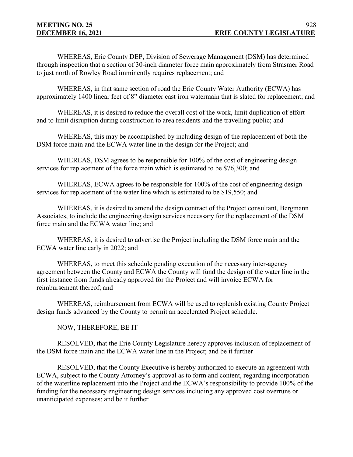WHEREAS, Erie County DEP, Division of Sewerage Management (DSM) has determined through inspection that a section of 30-inch diameter force main approximately from Strasmer Road to just north of Rowley Road imminently requires replacement; and

WHEREAS, in that same section of road the Erie County Water Authority (ECWA) has approximately 1400 linear feet of 8" diameter cast iron watermain that is slated for replacement; and

WHEREAS, it is desired to reduce the overall cost of the work, limit duplication of effort and to limit disruption during construction to area residents and the travelling public; and

WHEREAS, this may be accomplished by including design of the replacement of both the DSM force main and the ECWA water line in the design for the Project; and

WHEREAS, DSM agrees to be responsible for 100% of the cost of engineering design services for replacement of the force main which is estimated to be \$76,300; and

WHEREAS, ECWA agrees to be responsible for 100% of the cost of engineering design services for replacement of the water line which is estimated to be \$19,550; and

WHEREAS, it is desired to amend the design contract of the Project consultant, Bergmann Associates, to include the engineering design services necessary for the replacement of the DSM force main and the ECWA water line; and

WHEREAS, it is desired to advertise the Project including the DSM force main and the ECWA water line early in 2022; and

WHEREAS, to meet this schedule pending execution of the necessary inter-agency agreement between the County and ECWA the County will fund the design of the water line in the first instance from funds already approved for the Project and will invoice ECWA for reimbursement thereof; and

WHEREAS, reimbursement from ECWA will be used to replenish existing County Project design funds advanced by the County to permit an accelerated Project schedule.

NOW, THEREFORE, BE IT

RESOLVED, that the Erie County Legislature hereby approves inclusion of replacement of the DSM force main and the ECWA water line in the Project; and be it further

RESOLVED, that the County Executive is hereby authorized to execute an agreement with ECWA, subject to the County Attorney's approval as to form and content, regarding incorporation of the waterline replacement into the Project and the ECWA's responsibility to provide 100% of the funding for the necessary engineering design services including any approved cost overruns or unanticipated expenses; and be it further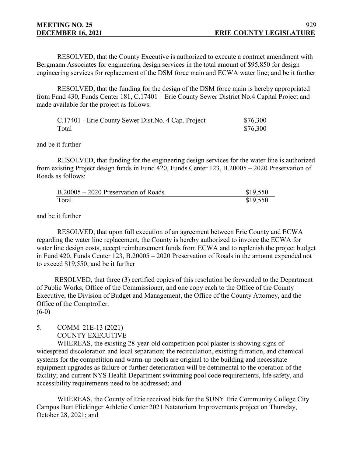RESOLVED, that the County Executive is authorized to execute a contract amendment with Bergmann Associates for engineering design services in the total amount of \$95,850 for design engineering services for replacement of the DSM force main and ECWA water line; and be it further

RESOLVED, that the funding for the design of the DSM force main is hereby appropriated from Fund 430, Funds Center 181, C.17401 – Erie County Sewer District No.4 Capital Project and made available for the project as follows:

|       | C.17401 - Erie County Sewer Dist. No. 4 Cap. Project | \$76,300 |
|-------|------------------------------------------------------|----------|
| Total |                                                      | \$76,300 |

#### and be it further

RESOLVED, that funding for the engineering design services for the water line is authorized from existing Project design funds in Fund 420, Funds Center 123, B.20005 – 2020 Preservation of Roads as follows:

| B.20005 – 2020 Preservation of Roads | \$19,550 |
|--------------------------------------|----------|
| Total                                | \$19,550 |

and be it further

RESOLVED, that upon full execution of an agreement between Erie County and ECWA regarding the water line replacement, the County is hereby authorized to invoice the ECWA for water line design costs, accept reimbursement funds from ECWA and to replenish the project budget in Fund 420, Funds Center 123, B.20005 – 2020 Preservation of Roads in the amount expended not to exceed \$19,550; and be it further

RESOLVED, that three (3) certified copies of this resolution be forwarded to the Department of Public Works, Office of the Commissioner, and one copy each to the Office of the County Executive, the Division of Budget and Management, the Office of the County Attorney, and the Office of the Comptroller.  $(6-0)$ 

# 5. COMM. 21E-13 (2021) COUNTY EXECUTIVE

WHEREAS, the existing 28-year-old competition pool plaster is showing signs of widespread discoloration and local separation; the recirculation, existing filtration, and chemical systems for the competition and warm-up pools are original to the building and necessitate equipment upgrades as failure or further deterioration will be detrimental to the operation of the facility; and current NYS Health Department swimming pool code requirements, life safety, and accessibility requirements need to be addressed; and

WHEREAS, the County of Erie received bids for the SUNY Erie Community College City Campus Burt Flickinger Athletic Center 2021 Natatorium Improvements project on Thursday, October 28, 2021; and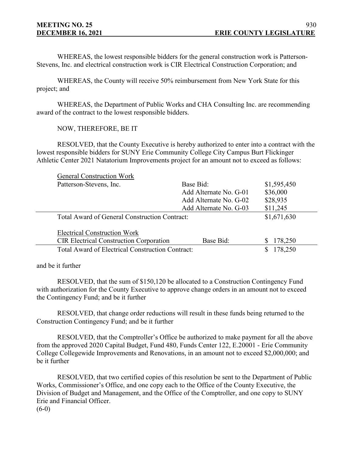WHEREAS, the lowest responsible bidders for the general construction work is Patterson-Stevens, Inc. and electrical construction work is CIR Electrical Construction Corporation; and

WHEREAS, the County will receive 50% reimbursement from New York State for this project; and

WHEREAS, the Department of Public Works and CHA Consulting Inc. are recommending award of the contract to the lowest responsible bidders.

NOW, THEREFORE, BE IT

RESOLVED, that the County Executive is hereby authorized to enter into a contract with the lowest responsible bidders for SUNY Erie Community College City Campus Burt Flickinger Athletic Center 2021 Natatorium Improvements project for an amount not to exceed as follows:

| <b>General Construction Work</b>               |                        |             |
|------------------------------------------------|------------------------|-------------|
| Patterson-Stevens, Inc.                        | Base Bid:              | \$1,595,450 |
|                                                | Add Alternate No. G-01 | \$36,000    |
|                                                | Add Alternate No. G-02 | \$28,935    |
|                                                | Add Alternate No. G-03 | \$11,245    |
| Total Award of General Construction Contract:  |                        | \$1,671,630 |
| <b>Electrical Construction Work</b>            |                        |             |
| <b>CIR Electrical Construction Corporation</b> | Base Bid:              | 178,250     |
|                                                |                        |             |

and be it further

RESOLVED, that the sum of \$150,120 be allocated to a Construction Contingency Fund with authorization for the County Executive to approve change orders in an amount not to exceed the Contingency Fund; and be it further

RESOLVED, that change order reductions will result in these funds being returned to the Construction Contingency Fund; and be it further

RESOLVED, that the Comptroller's Office be authorized to make payment for all the above from the approved 2020 Capital Budget, Fund 480, Funds Center 122, E.20001 - Erie Community College Collegewide Improvements and Renovations, in an amount not to exceed \$2,000,000; and be it further

RESOLVED, that two certified copies of this resolution be sent to the Department of Public Works, Commissioner's Office, and one copy each to the Office of the County Executive, the Division of Budget and Management, and the Office of the Comptroller, and one copy to SUNY Erie and Financial Officer.  $(6-0)$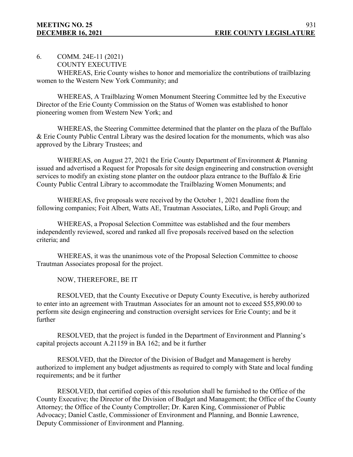6. COMM. 24E-11 (2021)

```
COUNTY EXECUTIVE
```
WHEREAS, Erie County wishes to honor and memorialize the contributions of trailblazing women to the Western New York Community; and

WHEREAS, A Trailblazing Women Monument Steering Committee led by the Executive Director of the Erie County Commission on the Status of Women was established to honor pioneering women from Western New York; and

WHEREAS, the Steering Committee determined that the planter on the plaza of the Buffalo & Erie County Public Central Library was the desired location for the monuments, which was also approved by the Library Trustees; and

WHEREAS, on August 27, 2021 the Erie County Department of Environment & Planning issued and advertised a Request for Proposals for site design engineering and construction oversight services to modify an existing stone planter on the outdoor plaza entrance to the Buffalo & Erie County Public Central Library to accommodate the Trailblazing Women Monuments; and

WHEREAS, five proposals were received by the October 1, 2021 deadline from the following companies; Foit Albert, Watts AE, Trautman Associates, LiRo, and Popli Group; and

WHEREAS, a Proposal Selection Committee was established and the four members independently reviewed, scored and ranked all five proposals received based on the selection criteria; and

WHEREAS, it was the unanimous vote of the Proposal Selection Committee to choose Trautman Associates proposal for the project.

NOW, THEREFORE, BE IT

RESOLVED, that the County Executive or Deputy County Executive, is hereby authorized to enter into an agreement with Trautman Associates for an amount not to exceed \$55,890.00 to perform site design engineering and construction oversight services for Erie County; and be it further

RESOLVED, that the project is funded in the Department of Environment and Planning's capital projects account A.21159 in BA 162; and be it further

RESOLVED, that the Director of the Division of Budget and Management is hereby authorized to implement any budget adjustments as required to comply with State and local funding requirements; and be it further

RESOLVED, that certified copies of this resolution shall be furnished to the Office of the County Executive; the Director of the Division of Budget and Management; the Office of the County Attorney; the Office of the County Comptroller; Dr. Karen King, Commissioner of Public Advocacy; Daniel Castle, Commissioner of Environment and Planning, and Bonnie Lawrence, Deputy Commissioner of Environment and Planning.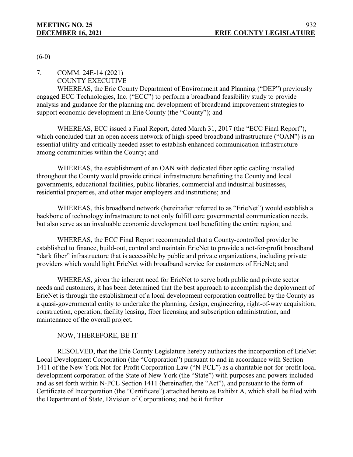$(6-0)$ 

7. COMM. 24E-14 (2021)

# COUNTY EXECUTIVE

WHEREAS, the Erie County Department of Environment and Planning ("DEP") previously engaged ECC Technologies, Inc. ("ECC") to perform a broadband feasibility study to provide analysis and guidance for the planning and development of broadband improvement strategies to support economic development in Erie County (the "County"); and

WHEREAS, ECC issued a Final Report, dated March 31, 2017 (the "ECC Final Report"), which concluded that an open access network of high-speed broadband infrastructure ("OAN") is an essential utility and critically needed asset to establish enhanced communication infrastructure among communities within the County; and

WHEREAS, the establishment of an OAN with dedicated fiber optic cabling installed throughout the County would provide critical infrastructure benefitting the County and local governments, educational facilities, public libraries, commercial and industrial businesses, residential properties, and other major employers and institutions; and

WHEREAS, this broadband network (hereinafter referred to as "ErieNet") would establish a backbone of technology infrastructure to not only fulfill core governmental communication needs, but also serve as an invaluable economic development tool benefitting the entire region; and

WHEREAS, the ECC Final Report recommended that a County-controlled provider be established to finance, build-out, control and maintain ErieNet to provide a not-for-profit broadband "dark fiber" infrastructure that is accessible by public and private organizations, including private providers which would light ErieNet with broadband service for customers of ErieNet; and

WHEREAS, given the inherent need for ErieNet to serve both public and private sector needs and customers, it has been determined that the best approach to accomplish the deployment of ErieNet is through the establishment of a local development corporation controlled by the County as a quasi-governmental entity to undertake the planning, design, engineering, right-of-way acquisition, construction, operation, facility leasing, fiber licensing and subscription administration, and maintenance of the overall project.

NOW, THEREFORE, BE IT

RESOLVED, that the Erie County Legislature hereby authorizes the incorporation of ErieNet Local Development Corporation (the "Corporation") pursuant to and in accordance with Section 1411 of the New York Not-for-Profit Corporation Law ("N-PCL") as a charitable not-for-profit local development corporation of the State of New York (the "State") with purposes and powers included and as set forth within N-PCL Section 1411 (hereinafter, the "Act"), and pursuant to the form of Certificate of Incorporation (the "Certificate") attached hereto as Exhibit A, which shall be filed with the Department of State, Division of Corporations; and be it further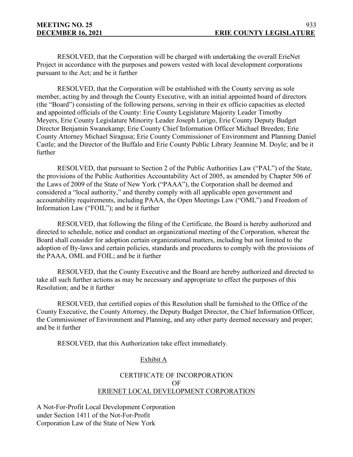RESOLVED, that the Corporation will be charged with undertaking the overall ErieNet Project in accordance with the purposes and powers vested with local development corporations pursuant to the Act; and be it further

RESOLVED, that the Corporation will be established with the County serving as sole member, acting by and through the County Executive, with an initial appointed board of directors (the "Board") consisting of the following persons, serving in their ex officio capacities as elected and appointed officials of the County: Erie County Legislature Majority Leader Timothy Meyers, Erie County Legislature Minority Leader Joseph Lorigo, Erie County Deputy Budget Director Benjamin Swanekamp; Erie County Chief Information Officer Michael Breeden; Erie County Attorney Michael Siragusa; Erie County Commissioner of Environment and Planning Daniel Castle; and the Director of the Buffalo and Erie County Public Library [Jeannine M. Doyle;](https://www.buffalolib.org/jeannine-m-doyle%22) and be it further

RESOLVED, that pursuant to Section 2 of the Public Authorities Law ("PAL") of the State, the provisions of the Public Authorities Accountability Act of 2005, as amended by Chapter 506 of the Laws of 2009 of the State of New York ("PAAA"), the Corporation shall be deemed and considered a "local authority," and thereby comply with all applicable open government and accountability requirements, including PAAA, the Open Meetings Law ("OML") and Freedom of Information Law ("FOIL"); and be it further

RESOLVED, that following the filing of the Certificate, the Board is hereby authorized and directed to schedule, notice and conduct an organizational meeting of the Corporation, whereat the Board shall consider for adoption certain organizational matters, including but not limited to the adoption of By-laws and certain policies, standards and procedures to comply with the provisions of the PAAA, OML and FOIL; and be it further

RESOLVED, that the County Executive and the Board are hereby authorized and directed to take all such further actions as may be necessary and appropriate to effect the purposes of this Resolution; and be it further

RESOLVED, that certified copies of this Resolution shall be furnished to the Office of the County Executive, the County Attorney, the Deputy Budget Director, the Chief Information Officer, the Commissioner of Environment and Planning, and any other party deemed necessary and proper; and be it further

RESOLVED, that this Authorization take effect immediately.

# Exhibit A

# CERTIFICATE OF INCORPORATION OF ERIENET LOCAL DEVELOPMENT CORPORATION

A Not-For-Profit Local Development Corporation under Section 1411 of the Not-For-Profit Corporation Law of the State of New York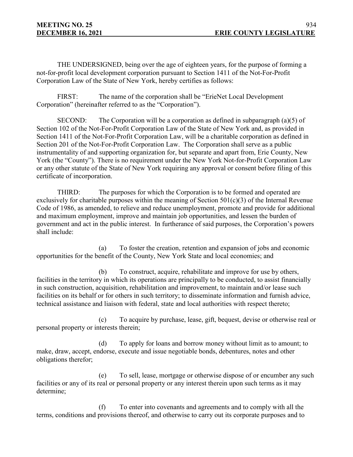THE UNDERSIGNED, being over the age of eighteen years, for the purpose of forming a not-for-profit local development corporation pursuant to Section 1411 of the Not-For-Profit Corporation Law of the State of New York, hereby certifies as follows:

FIRST: The name of the corporation shall be "ErieNet Local Development Corporation" (hereinafter referred to as the "Corporation").

SECOND: The Corporation will be a corporation as defined in subparagraph (a)(5) of Section 102 of the Not-For-Profit Corporation Law of the State of New York and, as provided in Section 1411 of the Not-For-Profit Corporation Law, will be a charitable corporation as defined in Section 201 of the Not-For-Profit Corporation Law. The Corporation shall serve as a public instrumentality of and supporting organization for, but separate and apart from, Erie County, New York (the "County"). There is no requirement under the New York Not-for-Profit Corporation Law or any other statute of the State of New York requiring any approval or consent before filing of this certificate of incorporation.

THIRD: The purposes for which the Corporation is to be formed and operated are exclusively for charitable purposes within the meaning of Section  $501(c)(3)$  of the Internal Revenue Code of 1986, as amended, to relieve and reduce unemployment, promote and provide for additional and maximum employment, improve and maintain job opportunities, and lessen the burden of government and act in the public interest. In furtherance of said purposes, the Corporation's powers shall include:

(a) To foster the creation, retention and expansion of jobs and economic opportunities for the benefit of the County, New York State and local economies; and

(b) To construct, acquire, rehabilitate and improve for use by others, facilities in the territory in which its operations are principally to be conducted, to assist financially in such construction, acquisition, rehabilitation and improvement, to maintain and/or lease such facilities on its behalf or for others in such territory; to disseminate information and furnish advice, technical assistance and liaison with federal, state and local authorities with respect thereto;

(c) To acquire by purchase, lease, gift, bequest, devise or otherwise real or personal property or interests therein;

(d) To apply for loans and borrow money without limit as to amount; to make, draw, accept, endorse, execute and issue negotiable bonds, debentures, notes and other obligations therefor;

(e) To sell, lease, mortgage or otherwise dispose of or encumber any such facilities or any of its real or personal property or any interest therein upon such terms as it may determine;

(f) To enter into covenants and agreements and to comply with all the terms, conditions and provisions thereof, and otherwise to carry out its corporate purposes and to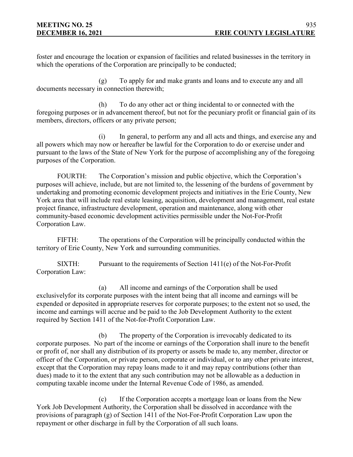foster and encourage the location or expansion of facilities and related businesses in the territory in which the operations of the Corporation are principally to be conducted;

(g) To apply for and make grants and loans and to execute any and all documents necessary in connection therewith;

(h) To do any other act or thing incidental to or connected with the foregoing purposes or in advancement thereof, but not for the pecuniary profit or financial gain of its members, directors, officers or any private person;

(i) In general, to perform any and all acts and things, and exercise any and all powers which may now or hereafter be lawful for the Corporation to do or exercise under and pursuant to the laws of the State of New York for the purpose of accomplishing any of the foregoing purposes of the Corporation.

FOURTH: The Corporation's mission and public objective, which the Corporation's purposes will achieve, include, but are not limited to, the lessening of the burdens of government by undertaking and promoting economic development projects and initiatives in the Erie County, New York area that will include real estate leasing, acquisition, development and management, real estate project finance, infrastructure development, operation and maintenance, along with other community-based economic development activities permissible under the Not-For-Profit Corporation Law.

FIFTH: The operations of the Corporation will be principally conducted within the territory of Erie County, New York and surrounding communities.

SIXTH: Pursuant to the requirements of Section 1411(e) of the Not-For-Profit Corporation Law:

(a) All income and earnings of the Corporation shall be used exclusivelyfor its corporate purposes with the intent being that all income and earnings will be expended or deposited in appropriate reserves for corporate purposes; to the extent not so used, the income and earnings will accrue and be paid to the Job Development Authority to the extent required by Section 1411 of the Not-for-Profit Corporation Law.

(b) The property of the Corporation is irrevocably dedicated to its corporate purposes. No part of the income or earnings of the Corporation shall inure to the benefit or profit of, nor shall any distribution of its property or assets be made to, any member, director or officer of the Corporation, or private person, corporate or individual, or to any other private interest, except that the Corporation may repay loans made to it and may repay contributions (other than dues) made to it to the extent that any such contribution may not be allowable as a deduction in computing taxable income under the Internal Revenue Code of 1986, as amended.

(c) If the Corporation accepts a mortgage loan or loans from the New York Job Development Authority, the Corporation shall be dissolved in accordance with the provisions of paragraph (g) of Section 1411 of the Not-For-Profit Corporation Law upon the repayment or other discharge in full by the Corporation of all such loans.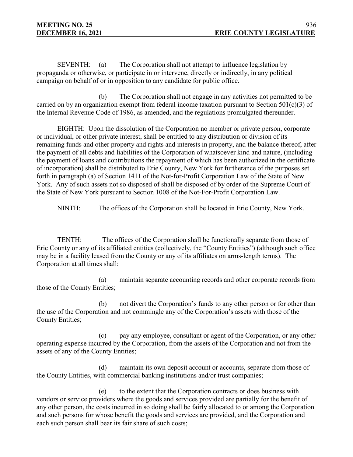SEVENTH: (a) The Corporation shall not attempt to influence legislation by propaganda or otherwise, or participate in or intervene, directly or indirectly, in any political campaign on behalf of or in opposition to any candidate for public office.

(b) The Corporation shall not engage in any activities not permitted to be carried on by an organization exempt from federal income taxation pursuant to Section  $501(c)(3)$  of the Internal Revenue Code of 1986, as amended, and the regulations promulgated thereunder.

EIGHTH: Upon the dissolution of the Corporation no member or private person, corporate or individual, or other private interest, shall be entitled to any distribution or division of its remaining funds and other property and rights and interests in property, and the balance thereof, after the payment of all debts and liabilities of the Corporation of whatsoever kind and nature, (including the payment of loans and contributions the repayment of which has been authorized in the certificate of incorporation) shall be distributed to Erie County, New York for furtherance of the purposes set forth in paragraph (a) of Section 1411 of the Not-for-Profit Corporation Law of the State of New York. Any of such assets not so disposed of shall be disposed of by order of the Supreme Court of the State of New York pursuant to Section 1008 of the Not-For-Profit Corporation Law.

NINTH: The offices of the Corporation shall be located in Erie County, New York.

TENTH: The offices of the Corporation shall be functionally separate from those of Erie County or any of its affiliated entities (collectively, the "County Entities") (although such office may be in a facility leased from the County or any of its affiliates on arms-length terms). The Corporation at all times shall:

(a) maintain separate accounting records and other corporate records from those of the County Entities;

(b) not divert the Corporation's funds to any other person or for other than the use of the Corporation and not commingle any of the Corporation's assets with those of the County Entities;

(c) pay any employee, consultant or agent of the Corporation, or any other operating expense incurred by the Corporation, from the assets of the Corporation and not from the assets of any of the County Entities;

(d) maintain its own deposit account or accounts, separate from those of the County Entities, with commercial banking institutions and/or trust companies;

(e) to the extent that the Corporation contracts or does business with vendors or service providers where the goods and services provided are partially for the benefit of any other person, the costs incurred in so doing shall be fairly allocated to or among the Corporation and such persons for whose benefit the goods and services are provided, and the Corporation and each such person shall bear its fair share of such costs;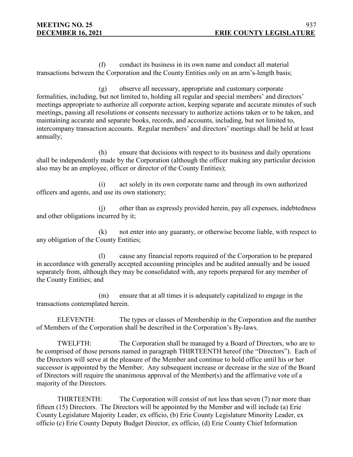(f) conduct its business in its own name and conduct all material transactions between the Corporation and the County Entities only on an arm's-length basis;

(g) observe all necessary, appropriate and customary corporate formalities, including, but not limited to, holding all regular and special members' and directors' meetings appropriate to authorize all corporate action, keeping separate and accurate minutes of such meetings, passing all resolutions or consents necessary to authorize actions taken or to be taken, and maintaining accurate and separate books, records, and accounts, including, but not limited to, intercompany transaction accounts. Regular members' and directors' meetings shall be held at least annually;

(h) ensure that decisions with respect to its business and daily operations shall be independently made by the Corporation (although the officer making any particular decision also may be an employee, officer or director of the County Entities);

(i) act solely in its own corporate name and through its own authorized officers and agents, and use its own stationery;

(j) other than as expressly provided herein, pay all expenses, indebtedness and other obligations incurred by it;

(k) not enter into any guaranty, or otherwise become liable, with respect to any obligation of the County Entities;

(l) cause any financial reports required of the Corporation to be prepared in accordance with generally accepted accounting principles and be audited annually and be issued separately from, although they may be consolidated with, any reports prepared for any member of the County Entities; and

(m) ensure that at all times it is adequately capitalized to engage in the transactions contemplated herein.

ELEVENTH: The types or classes of Membership in the Corporation and the number of Members of the Corporation shall be described in the Corporation's By-laws.

TWELFTH: The Corporation shall be managed by a Board of Directors, who are to be comprised of those persons named in paragraph THIRTEENTH hereof (the "Directors"). Each of the Directors will serve at the pleasure of the Member and continue to hold office until his or her successor is appointed by the Member. Any subsequent increase or decrease in the size of the Board of Directors will require the unanimous approval of the Member(s) and the affirmative vote of a majority of the Directors.

THIRTEENTH: The Corporation will consist of not less than seven (7) nor more than fifteen (15) Directors. The Directors will be appointed by the Member and will include (a) Erie County Legislature Majority Leader, ex officio, (b) Erie County Legislature Minority Leader, ex officio (c) Erie County Deputy Budget Director, ex officio, (d) Erie County Chief Information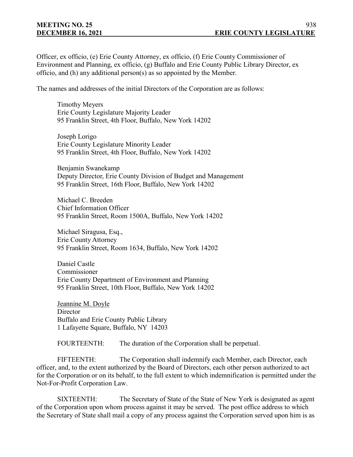Officer, ex officio, (e) Erie County Attorney, ex officio, (f) Erie County Commissioner of Environment and Planning, ex officio, (g) Buffalo and Erie County Public Library Director, ex officio, and (h) any additional person(s) as so appointed by the Member.

The names and addresses of the initial Directors of the Corporation are as follows:

Timothy Meyers Erie County Legislature Majority Leader 95 Franklin Street, 4th Floor, Buffalo, New York 14202

Joseph Lorigo Erie County Legislature Minority Leader 95 Franklin Street, 4th Floor, Buffalo, New York 14202

Benjamin Swanekamp Deputy Director, Erie County Division of Budget and Management 95 Franklin Street, 16th Floor, Buffalo, New York 14202

Michael C. Breeden Chief Information Officer 95 Franklin Street, Room 1500A, Buffalo, New York 14202

Michael Siragusa, Esq., Erie County Attorney 95 Franklin Street, Room 1634, Buffalo, New York 14202

Daniel Castle Commissioner Erie County Department of Environment and Planning 95 Franklin Street, 10th Floor, Buffalo, New York 14202

Jeannine M. Doyle **Director** Buffalo and Erie County Public Library 1 Lafayette Square, Buffalo, NY 14203

FOURTEENTH: The duration of the Corporation shall be perpetual.

FIFTEENTH: The Corporation shall indemnify each Member, each Director, each officer, and, to the extent authorized by the Board of Directors, each other person authorized to act for the Corporation or on its behalf, to the full extent to which indemnification is permitted under the Not-For-Profit Corporation Law.

SIXTEENTH: The Secretary of State of the State of New York is designated as agent of the Corporation upon whom process against it may be served. The post office address to which the Secretary of State shall mail a copy of any process against the Corporation served upon him is as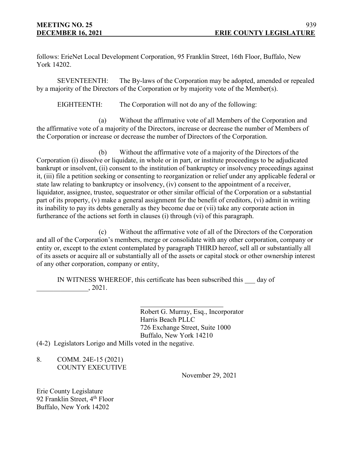follows: ErieNet Local Development Corporation, 95 Franklin Street, 16th Floor, Buffalo, New York 14202.

SEVENTEENTH: The By-laws of the Corporation may be adopted, amended or repealed by a majority of the Directors of the Corporation or by majority vote of the Member(s).

EIGHTEENTH: The Corporation will not do any of the following:

(a) Without the affirmative vote of all Members of the Corporation and the affirmative vote of a majority of the Directors, increase or decrease the number of Members of the Corporation or increase or decrease the number of Directors of the Corporation.

(b) Without the affirmative vote of a majority of the Directors of the Corporation (i) dissolve or liquidate, in whole or in part, or institute proceedings to be adjudicated bankrupt or insolvent, (ii) consent to the institution of bankruptcy or insolvency proceedings against it, (iii) file a petition seeking or consenting to reorganization or relief under any applicable federal or state law relating to bankruptcy or insolvency, (iv) consent to the appointment of a receiver, liquidator, assignee, trustee, sequestrator or other similar official of the Corporation or a substantial part of its property, (v) make a general assignment for the benefit of creditors, (vi) admit in writing its inability to pay its debts generally as they become due or (vii) take any corporate action in furtherance of the actions set forth in clauses (i) through (vi) of this paragraph.

(c) Without the affirmative vote of all of the Directors of the Corporation and all of the Corporation's members, merge or consolidate with any other corporation, company or entity or, except to the extent contemplated by paragraph THIRD hereof, sell all or substantially all of its assets or acquire all or substantially all of the assets or capital stock or other ownership interest of any other corporation, company or entity,

IN WITNESS WHEREOF, this certificate has been subscribed this \_\_\_ day of  $\frac{1}{2021}.$ 

> Robert G. Murray, Esq., Incorporator Harris Beach PLLC 726 Exchange Street, Suite 1000 Buffalo, New York 14210

(4-2) Legislators Lorigo and Mills voted in the negative.

8. COMM. 24E-15 (2021) COUNTY EXECUTIVE

November 29, 2021

Erie County Legislature 92 Franklin Street, 4<sup>th</sup> Floor Buffalo, New York 14202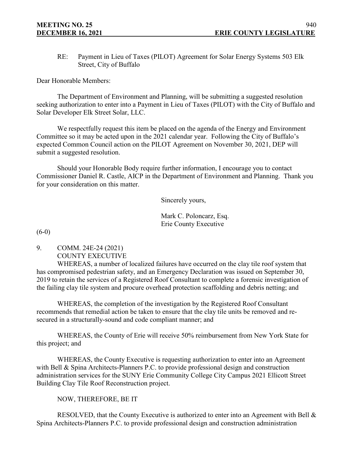RE: Payment in Lieu of Taxes (PILOT) Agreement for Solar Energy Systems 503 Elk Street, City of Buffalo

Dear Honorable Members:

The Department of Environment and Planning, will be submitting a suggested resolution seeking authorization to enter into a Payment in Lieu of Taxes (PILOT) with the City of Buffalo and Solar Developer Elk Street Solar, LLC.

We respectfully request this item be placed on the agenda of the Energy and Environment Committee so it may be acted upon in the 2021 calendar year. Following the City of Buffalo's expected Common Council action on the PILOT Agreement on November 30, 2021, DEP will submit a suggested resolution.

Should your Honorable Body require further information, I encourage you to contact Commissioner Daniel R. Castle, AICP in the Department of Environment and Planning. Thank you for your consideration on this matter.

Sincerely yours,

Mark C. Poloncarz, Esq. Erie County Executive

 $(6-0)$ 

9. COMM. 24E-24 (2021) COUNTY EXECUTIVE

WHEREAS, a number of localized failures have occurred on the clay tile roof system that has compromised pedestrian safety, and an Emergency Declaration was issued on September 30, 2019 to retain the services of a Registered Roof Consultant to complete a forensic investigation of the failing clay tile system and procure overhead protection scaffolding and debris netting; and

WHEREAS, the completion of the investigation by the Registered Roof Consultant recommends that remedial action be taken to ensure that the clay tile units be removed and resecured in a structurally-sound and code compliant manner; and

WHEREAS, the County of Erie will receive 50% reimbursement from New York State for this project; and

WHEREAS, the County Executive is requesting authorization to enter into an Agreement with Bell & Spina Architects-Planners P.C. to provide professional design and construction administration services for the SUNY Erie Community College City Campus 2021 Ellicott Street Building Clay Tile Roof Reconstruction project.

NOW, THEREFORE, BE IT

RESOLVED, that the County Executive is authorized to enter into an Agreement with Bell & Spina Architects-Planners P.C. to provide professional design and construction administration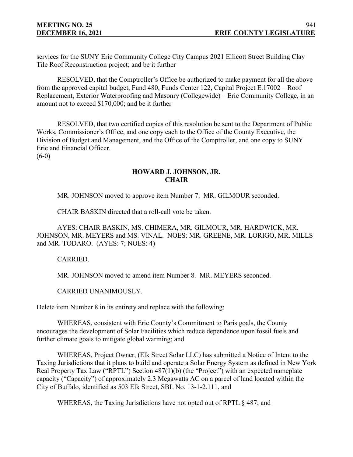services for the SUNY Erie Community College City Campus 2021 Ellicott Street Building Clay Tile Roof Reconstruction project; and be it further

RESOLVED, that the Comptroller's Office be authorized to make payment for all the above from the approved capital budget, Fund 480, Funds Center 122, Capital Project E.17002 – Roof Replacement, Exterior Waterproofing and Masonry (Collegewide) – Erie Community College, in an amount not to exceed \$170,000; and be it further

RESOLVED, that two certified copies of this resolution be sent to the Department of Public Works, Commissioner's Office, and one copy each to the Office of the County Executive, the Division of Budget and Management, and the Office of the Comptroller, and one copy to SUNY Erie and Financial Officer.

 $(6-0)$ 

# **HOWARD J. JOHNSON, JR. CHAIR**

MR. JOHNSON moved to approve item Number 7. MR. GILMOUR seconded.

CHAIR BASKIN directed that a roll-call vote be taken.

AYES: CHAIR BASKIN, MS. CHIMERA, MR. GILMOUR, MR. HARDWICK, MR. JOHNSON, MR. MEYERS and MS. VINAL. NOES: MR. GREENE, MR. LORIGO, MR. MILLS and MR. TODARO. (AYES: 7; NOES: 4)

CARRIED.

MR. JOHNSON moved to amend item Number 8. MR. MEYERS seconded.

CARRIED UNANIMOUSLY.

Delete item Number 8 in its entirety and replace with the following:

WHEREAS, consistent with Erie County's Commitment to Paris goals, the County encourages the development of Solar Facilities which reduce dependence upon fossil fuels and further climate goals to mitigate global warming; and

WHEREAS, Project Owner, (Elk Street Solar LLC) has submitted a Notice of Intent to the Taxing Jurisdictions that it plans to build and operate a Solar Energy System as defined in New York Real Property Tax Law ("RPTL") Section 487(1)(b) (the "Project") with an expected nameplate capacity ("Capacity") of approximately 2.3 Megawatts AC on a parcel of land located within the City of Buffalo, identified as 503 Elk Street, SBL No. 13-1-2.111, and

WHEREAS, the Taxing Jurisdictions have not opted out of RPTL § 487; and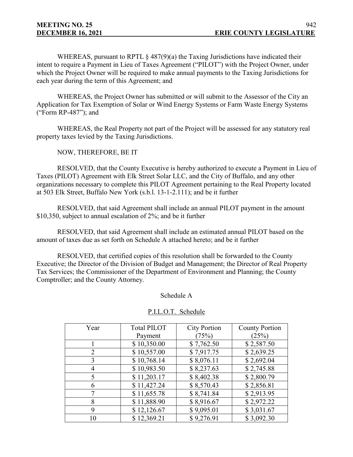WHEREAS, pursuant to RPTL  $\S$  487(9)(a) the Taxing Jurisdictions have indicated their intent to require a Payment in Lieu of Taxes Agreement ("PILOT") with the Project Owner, under which the Project Owner will be required to make annual payments to the Taxing Jurisdictions for each year during the term of this Agreement; and

WHEREAS, the Project Owner has submitted or will submit to the Assessor of the City an Application for Tax Exemption of Solar or Wind Energy Systems or Farm Waste Energy Systems ("Form RP-487"); and

WHEREAS, the Real Property not part of the Project will be assessed for any statutory real property taxes levied by the Taxing Jurisdictions.

NOW, THEREFORE, BE IT

RESOLVED, that the County Executive is hereby authorized to execute a Payment in Lieu of Taxes (PILOT) Agreement with Elk Street Solar LLC, and the City of Buffalo, and any other organizations necessary to complete this PILOT Agreement pertaining to the Real Property located at 503 Elk Street, Buffalo New York (s.b.l. 13-1-2.111); and be it further

RESOLVED, that said Agreement shall include an annual PILOT payment in the amount \$10,350, subject to annual escalation of 2%; and be it further

RESOLVED, that said Agreement shall include an estimated annual PILOT based on the amount of taxes due as set forth on Schedule A attached hereto; and be it further

RESOLVED, that certified copies of this resolution shall be forwarded to the County Executive; the Director of the Division of Budget and Management; the Director of Real Property Tax Services; the Commissioner of the Department of Environment and Planning; the County Comptroller; and the County Attorney.

Schedule A

#### P.I.L.O.T. Schedule

| Year | <b>Total PILOT</b> | <b>City Portion</b> | <b>County Portion</b> |
|------|--------------------|---------------------|-----------------------|
|      | Payment            | (75%)               | (25%)                 |
|      | \$10,350.00        | \$7,762.50          | \$2,587.50            |
| 2    | \$10,557.00        | \$7,917.75          | \$2,639.25            |
| 3    | \$10,768.14        | \$8,076.11          | \$2,692.04            |
| 4    | \$10,983.50        | \$8,237.63          | \$2,745.88            |
|      | \$11,203.17        | \$8,402.38          | \$2,800.79            |
| 6    | \$11,427.24        | \$8,570.43          | \$2,856.81            |
|      | \$11,655.78        | \$8,741.84          | \$2,913.95            |
| 8    | \$11,888.90        | \$8,916.67          | \$2,972.22            |
| 9    | \$12,126.67        | \$9,095.01          | \$3,031.67            |
| 10   | \$12,369.21        | \$9,276.91          | \$3,092.30            |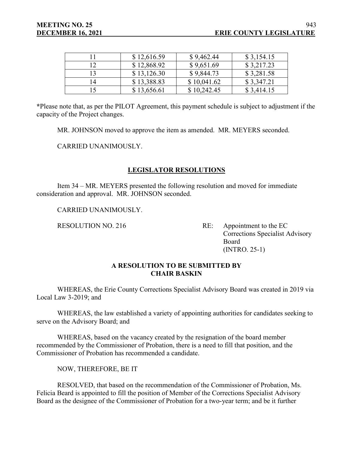|                | \$12,616.59 | \$9,462.44  | \$3,154.15 |
|----------------|-------------|-------------|------------|
| ר ו            | \$12,868.92 | \$9,651.69  | \$3,217.23 |
| 3              | \$13,126.30 | \$9,844.73  | \$3,281.58 |
| $\overline{4}$ | \$13,388.83 | \$10,041.62 | \$3,347.21 |
|                | \$13,656.61 | \$10,242.45 | \$3,414.15 |

**\***Please note that, as per the PILOT Agreement, this payment schedule is subject to adjustment if the capacity of the Project changes.

MR. JOHNSON moved to approve the item as amended. MR. MEYERS seconded.

CARRIED UNANIMOUSLY.

# **LEGISLATOR RESOLUTIONS**

Item 34 – MR. MEYERS presented the following resolution and moved for immediate consideration and approval. MR. JOHNSON seconded.

CARRIED UNANIMOUSLY.

RESOLUTION NO. 216 RE: Appointment to the EC Corrections Specialist Advisory Board (INTRO. 25-1)

# **A RESOLUTION TO BE SUBMITTED BY CHAIR BASKIN**

WHEREAS, the Erie County Corrections Specialist Advisory Board was created in 2019 via Local Law 3-2019; and

WHEREAS, the law established a variety of appointing authorities for candidates seeking to serve on the Advisory Board; and

WHEREAS, based on the vacancy created by the resignation of the board member recommended by the Commissioner of Probation, there is a need to fill that position, and the Commissioner of Probation has recommended a candidate.

NOW, THEREFORE, BE IT

RESOLVED, that based on the recommendation of the Commissioner of Probation, Ms. Felicia Beard is appointed to fill the position of Member of the Corrections Specialist Advisory Board as the designee of the Commissioner of Probation for a two-year term; and be it further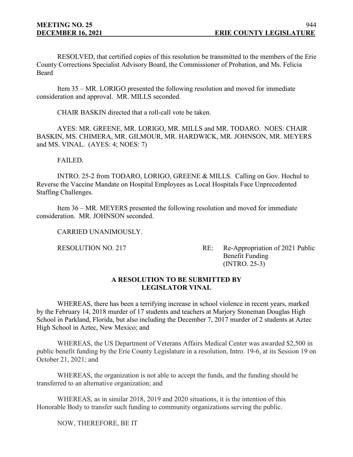RESOLVED, that certified copies of this resolution be transmitted to the members of the Erie County Corrections Specialist Advisory Board, the Commissioner of Probation, and Ms. Felicia **Beard** 

Item 35 – MR. LORIGO presented the following resolution and moved for immediate consideration and approval. MR. MILLS seconded.

CHAIR BASKIN directed that a roll-call vote be taken.

AYES: MR. GREENE, MR. LORIGO, MR. MILLS and MR. TODARO. NOES: CHAIR BASKIN, MS. CHIMERA, MR. GILMOUR, MR. HARDWICK, MR. JOHNSON, MR. MEYERS and MS. VINAL. (AYES: 4; NOES: 7)

FAILED.

INTRO. 25-2 from TODARO, LORIGO, GREENE & MILLS. Calling on Gov. Hochul to Reverse the Vaccine Mandate on Hospital Employees as Local Hospitals Face Unprecedented Staffing Challenges.

Item 36 – MR. MEYERS presented the following resolution and moved for immediate consideration. MR. JOHNSON seconded.

CARRIED UNANIMOUSLY.

RESOLUTION NO. 217 RE: Re-Appropriation of 2021 Public Benefit Funding (INTRO. 25-3)

# **A RESOLUTION TO BE SUBMITTED BY LEGISLATOR VINAL**

WHEREAS, there has been a terrifying increase in school violence in recent years, marked by the February 14, 2018 murder of 17 students and teachers at Marjory Stoneman Douglas High School in Parkland, Florida, but also including the December 7, 2017 murder of 2 students at Aztec High School in Aztec, New Mexico; and

WHEREAS, the US Department of Veterans Affairs Medical Center was awarded \$2,500 in public benefit funding by the Erie County Legislature in a resolution, Intro. 19-6, at its Session 19 on October 21, 2021; and

WHEREAS, the organization is not able to accept the funds, and the funding should be transferred to an alternative organization; and

WHEREAS, as in similar 2018, 2019 and 2020 situations, it is the intention of this Honorable Body to transfer such funding to community organizations serving the public.

NOW, THEREFORE, BE IT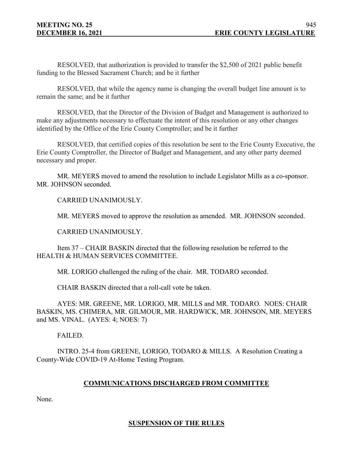RESOLVED, that authorization is provided to transfer the \$2,500 of 2021 public benefit funding to the Blessed Sacrament Church; and be it further

RESOLVED, that while the agency name is changing the overall budget line amount is to remain the same; and be it further

RESOLVED, that the Director of the Division of Budget and Management is authorized to make any adjustments necessary to effectuate the intent of this resolution or any other changes identified by the Office of the Erie County Comptroller; and be it further

RESOLVED, that certified copies of this resolution be sent to the Erie County Executive, the Erie County Comptroller, the Director of Budget and Management, and any other party deemed necessary and proper.

MR. MEYERS moved to amend the resolution to include Legislator Mills as a co-sponsor. MR. JOHNSON seconded.

CARRIED UNANIMOUSLY.

MR. MEYERS moved to approve the resolution as amended. MR. JOHNSON seconded.

CARRIED UNANIMOUSLY.

Item 37 – CHAIR BASKIN directed that the following resolution be referred to the HEALTH & HUMAN SERVICES COMMITTEE.

MR. LORIGO challenged the ruling of the chair. MR. TODARO seconded.

CHAIR BASKIN directed that a roll-call vote be taken.

AYES: MR. GREENE, MR. LORIGO, MR. MILLS and MR. TODARO. NOES: CHAIR BASKIN, MS. CHIMERA, MR. GILMOUR, MR. HARDWICK, MR. JOHNSON, MR. MEYERS and MS. VINAL. (AYES: 4; NOES: 7)

FAILED.

INTRO. 25-4 from GREENE, LORIGO, TODARO & MILLS. A Resolution Creating a County-Wide COVID-19 At-Home Testing Program.

# **COMMUNICATIONS DISCHARGED FROM COMMITTEE**

None.

# **SUSPENSION OF THE RULES**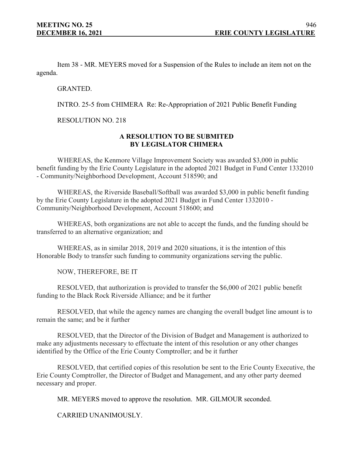Item 38 - MR. MEYERS moved for a Suspension of the Rules to include an item not on the agenda.

GRANTED.

INTRO. 25-5 from CHIMERA Re: Re-Appropriation of 2021 Public Benefit Funding

RESOLUTION NO. 218

# **A RESOLUTION TO BE SUBMITED BY LEGISLATOR CHIMERA**

WHEREAS, the Kenmore Village Improvement Society was awarded \$3,000 in public benefit funding by the Erie County Legislature in the adopted 2021 Budget in Fund Center 1332010 - Community/Neighborhood Development, Account 518590; and

WHEREAS, the Riverside Baseball/Softball was awarded \$3,000 in public benefit funding by the Erie County Legislature in the adopted 2021 Budget in Fund Center 1332010 - Community/Neighborhood Development, Account 518600; and

WHEREAS, both organizations are not able to accept the funds, and the funding should be transferred to an alternative organization; and

WHEREAS, as in similar 2018, 2019 and 2020 situations, it is the intention of this Honorable Body to transfer such funding to community organizations serving the public.

NOW, THEREFORE, BE IT

RESOLVED, that authorization is provided to transfer the \$6,000 of 2021 public benefit funding to the Black Rock Riverside Alliance; and be it further

RESOLVED, that while the agency names are changing the overall budget line amount is to remain the same; and be it further

RESOLVED, that the Director of the Division of Budget and Management is authorized to make any adjustments necessary to effectuate the intent of this resolution or any other changes identified by the Office of the Erie County Comptroller; and be it further

RESOLVED, that certified copies of this resolution be sent to the Erie County Executive, the Erie County Comptroller, the Director of Budget and Management, and any other party deemed necessary and proper.

MR. MEYERS moved to approve the resolution. MR. GILMOUR seconded.

CARRIED UNANIMOUSLY.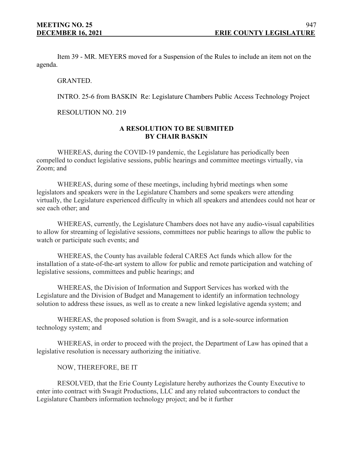Item 39 - MR. MEYERS moved for a Suspension of the Rules to include an item not on the agenda.

GRANTED.

INTRO. 25-6 from BASKIN Re: Legislature Chambers Public Access Technology Project

RESOLUTION NO. 219

# **A RESOLUTION TO BE SUBMITED BY CHAIR BASKIN**

WHEREAS, during the COVID-19 pandemic, the Legislature has periodically been compelled to conduct legislative sessions, public hearings and committee meetings virtually, via Zoom; and

WHEREAS, during some of these meetings, including hybrid meetings when some legislators and speakers were in the Legislature Chambers and some speakers were attending virtually, the Legislature experienced difficulty in which all speakers and attendees could not hear or see each other; and

WHEREAS, currently, the Legislature Chambers does not have any audio-visual capabilities to allow for streaming of legislative sessions, committees nor public hearings to allow the public to watch or participate such events; and

WHEREAS, the County has available federal CARES Act funds which allow for the installation of a state-of-the-art system to allow for public and remote participation and watching of legislative sessions, committees and public hearings; and

WHEREAS, the Division of Information and Support Services has worked with the Legislature and the Division of Budget and Management to identify an information technology solution to address these issues, as well as to create a new linked legislative agenda system; and

WHEREAS, the proposed solution is from Swagit, and is a sole-source information technology system; and

WHEREAS, in order to proceed with the project, the Department of Law has opined that a legislative resolution is necessary authorizing the initiative.

NOW, THEREFORE, BE IT

RESOLVED, that the Erie County Legislature hereby authorizes the County Executive to enter into contract with Swagit Productions, LLC and any related subcontractors to conduct the Legislature Chambers information technology project; and be it further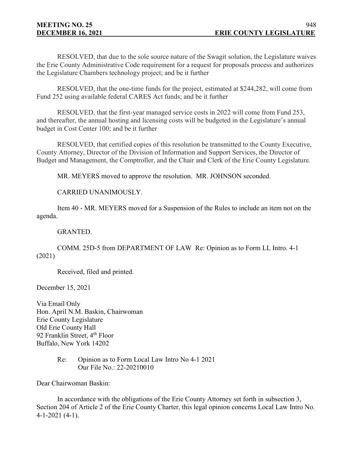RESOLVED, that due to the sole source nature of the Swagit solution, the Legislature waives the Erie County Administrative Code requirement for a request for proposals process and authorizes the Legislature Chambers technology project; and be it further

RESOLVED, that the one-time funds for the project, estimated at \$244,282, will come from Fund 252 using available federal CARES Act funds; and be it further

RESOLVED, that the first-year managed service costs in 2022 will come from Fund 253, and thereafter, the annual hosting and licensing costs will be budgeted in the Legislature's annual budget in Cost Center 100; and be it further

RESOLVED, that certified copies of this resolution be transmitted to the County Executive, County Attorney, Director of the Division of Information and Support Services, the Director of Budget and Management, the Comptroller, and the Chair and Clerk of the Erie County Legislature.

MR. MEYERS moved to approve the resolution. MR. JOHNSON seconded.

CARRIED UNANIMOUSLY.

Item 40 - MR. MEYERS moved for a Suspension of the Rules to include an item not on the agenda.

GRANTED.

COMM. 25D-5 from DEPARTMENT OF LAW Re: Opinion as to Form LL Intro. 4-1 (2021)

Received, filed and printed.

December 15, 2021

Via Email Only Hon. April N.M. Baskin, Chairwoman Erie County Legislature Old Erie County Hall 92 Franklin Street, 4<sup>th</sup> Floor Buffalo, New York 14202

> Re: Opinion as to Form Local Law Intro No 4-1 2021 Our File No.: 22-20210010

Dear Chairwoman Baskin:

In accordance with the obligations of the Erie County Attorney set forth in subsection 3, Section 204 of Article 2 of the Erie County Charter, this legal opinion concerns Local Law Intro No. 4-1-2021 (4-1).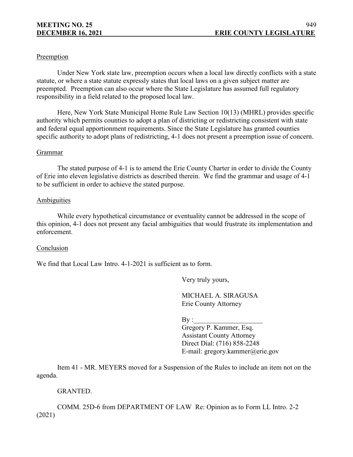# Preemption

Under New York state law, preemption occurs when a local law directly conflicts with a state statute, or where a state statute expressly states that local laws on a given subject matter are preempted. Preemption can also occur where the State Legislature has assumed full regulatory responsibility in a field related to the proposed local law.

Here, New York State Municipal Home Rule Law Section 10(13) (MHRL) provides specific authority which permits counties to adopt a plan of districting or redistricting consistent with state and federal equal apportionment requirements. Since the State Legislature has granted counties specific authority to adopt plans of redistricting, 4-1 does not present a preemption issue of concern.

#### Grammar

The stated purpose of 4-1 is to amend the Erie County Charter in order to divide the County of Erie into eleven legislative districts as described therein. We find the grammar and usage of 4-1 to be sufficient in order to achieve the stated purpose.

#### **Ambiguities**

While every hypothetical circumstance or eventuality cannot be addressed in the scope of this opinion, 4-1 does not present any facial ambiguities that would frustrate its implementation and enforcement.

# Conclusion

We find that Local Law Intro. 4-1-2021 is sufficient as to form.

Very truly yours,

MICHAEL A. SIRAGUSA Erie County Attorney

 $\mathbf{By:}$ 

Gregory P. Kammer, Esq. Assistant County Attorney Direct Dial: (716) 858-2248 E-mail: gregory.kammer@erie.gov

Item 41 - MR. MEYERS moved for a Suspension of the Rules to include an item not on the agenda.

# GRANTED.

COMM. 25D-6 from DEPARTMENT OF LAW Re: Opinion as to Form LL Intro. 2-2 (2021)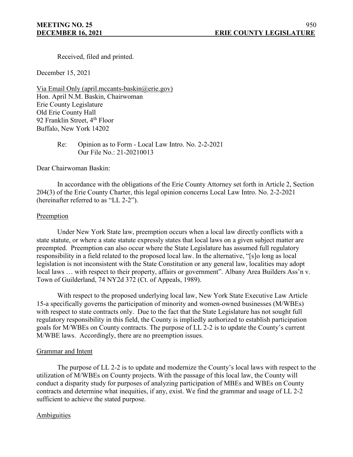Received, filed and printed.

December 15, 2021

Via Email Only (april.mccants-baskin@erie.gov) Hon. April N.M. Baskin, Chairwoman Erie County Legislature Old Erie County Hall 92 Franklin Street, 4<sup>th</sup> Floor Buffalo, New York 14202

> Re: Opinion as to Form - Local Law Intro. No. 2-2-2021 Our File No.: 21-20210013

Dear Chairwoman Baskin:

In accordance with the obligations of the Erie County Attorney set forth in Article 2, Section 204(3) of the Erie County Charter, this legal opinion concerns Local Law Intro. No. 2-2-2021 (hereinafter referred to as "LL 2-2").

#### Preemption

Under New York State law, preemption occurs when a local law directly conflicts with a state statute, or where a state statute expressly states that local laws on a given subject matter are preempted. Preemption can also occur where the State Legislature has assumed full regulatory responsibility in a field related to the proposed local law. In the alternative, "[s]o long as local legislation is not inconsistent with the State Constitution or any general law, localities may adopt local laws ... with respect to their property, affairs or government". Albany Area Builders Ass'n v. Town of Guilderland, 74 NY2d 372 (Ct. of Appeals, 1989).

With respect to the proposed underlying local law, New York State Executive Law Article 15-a specifically governs the participation of minority and women-owned businesses (M/WBEs) with respect to state contracts only. Due to the fact that the State Legislature has not sought full regulatory responsibility in this field, the County is impliedly authorized to establish participation goals for M/WBEs on County contracts. The purpose of LL 2-2 is to update the County's current M/WBE laws. Accordingly, there are no preemption issues.

# Grammar and Intent

The purpose of LL 2-2 is to update and modernize the County's local laws with respect to the utilization of M/WBEs on County projects. With the passage of this local law, the County will conduct a disparity study for purposes of analyzing participation of MBEs and WBEs on County contracts and determine what inequities, if any, exist. We find the grammar and usage of LL 2-2 sufficient to achieve the stated purpose.

# Ambiguities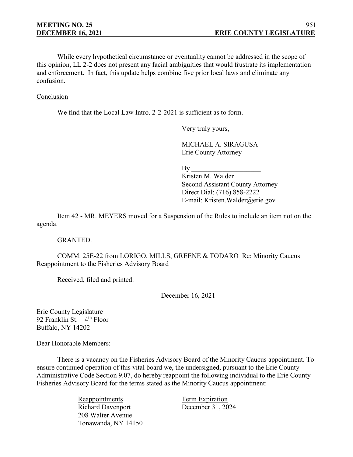While every hypothetical circumstance or eventuality cannot be addressed in the scope of this opinion, LL 2-2 does not present any facial ambiguities that would frustrate its implementation and enforcement. In fact, this update helps combine five prior local laws and eliminate any confusion.

#### Conclusion

We find that the Local Law Intro. 2-2-2021 is sufficient as to form.

Very truly yours,

MICHAEL A. SIRAGUSA Erie County Attorney

 $\mathbf{B} \mathbf{v}$ 

Kristen M. Walder Second Assistant County Attorney Direct Dial: (716) 858-2222 E-mail: Kristen.Walder@erie.gov

Item 42 - MR. MEYERS moved for a Suspension of the Rules to include an item not on the agenda.

#### GRANTED.

COMM. 25E-22 from LORIGO, MILLS, GREENE & TODARO Re: Minority Caucus Reappointment to the Fisheries Advisory Board

Received, filed and printed.

December 16, 2021

Erie County Legislature 92 Franklin St.  $-4$ <sup>th</sup> Floor Buffalo, NY 14202

Dear Honorable Members:

There is a vacancy on the Fisheries Advisory Board of the Minority Caucus appointment. To ensure continued operation of this vital board we, the undersigned, pursuant to the Erie County Administrative Code Section 9.07, do hereby reappoint the following individual to the Erie County Fisheries Advisory Board for the terms stated as the Minority Caucus appointment:

> Reappointments Term Expiration Richard Davenport December 31, 2024 208 Walter Avenue Tonawanda, NY 14150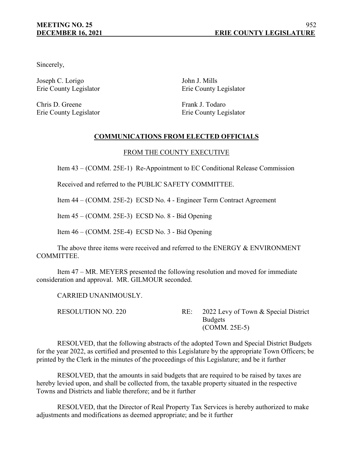Sincerely,

Joseph C. Lorigo John J. Mills Erie County Legislator Erie County Legislator

Chris D. Greene Frank J. Todaro

Erie County Legislator Erie County Legislator

# **COMMUNICATIONS FROM ELECTED OFFICIALS**

# FROM THE COUNTY EXECUTIVE

Item 43 – (COMM. 25E-1) Re-Appointment to EC Conditional Release Commission

Received and referred to the PUBLIC SAFETY COMMITTEE.

Item 44 – (COMM. 25E-2) ECSD No. 4 - Engineer Term Contract Agreement

Item 45 – (COMM. 25E-3) ECSD No. 8 - Bid Opening

Item 46 – (COMM. 25E-4) ECSD No. 3 - Bid Opening

The above three items were received and referred to the ENERGY & ENVIRONMENT COMMITTEE.

Item 47 – MR. MEYERS presented the following resolution and moved for immediate consideration and approval. MR. GILMOUR seconded.

CARRIED UNANIMOUSLY.

RESOLUTION NO. 220 RE: 2022 Levy of Town & Special District Budgets (COMM. 25E-5)

RESOLVED, that the following abstracts of the adopted Town and Special District Budgets for the year 2022, as certified and presented to this Legislature by the appropriate Town Officers; be printed by the Clerk in the minutes of the proceedings of this Legislature; and be it further

RESOLVED, that the amounts in said budgets that are required to be raised by taxes are hereby levied upon, and shall be collected from, the taxable property situated in the respective Towns and Districts and liable therefore; and be it further

RESOLVED, that the Director of Real Property Tax Services is hereby authorized to make adjustments and modifications as deemed appropriate; and be it further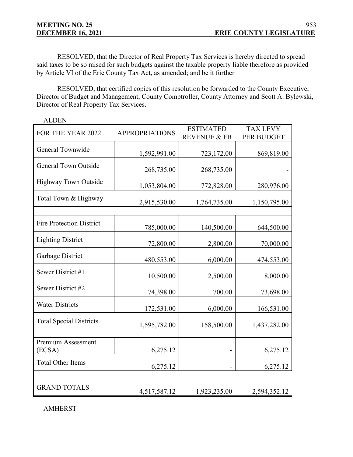RESOLVED, that the Director of Real Property Tax Services is hereby directed to spread said taxes to be so raised for such budgets against the taxable property liable therefore as provided by Article VI of the Erie County Tax Act, as amended; and be it further

RESOLVED, that certified copies of this resolution be forwarded to the County Executive, Director of Budget and Management, County Comptroller, County Attorney and Scott A. Bylewski, Director of Real Property Tax Services.

| FOR THE YEAR 2022               | <b>APPROPRIATIONS</b> | <b>ESTIMATED</b>        | <b>TAX LEVY</b> |  |
|---------------------------------|-----------------------|-------------------------|-----------------|--|
|                                 |                       | <b>REVENUE &amp; FB</b> | PER BUDGET      |  |
| General Townwide                | 1,592,991.00          | 723,172.00              | 869,819.00      |  |
| <b>General Town Outside</b>     | 268,735.00            | 268,735.00              |                 |  |
| <b>Highway Town Outside</b>     | 1,053,804.00          | 772,828.00              | 280,976.00      |  |
| Total Town & Highway            | 2,915,530.00          | 1,764,735.00            | 1,150,795.00    |  |
|                                 |                       |                         |                 |  |
| <b>Fire Protection District</b> | 785,000.00            | 140,500.00              | 644,500.00      |  |
| <b>Lighting District</b>        | 72,800.00             | 2,800.00                | 70,000.00       |  |
| Garbage District                | 480,553.00            | 6,000.00                | 474,553.00      |  |
| Sewer District #1               | 10,500.00             | 2,500.00                | 8,000.00        |  |
| Sewer District #2               | 74,398.00             | 700.00                  | 73,698.00       |  |
| <b>Water Districts</b>          | 172,531.00            | 6,000.00                | 166,531.00      |  |
| <b>Total Special Districts</b>  | 1,595,782.00          | 158,500.00              | 1,437,282.00    |  |
|                                 |                       |                         |                 |  |
| Premium Assessment<br>(ECSA)    | 6,275.12              |                         | 6,275.12        |  |
| <b>Total Other Items</b>        | 6,275.12              |                         | 6,275.12        |  |
|                                 |                       |                         |                 |  |
| <b>GRAND TOTALS</b>             | 4,517,587.12          | 1,923,235.00            | 2,594,352.12    |  |

ALDEN

AMHERST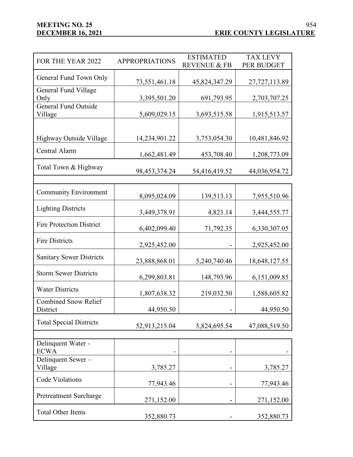| FOR THE YEAR 2022                       | <b>APPROPRIATIONS</b> | <b>ESTIMATED</b><br><b>REVENUE &amp; FB</b> | <b>TAX LEVY</b><br>PER BUDGET |
|-----------------------------------------|-----------------------|---------------------------------------------|-------------------------------|
| General Fund Town Only                  |                       |                                             |                               |
| General Fund Village                    | 73,551,461.18         | 45,824,347.29                               | 27,727,113.89                 |
| Only                                    | 3,395,501.20          | 691,793.95                                  | 2,703,707.25                  |
| <b>General Fund Outside</b>             |                       |                                             |                               |
| Village                                 | 5,609,029.15          | 3,693,515.58                                | 1,915,513.57                  |
|                                         |                       |                                             |                               |
| Highway Outside Village                 | 14,234,901.22         | 3,753,054.30                                | 10,481,846.92                 |
| Central Alarm                           | 1,662,481.49          | 453,708.40                                  | 1,208,773.09                  |
| Total Town & Highway                    | 98, 453, 374. 24      | 54,416,419.52                               | 44,036,954.72                 |
|                                         |                       |                                             |                               |
| <b>Community Environment</b>            | 8,095,024.09          | 139,513.13                                  | 7,955,510.96                  |
| <b>Lighting Districts</b>               | 3,449,378.91          | 4,823.14                                    | 3,444,555.77                  |
| <b>Fire Protection District</b>         | 6,402,099.40          | 71,792.35                                   | 6,330,307.05                  |
| <b>Fire Districts</b>                   | 2,925,452.00          |                                             | 2,925,452.00                  |
| <b>Sanitary Sewer Districts</b>         | 23,888,868.01         | 5,240,740.46                                | 18,648,127.55                 |
| <b>Storm Sewer Districts</b>            | 6,299,803.81          | 148,793.96                                  | 6,151,009.85                  |
| <b>Water Districts</b>                  | 1,807,638.32          | 219,032.50                                  | 1,588,605.82                  |
| <b>Combined Snow Relief</b><br>District | 44,950.50             |                                             | 44,950.50                     |
| <b>Total Special Districts</b>          | 52,913,215.04         | 5,824,695.54                                | 47,088,519.50                 |
|                                         |                       |                                             |                               |
| Delinquent Water -<br><b>ECWA</b>       |                       |                                             |                               |
| Delinquent Sewer-<br>Village            | 3,785.27              |                                             | 3,785.27                      |
| Code Violations                         | 77,943.46             |                                             | 77,943.46                     |
| <b>Pretreatment Surcharge</b>           | 271,152.00            |                                             | 271,152.00                    |
| <b>Total Other Items</b>                | 352,880.73            |                                             | 352,880.73                    |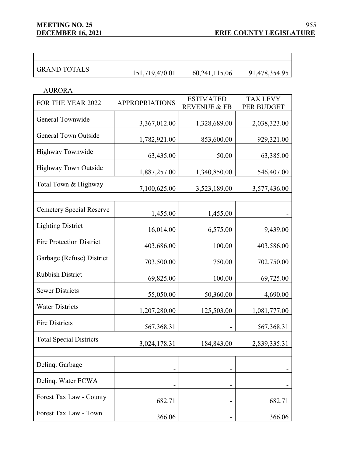$\overline{\phantom{a}}$ 

| <b>AURORA</b>                   |                       |                                             |                               |
|---------------------------------|-----------------------|---------------------------------------------|-------------------------------|
| FOR THE YEAR 2022               | <b>APPROPRIATIONS</b> | <b>ESTIMATED</b><br><b>REVENUE &amp; FB</b> | <b>TAX LEVY</b><br>PER BUDGET |
| General Townwide                | 3,367,012.00          | 1,328,689.00                                | 2,038,323.00                  |
| <b>General Town Outside</b>     | 1,782,921.00          | 853,600.00                                  | 929,321.00                    |
| <b>Highway Townwide</b>         | 63,435.00             | 50.00                                       | 63,385.00                     |
| <b>Highway Town Outside</b>     | 1,887,257.00          | 1,340,850.00                                | 546,407.00                    |
| Total Town & Highway            | 7,100,625.00          | 3,523,189.00                                | 3,577,436.00                  |
| <b>Cemetery Special Reserve</b> | 1,455.00              | 1,455.00                                    |                               |
| <b>Lighting District</b>        | 16,014.00             | 6,575.00                                    | 9,439.00                      |
| <b>Fire Protection District</b> | 403,686.00            | 100.00                                      | 403,586.00                    |
| Garbage (Refuse) District       | 703,500.00            | 750.00                                      | 702,750.00                    |
| <b>Rubbish District</b>         | 69,825.00             | 100.00                                      | 69,725.00                     |
| <b>Sewer Districts</b>          | 55,050.00             | 50,360.00                                   | 4,690.00                      |
| <b>Water Districts</b>          | 1,207,280.00          | 125,503.00                                  | 1,081,777.00                  |
| <b>Fire Districts</b>           | 567,368.31            |                                             | 567,368.31                    |
| <b>Total Special Districts</b>  | 3,024,178.31          | 184,843.00                                  | 2,839,335.31                  |
| Delinq. Garbage                 |                       |                                             |                               |
| Delinq. Water ECWA              |                       |                                             |                               |
| Forest Tax Law - County         | 682.71                |                                             | 682.71                        |
| Forest Tax Law - Town           | 366.06                |                                             | 366.06                        |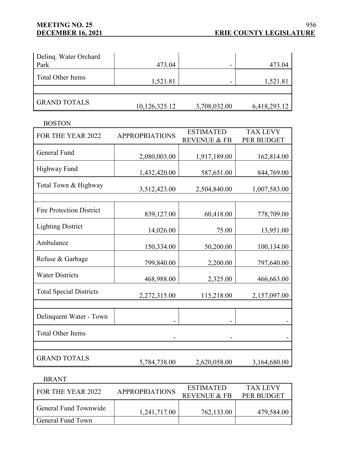BOSTON

| Deling. Water Orchard<br>Park | 473.04        |              | 473.04       |
|-------------------------------|---------------|--------------|--------------|
| <b>Total Other Items</b>      | 1,521.81      |              | 1,521.81     |
|                               |               |              |              |
| <b>GRAND TOTALS</b>           | 10,126,325.12 | 3,708,032.00 | 6,418,293.12 |

FOR THE YEAR 2022 APPROPRIATIONS ESTIMATED REVENUE & FB TAX LEVY PER BUDGET General Fund 2,080,003.00 1,917,189.00 162,814.00 Highway Fund 1,432,420.00 587,651.00 844,769.00 Total Town & Highway 3,512,423.00 2,504,840.00 1,007,583.00 Fire Protection District 839,127.00 60,418.00 778,709.00 Lighting District 14,026.00 75.00 13,951.00 Ambulance 150,334.00 50,200.00 100,134.00 Refuse & Garbage 799,840.00 2,200.00 797,640.00 Water Districts 468,988.00 2,325.00 466,663.00 Total Special Districts 2,272,315.00 115,218.00 2,157,097.00 Delinquent Water - Town - - - Total Other Items - - - GRAND TOTALS 5,784,738.00 2,620,058.00 3,164,680.00

BRANT

| FOR THE YEAR 2022     | <b>APPROPRIATIONS</b> | <b>ESTIMATED</b><br>REVENUE & FR | <b>TAX LEVY</b><br><b>PER BUDGET</b> |
|-----------------------|-----------------------|----------------------------------|--------------------------------------|
| General Fund Townwide | 1,241,717.00          | 762,133.00                       | 479,584.00                           |
| General Fund Town     |                       |                                  |                                      |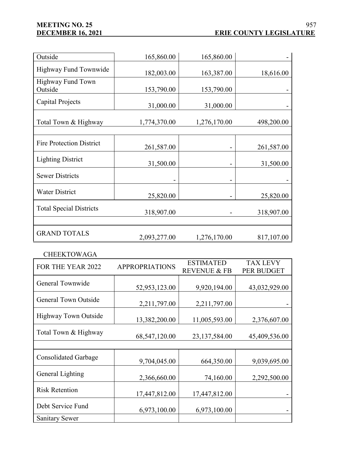| Outside                         | 165,860.00   | 165,860.00   |            |
|---------------------------------|--------------|--------------|------------|
| Highway Fund Townwide           | 182,003.00   | 163,387.00   | 18,616.00  |
| Highway Fund Town<br>Outside    | 153,790.00   | 153,790.00   |            |
| Capital Projects                | 31,000.00    | 31,000.00    |            |
| Total Town & Highway            | 1,774,370.00 | 1,276,170.00 | 498,200.00 |
| <b>Fire Protection District</b> | 261,587.00   |              | 261,587.00 |
| <b>Lighting District</b>        | 31,500.00    |              | 31,500.00  |
| <b>Sewer Districts</b>          |              |              |            |
| <b>Water District</b>           | 25,820.00    |              | 25,820.00  |
| <b>Total Special Districts</b>  | 318,907.00   |              | 318,907.00 |
| <b>GRAND TOTALS</b>             | 2,093,277.00 | 1,276,170.00 | 817,107.00 |

CHEEKTOWAGA

| FOR THE YEAR 2022           | <b>APPROPRIATIONS</b> | <b>ESTIMATED</b>        | <b>TAX LEVY</b> |
|-----------------------------|-----------------------|-------------------------|-----------------|
|                             |                       | <b>REVENUE &amp; FB</b> | PER BUDGET      |
| General Townwide            |                       |                         |                 |
|                             | 52,953,123.00         | 9,920,194.00            | 43,032,929.00   |
| <b>General Town Outside</b> |                       |                         |                 |
|                             | 2,211,797.00          | 2,211,797.00            |                 |
| <b>Highway Town Outside</b> |                       |                         |                 |
|                             | 13,382,200.00         | 11,005,593.00           | 2,376,607.00    |
| Total Town & Highway        |                       |                         |                 |
|                             | 68,547,120.00         | 23,137,584.00           | 45,409,536.00   |
|                             |                       |                         |                 |
| Consolidated Garbage        |                       |                         |                 |
|                             | 9,704,045.00          | 664,350.00              | 9,039,695.00    |
| General Lighting            |                       |                         |                 |
|                             | 2,366,660.00          | 74,160.00               | 2,292,500.00    |
| <b>Risk Retention</b>       |                       |                         |                 |
|                             | 17,447,812.00         | 17,447,812.00           |                 |
| Debt Service Fund           |                       |                         |                 |
|                             | 6,973,100.00          | 6,973,100.00            |                 |
| <b>Sanitary Sewer</b>       |                       |                         |                 |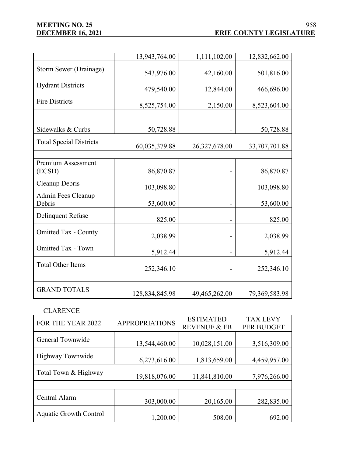## **MEETING NO. 25<br>
<u>DECEMBER 16, 2021</u>**

|                                | 13,943,764.00  | 1,111,102.00  | 12,832,662.00 |
|--------------------------------|----------------|---------------|---------------|
| Storm Sewer (Drainage)         | 543,976.00     | 42,160.00     | 501,816.00    |
| <b>Hydrant Districts</b>       | 479,540.00     | 12,844.00     | 466,696.00    |
| <b>Fire Districts</b>          | 8,525,754.00   | 2,150.00      | 8,523,604.00  |
|                                |                |               |               |
| Sidewalks & Curbs              | 50,728.88      |               | 50,728.88     |
| <b>Total Special Districts</b> | 60,035,379.88  | 26,327,678.00 | 33,707,701.88 |
|                                |                |               |               |
| Premium Assessment<br>(ECSD)   | 86,870.87      |               | 86,870.87     |
| Cleanup Debris                 | 103,098.80     |               | 103,098.80    |
| Admin Fees Cleanup<br>Debris   | 53,600.00      |               | 53,600.00     |
| <b>Delinquent Refuse</b>       | 825.00         |               | 825.00        |
| <b>Omitted Tax - County</b>    | 2,038.99       |               | 2,038.99      |
| <b>Omitted Tax - Town</b>      | 5,912.44       |               | 5,912.44      |
| <b>Total Other Items</b>       | 252,346.10     |               | 252,346.10    |
|                                |                |               |               |
| <b>GRAND TOTALS</b>            | 128,834,845.98 | 49,465,262.00 | 79,369,583.98 |

## CLARENCE

| FOR THE YEAR 2022             | <b>APPROPRIATIONS</b> | <b>ESTIMATED</b>        | <b>TAX LEVY</b> |
|-------------------------------|-----------------------|-------------------------|-----------------|
|                               |                       | <b>REVENUE &amp; FB</b> | PER BUDGET      |
| General Townwide              | 13,544,460.00         | 10,028,151.00           | 3,516,309.00    |
| <b>Highway Townwide</b>       | 6,273,616.00          | 1,813,659.00            | 4,459,957.00    |
| Total Town & Highway          | 19,818,076.00         | 11,841,810.00           | 7,976,266.00    |
|                               |                       |                         |                 |
| Central Alarm                 | 303,000.00            | 20,165.00               | 282,835.00      |
| <b>Aquatic Growth Control</b> | 1,200.00              | 508.00                  | 692.00          |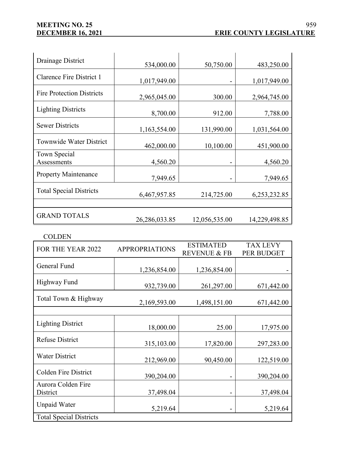| Drainage District                | 534,000.00       | 50,750.00      | 483,250.00    |
|----------------------------------|------------------|----------------|---------------|
| Clarence Fire District 1         | 1,017,949.00     |                | 1,017,949.00  |
| <b>Fire Protection Districts</b> | 2,965,045.00     | 300.00         | 2,964,745.00  |
| <b>Lighting Districts</b>        | 8,700.00         | 912.00         | 7,788.00      |
| <b>Sewer Districts</b>           | 1,163,554.00     | 131,990.00     | 1,031,564.00  |
| <b>Townwide Water District</b>   | 462,000.00       | 10,100.00      | 451,900.00    |
| Town Special<br>Assessments      | 4,560.20         |                | 4,560.20      |
| <b>Property Maintenance</b>      | 7,949.65         | $\blacksquare$ | 7,949.65      |
| <b>Total Special Districts</b>   | 6,467,957.85     | 214,725.00     | 6,253,232.85  |
|                                  |                  |                |               |
| <b>GRAND TOTALS</b>              | 26, 286, 033. 85 | 12,056,535.00  | 14,229,498.85 |

COLDEN

| FOR THE YEAR 2022              | <b>APPROPRIATIONS</b> | <b>ESTIMATED</b>        | <b>TAX LEVY</b> |  |
|--------------------------------|-----------------------|-------------------------|-----------------|--|
|                                |                       | <b>REVENUE &amp; FB</b> | PER BUDGET      |  |
| General Fund                   |                       |                         |                 |  |
|                                | 1,236,854.00          | 1,236,854.00            |                 |  |
| Highway Fund                   |                       |                         |                 |  |
|                                | 932,739.00            | 261,297.00              | 671,442.00      |  |
| Total Town & Highway           |                       |                         |                 |  |
|                                | 2,169,593.00          | 1,498,151.00            | 671,442.00      |  |
|                                |                       |                         |                 |  |
| <b>Lighting District</b>       |                       |                         |                 |  |
|                                | 18,000.00             | 25.00                   | 17,975.00       |  |
| <b>Refuse District</b>         |                       |                         |                 |  |
|                                | 315,103.00            | 17,820.00               | 297,283.00      |  |
| <b>Water District</b>          |                       |                         |                 |  |
|                                | 212,969.00            | 90,450.00               | 122,519.00      |  |
| <b>Colden Fire District</b>    |                       |                         |                 |  |
|                                | 390,204.00            |                         | 390,204.00      |  |
| Aurora Colden Fire             |                       |                         |                 |  |
| District                       | 37,498.04             |                         | 37,498.04       |  |
| <b>Unpaid Water</b>            |                       |                         |                 |  |
|                                | 5,219.64              |                         | 5,219.64        |  |
| <b>Total Special Districts</b> |                       |                         |                 |  |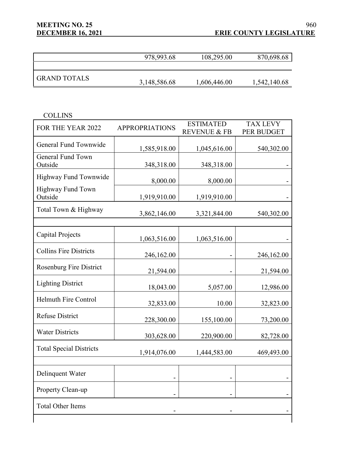|                     | 978,993.68   | 108,295.00   | 870,698.68   |
|---------------------|--------------|--------------|--------------|
|                     |              |              |              |
| <b>GRAND TOTALS</b> |              |              |              |
|                     | 3,148,586.68 | 1,606,446.00 | 1,542,140.68 |

| L<br>L.<br>٠ |
|--------------|
|              |

| FOR THE YEAR 2022              | <b>APPROPRIATIONS</b> | <b>ESTIMATED</b>        | <b>TAX LEVY</b> |
|--------------------------------|-----------------------|-------------------------|-----------------|
|                                |                       | <b>REVENUE &amp; FB</b> | PER BUDGET      |
| General Fund Townwide          |                       |                         |                 |
|                                | 1,585,918.00          | 1,045,616.00            | 540,302.00      |
| General Fund Town              |                       |                         |                 |
| Outside                        | 348,318.00            | 348,318.00              |                 |
| Highway Fund Townwide          | 8,000.00              | 8,000.00                |                 |
| Highway Fund Town              |                       |                         |                 |
| Outside                        | 1,919,910.00          | 1,919,910.00            |                 |
|                                |                       |                         |                 |
| Total Town & Highway           | 3,862,146.00          | 3,321,844.00            | 540,302.00      |
|                                |                       |                         |                 |
|                                |                       |                         |                 |
| Capital Projects               | 1,063,516.00          | 1,063,516.00            |                 |
| <b>Collins Fire Districts</b>  |                       |                         |                 |
|                                | 246,162.00            |                         | 246,162.00      |
| <b>Rosenburg Fire District</b> |                       |                         |                 |
|                                | 21,594.00             |                         | 21,594.00       |
| <b>Lighting District</b>       |                       |                         |                 |
|                                | 18,043.00             | 5,057.00                | 12,986.00       |
| <b>Helmuth Fire Control</b>    |                       |                         |                 |
|                                | 32,833.00             | 10.00                   | 32,823.00       |
| <b>Refuse District</b>         | 228,300.00            | 155,100.00              | 73,200.00       |
|                                |                       |                         |                 |
| <b>Water Districts</b>         | 303,628.00            | 220,900.00              | 82,728.00       |
|                                |                       |                         |                 |
| <b>Total Special Districts</b> | 1,914,076.00          | 1,444,583.00            | 469,493.00      |
|                                |                       |                         |                 |
|                                |                       |                         |                 |
| Delinquent Water               |                       |                         |                 |
| Property Clean-up              |                       |                         |                 |
|                                |                       |                         |                 |
| <b>Total Other Items</b>       |                       |                         |                 |
|                                |                       |                         |                 |
|                                |                       |                         |                 |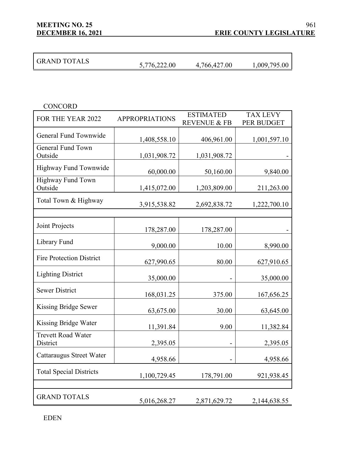**MEETING NO. 25**

| <b>GRAND TOTALS</b> | 5,776,222.00 | 4,766,427.00 | 1,009,795.00 |
|---------------------|--------------|--------------|--------------|

| <b>CONCORD</b>                        |                       |                                             |                               |
|---------------------------------------|-----------------------|---------------------------------------------|-------------------------------|
| FOR THE YEAR 2022                     | <b>APPROPRIATIONS</b> | <b>ESTIMATED</b><br><b>REVENUE &amp; FB</b> | <b>TAX LEVY</b><br>PER BUDGET |
| General Fund Townwide                 | 1,408,558.10          | 406,961.00                                  | 1,001,597.10                  |
| <b>General Fund Town</b><br>Outside   | 1,031,908.72          | 1,031,908.72                                |                               |
| Highway Fund Townwide                 | 60,000.00             | 50,160.00                                   | 9,840.00                      |
| Highway Fund Town<br>Outside          | 1,415,072.00          | 1,203,809.00                                | 211,263.00                    |
| Total Town & Highway                  | 3,915,538.82          | 2,692,838.72                                | 1,222,700.10                  |
|                                       |                       |                                             |                               |
| Joint Projects                        | 178,287.00            | 178,287.00                                  |                               |
| Library Fund                          | 9,000.00              | 10.00                                       | 8,990.00                      |
| <b>Fire Protection District</b>       | 627,990.65            | 80.00                                       | 627,910.65                    |
| <b>Lighting District</b>              | 35,000.00             |                                             | 35,000.00                     |
| <b>Sewer District</b>                 | 168,031.25            | 375.00                                      | 167,656.25                    |
| Kissing Bridge Sewer                  | 63,675.00             | 30.00                                       | 63,645.00                     |
| Kissing Bridge Water                  | 11,391.84             | 9.00                                        | 11,382.84                     |
| <b>Trevett Road Water</b><br>District | 2,395.05              |                                             | 2,395.05                      |
| Cattaraugus Street Water              | 4,958.66              |                                             | 4,958.66                      |
| <b>Total Special Districts</b>        | 1,100,729.45          | 178,791.00                                  | 921,938.45                    |
|                                       |                       |                                             |                               |
| <b>GRAND TOTALS</b>                   | 5,016,268.27          | 2,871,629.72                                | 2,144,638.55                  |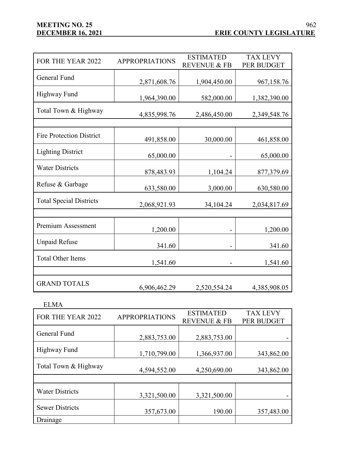| FOR THE YEAR 2022               | <b>APPROPRIATIONS</b> | <b>ESTIMATED</b><br><b>REVENUE &amp; FB</b> | <b>TAX LEVY</b><br><b>PER BUDGET</b> |
|---------------------------------|-----------------------|---------------------------------------------|--------------------------------------|
| <b>General Fund</b>             | 2,871,608.76          | 1,904,450.00                                | 967,158.76                           |
| <b>Highway Fund</b>             | 1,964,390.00          | 582,000.00                                  | 1,382,390.00                         |
| Total Town & Highway            | 4,835,998.76          | 2,486,450.00                                | 2,349,548.76                         |
|                                 |                       |                                             |                                      |
| <b>Fire Protection District</b> | 491,858.00            | 30,000.00                                   | 461,858.00                           |
| <b>Lighting District</b>        | 65,000.00             |                                             | 65,000.00                            |
| <b>Water Districts</b>          | 878,483.93            | 1,104.24                                    | 877,379.69                           |
| Refuse & Garbage                | 633,580.00            | 3,000.00                                    | 630,580.00                           |
| <b>Total Special Districts</b>  | 2,068,921.93          | 34,104.24                                   | 2,034,817.69                         |
|                                 |                       |                                             |                                      |
| Premium Assessment              | 1,200.00              |                                             | 1,200.00                             |
| <b>Unpaid Refuse</b>            | 341.60                |                                             | 341.60                               |
| <b>Total Other Items</b>        | 1,541.60              |                                             | 1,541.60                             |
|                                 |                       |                                             |                                      |
| <b>GRAND TOTALS</b>             | 6,906,462.29          | 2,520,554.24                                | 4,385,908.05                         |

| <b>ELMA</b>            |                       |                                             |                               |
|------------------------|-----------------------|---------------------------------------------|-------------------------------|
| FOR THE YEAR 2022      | <b>APPROPRIATIONS</b> | <b>ESTIMATED</b><br><b>REVENUE &amp; FB</b> | <b>TAX LEVY</b><br>PER BUDGET |
| General Fund           | 2,883,753.00          | 2,883,753.00                                |                               |
| Highway Fund           | 1,710,799.00          | 1,366,937.00                                | 343,862.00                    |
| Total Town & Highway   | 4,594,552.00          | 4,250,690.00                                | 343,862.00                    |
|                        |                       |                                             |                               |
| <b>Water Districts</b> | 3,321,500.00          | 3,321,500.00                                |                               |
| <b>Sewer Districts</b> | 357,673.00            | 190.00                                      | 357,483.00                    |
| Drainage               |                       |                                             |                               |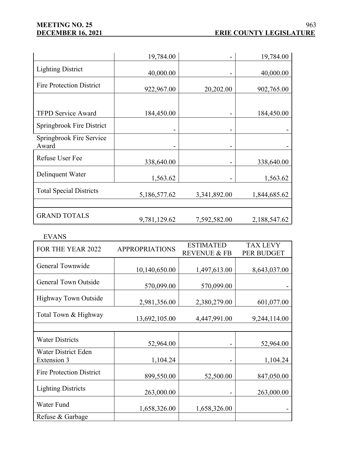|                                   | 19,784.00    |              | 19,784.00    |
|-----------------------------------|--------------|--------------|--------------|
| <b>Lighting District</b>          | 40,000.00    |              | 40,000.00    |
| <b>Fire Protection District</b>   | 922,967.00   | 20,202.00    | 902,765.00   |
|                                   |              |              |              |
| <b>TFPD Service Award</b>         | 184,450.00   |              | 184,450.00   |
| Springbrook Fire District         |              |              |              |
| Springbrook Fire Service<br>Award |              |              |              |
| <b>Refuse User Fee</b>            | 338,640.00   |              | 338,640.00   |
| Delinquent Water                  | 1,563.62     |              | 1,563.62     |
| <b>Total Special Districts</b>    | 5,186,577.62 | 3,341,892.00 | 1,844,685.62 |
| <b>GRAND TOTALS</b>               | 9,781,129.62 | 7,592,582.00 | 2,188,547.62 |

#### EVANS

| FOR THE YEAR 2022                         | <b>APPROPRIATIONS</b> | <b>ESTIMATED</b>        | <b>TAX LEVY</b> |
|-------------------------------------------|-----------------------|-------------------------|-----------------|
|                                           |                       | <b>REVENUE &amp; FB</b> | PER BUDGET      |
| General Townwide                          |                       |                         |                 |
|                                           | 10,140,650.00         | 1,497,613.00            | 8,643,037.00    |
| <b>General Town Outside</b>               | 570,099.00            | 570,099.00              |                 |
| <b>Highway Town Outside</b>               | 2,981,356.00          | 2,380,279.00            | 601,077.00      |
| Total Town & Highway                      | 13,692,105.00         | 4,447,991.00            | 9,244,114.00    |
|                                           |                       |                         |                 |
| <b>Water Districts</b>                    |                       |                         |                 |
|                                           | 52,964.00             |                         | 52,964.00       |
| <b>Water District Eden</b><br>Extension 3 | 1,104.24              |                         | 1,104.24        |
| <b>Fire Protection District</b>           | 899,550.00            | 52,500.00               | 847,050.00      |
| <b>Lighting Districts</b>                 | 263,000.00            |                         | 263,000.00      |
| Water Fund                                | 1,658,326.00          | 1,658,326.00            |                 |
| Refuse & Garbage                          |                       |                         |                 |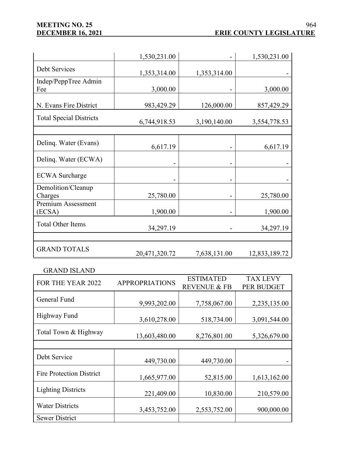# **MEETING NO. 25<br>DECEMBER 16, 2021**

|                                | 1,530,231.00  |              | 1,530,231.00  |
|--------------------------------|---------------|--------------|---------------|
| Debt Services                  | 1,353,314.00  | 1,353,314.00 |               |
| Indep/PeppTree Admin<br>Fee    | 3,000.00      |              | 3,000.00      |
| N. Evans Fire District         | 983,429.29    | 126,000.00   | 857,429.29    |
| <b>Total Special Districts</b> | 6,744,918.53  | 3,190,140.00 | 3,554,778.53  |
|                                |               |              |               |
| Delinq. Water (Evans)          | 6,617.19      |              | 6,617.19      |
| Delinq. Water (ECWA)           |               |              |               |
| <b>ECWA</b> Surcharge          |               |              |               |
| Demolition/Cleanup<br>Charges  | 25,780.00     |              | 25,780.00     |
| Premium Assessment<br>(ECSA)   | 1,900.00      |              | 1,900.00      |
| <b>Total Other Items</b>       | 34,297.19     |              | 34,297.19     |
|                                |               |              |               |
| <b>GRAND TOTALS</b>            | 20,471,320.72 | 7,638,131.00 | 12,833,189.72 |

#### GRAND ISLAND

| FOR THE YEAR 2022               | <b>APPROPRIATIONS</b> | <b>ESTIMATED</b><br><b>REVENUE &amp; FB</b> | <b>TAX LEVY</b><br>PER BUDGET |
|---------------------------------|-----------------------|---------------------------------------------|-------------------------------|
| General Fund                    | 9,993,202.00          | 7,758,067.00                                | 2,235,135.00                  |
| Highway Fund                    | 3,610,278.00          | 518,734.00                                  | 3,091,544.00                  |
| Total Town & Highway            | 13,603,480.00         | 8,276,801.00                                | 5,326,679.00                  |
|                                 |                       |                                             |                               |
| Debt Service                    | 449,730.00            | 449,730.00                                  |                               |
| <b>Fire Protection District</b> | 1,665,977.00          | 52,815.00                                   | 1,613,162.00                  |
| <b>Lighting Districts</b>       | 221,409.00            | 10,830.00                                   | 210,579.00                    |
| <b>Water Districts</b>          | 3,453,752.00          | 2,553,752.00                                | 900,000.00                    |
| <b>Sewer District</b>           |                       |                                             |                               |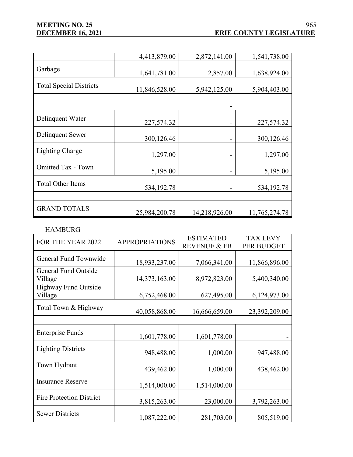# **MEETING NO. 25<br>
<u>DECEMBER 16, 2021</u>**

|                                | 4,413,879.00  | 2,872,141.00  | 1,541,738.00  |
|--------------------------------|---------------|---------------|---------------|
| Garbage                        | 1,641,781.00  | 2,857.00      | 1,638,924.00  |
| <b>Total Special Districts</b> | 11,846,528.00 | 5,942,125.00  | 5,904,403.00  |
|                                |               |               |               |
| Delinquent Water               | 227,574.32    |               | 227,574.32    |
| Delinquent Sewer               | 300,126.46    |               | 300,126.46    |
| Lighting Charge                | 1,297.00      |               | 1,297.00      |
| <b>Omitted Tax - Town</b>      | 5,195.00      |               | 5,195.00      |
| <b>Total Other Items</b>       | 534,192.78    |               | 534,192.78    |
|                                |               |               |               |
| <b>GRAND TOTALS</b>            | 25,984,200.78 | 14,218,926.00 | 11,765,274.78 |

#### HAMBURG

| FOR THE YEAR 2022               | <b>APPROPRIATIONS</b> | <b>ESTIMATED</b>        | <b>TAX LEVY</b> |
|---------------------------------|-----------------------|-------------------------|-----------------|
|                                 |                       | <b>REVENUE &amp; FB</b> | PER BUDGET      |
| General Fund Townwide           |                       |                         |                 |
|                                 | 18,933,237.00         | 7,066,341.00            | 11,866,896.00   |
| General Fund Outside            |                       |                         |                 |
| Village                         | 14,373,163.00         | 8,972,823.00            | 5,400,340.00    |
| Highway Fund Outside            |                       |                         |                 |
| Village                         | 6,752,468.00          | 627,495.00              | 6,124,973.00    |
|                                 |                       |                         |                 |
| Total Town & Highway            | 40,058,868.00         | 16,666,659.00           | 23,392,209.00   |
|                                 |                       |                         |                 |
| <b>Enterprise Funds</b>         |                       |                         |                 |
|                                 | 1,601,778.00          | 1,601,778.00            |                 |
| <b>Lighting Districts</b>       |                       |                         |                 |
|                                 | 948,488.00            | 1,000.00                | 947,488.00      |
| Town Hydrant                    |                       |                         |                 |
|                                 | 439,462.00            | 1,000.00                | 438,462.00      |
| <b>Insurance Reserve</b>        |                       |                         |                 |
|                                 | 1,514,000.00          | 1,514,000.00            |                 |
| <b>Fire Protection District</b> |                       |                         |                 |
|                                 | 3,815,263.00          | 23,000.00               | 3,792,263.00    |
| <b>Sewer Districts</b>          |                       |                         |                 |
|                                 | 1,087,222.00          | 281,703.00              | 805,519.00      |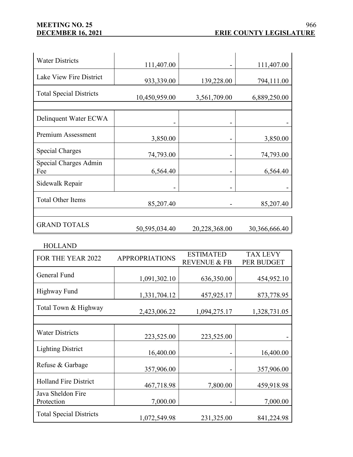# **MEETING NO. 25**

| <b>Water Districts</b>         | 111,407.00    |               | 111,407.00    |
|--------------------------------|---------------|---------------|---------------|
| Lake View Fire District        | 933,339.00    | 139,228.00    | 794,111.00    |
| <b>Total Special Districts</b> | 10,450,959.00 | 3,561,709.00  | 6,889,250.00  |
|                                |               |               |               |
| Delinquent Water ECWA          |               |               |               |
| Premium Assessment             | 3,850.00      |               | 3,850.00      |
| Special Charges                | 74,793.00     |               | 74,793.00     |
| Special Charges Admin<br>Fee   | 6,564.40      |               | 6,564.40      |
| Sidewalk Repair                |               |               |               |
| <b>Total Other Items</b>       | 85,207.40     |               | 85,207.40     |
| <b>GRAND TOTALS</b>            | 50,595,034.40 | 20,228,368.00 | 30,366,666.40 |

HOLLAND

| FOR THE YEAR 2022               | <b>APPROPRIATIONS</b> | <b>ESTIMATED</b>        | <b>TAX LEVY</b> |
|---------------------------------|-----------------------|-------------------------|-----------------|
|                                 |                       | <b>REVENUE &amp; FB</b> | PER BUDGET      |
| General Fund                    |                       |                         |                 |
|                                 | 1,091,302.10          | 636,350.00              | 454,952.10      |
| <b>Highway Fund</b>             | 1,331,704.12          | 457,925.17              | 873,778.95      |
| Total Town & Highway            | 2,423,006.22          | 1,094,275.17            | 1,328,731.05    |
|                                 |                       |                         |                 |
| <b>Water Districts</b>          | 223,525.00            | 223,525.00              |                 |
| <b>Lighting District</b>        | 16,400.00             |                         | 16,400.00       |
| Refuse & Garbage                | 357,906.00            |                         | 357,906.00      |
| <b>Holland Fire District</b>    | 467,718.98            | 7,800.00                | 459,918.98      |
| Java Sheldon Fire<br>Protection | 7,000.00              |                         | 7,000.00        |
| <b>Total Special Districts</b>  | 1,072,549.98          | 231,325.00              | 841,224.98      |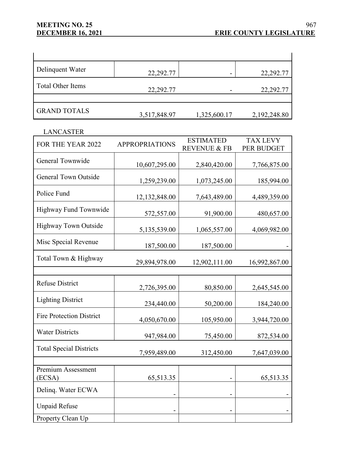# **MEETING NO. 25<br>
<u>DECEMBER 16, 2021</u>**

| Delinquent Water         | 22,292.77    |              | 22,292.77    |
|--------------------------|--------------|--------------|--------------|
| <b>Total Other Items</b> | 22,292.77    |              | 22,292.77    |
|                          |              |              |              |
| <b>GRAND TOTALS</b>      | 3,517,848.97 | 1,325,600.17 | 2,192,248.80 |

## LANCASTER

| FOR THE YEAR 2022               | <b>APPROPRIATIONS</b> | <b>ESTIMATED</b><br><b>REVENUE &amp; FB</b> | <b>TAX LEVY</b><br>PER BUDGET |
|---------------------------------|-----------------------|---------------------------------------------|-------------------------------|
| General Townwide                | 10,607,295.00         | 2,840,420.00                                | 7,766,875.00                  |
| <b>General Town Outside</b>     | 1,259,239.00          | 1,073,245.00                                | 185,994.00                    |
| Police Fund                     | 12,132,848.00         | 7,643,489.00                                | 4,489,359.00                  |
| Highway Fund Townwide           | 572,557.00            | 91,900.00                                   | 480,657.00                    |
| <b>Highway Town Outside</b>     | 5,135,539.00          | 1,065,557.00                                | 4,069,982.00                  |
| Misc Special Revenue            | 187,500.00            | 187,500.00                                  |                               |
| Total Town & Highway            | 29,894,978.00         | 12,902,111.00                               | 16,992,867.00                 |
|                                 |                       |                                             |                               |
| <b>Refuse District</b>          | 2,726,395.00          | 80,850.00                                   | 2,645,545.00                  |
| <b>Lighting District</b>        | 234,440.00            | 50,200.00                                   | 184,240.00                    |
| <b>Fire Protection District</b> | 4,050,670.00          | 105,950.00                                  | 3,944,720.00                  |
| <b>Water Districts</b>          | 947,984.00            | 75,450.00                                   | 872,534.00                    |
| <b>Total Special Districts</b>  | 7,959,489.00          | 312,450.00                                  | 7,647,039.00                  |
|                                 |                       |                                             |                               |
| Premium Assessment<br>(ECSA)    | 65,513.35             |                                             | 65,513.35                     |
| Delinq. Water ECWA              |                       |                                             |                               |
| <b>Unpaid Refuse</b>            |                       |                                             |                               |
| Property Clean Up               |                       |                                             |                               |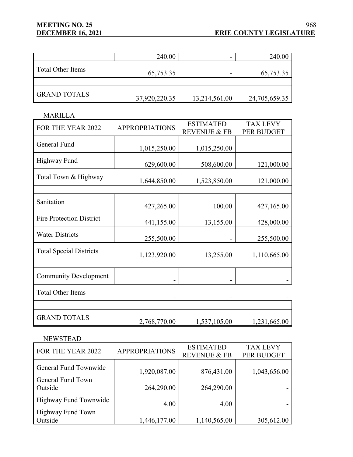# **MEETING NO. 25<br>
DECEMBER 16, 2021**

## **ERIE COUNTY LEGISLATURE** 968

|                          | 240.00        | -             | 240.00        |
|--------------------------|---------------|---------------|---------------|
| <b>Total Other Items</b> | 65,753.35     |               | 65,753.35     |
|                          |               |               |               |
| <b>GRAND TOTALS</b>      | 37,920,220.35 | 13,214,561.00 | 24,705,659.35 |

## MARILLA

| FOR THE YEAR 2022               | <b>APPROPRIATIONS</b> | <b>ESTIMATED</b>        | <b>TAX LEVY</b> |
|---------------------------------|-----------------------|-------------------------|-----------------|
|                                 |                       | <b>REVENUE &amp; FB</b> | PER BUDGET      |
| General Fund                    |                       |                         |                 |
|                                 | 1,015,250.00          | 1,015,250.00            |                 |
| <b>Highway Fund</b>             |                       |                         |                 |
|                                 | 629,600.00            | 508,600.00              | 121,000.00      |
| Total Town & Highway            |                       |                         |                 |
|                                 | 1,644,850.00          | 1,523,850.00            | 121,000.00      |
|                                 |                       |                         |                 |
| Sanitation                      |                       |                         |                 |
|                                 | 427,265.00            | 100.00                  | 427,165.00      |
| <b>Fire Protection District</b> |                       |                         |                 |
|                                 | 441,155.00            | 13,155.00               | 428,000.00      |
| <b>Water Districts</b>          |                       |                         |                 |
|                                 | 255,500.00            |                         | 255,500.00      |
| <b>Total Special Districts</b>  |                       |                         |                 |
|                                 | 1,123,920.00          | 13,255.00               | 1,110,665.00    |
|                                 |                       |                         |                 |
|                                 |                       |                         |                 |
| <b>Community Development</b>    |                       |                         |                 |
| <b>Total Other Items</b>        |                       |                         |                 |
|                                 |                       |                         |                 |
|                                 |                       |                         |                 |
|                                 |                       |                         |                 |
| <b>GRAND TOTALS</b>             | 2,768,770.00          | 1,537,105.00            | 1,231,665.00    |

#### NEWSTEAD

| FOR THE YEAR 2022     | <b>APPROPRIATIONS</b> | <b>ESTIMATED</b>        | <b>TAX LEVY</b> |
|-----------------------|-----------------------|-------------------------|-----------------|
|                       |                       | <b>REVENUE &amp; FB</b> | PER BUDGET      |
| General Fund Townwide |                       |                         |                 |
|                       | 1,920,087.00          | 876,431.00              | 1,043,656.00    |
| General Fund Town     |                       |                         |                 |
| Outside               | 264,290.00            | 264,290.00              |                 |
| Highway Fund Townwide |                       |                         |                 |
|                       | 4.00                  | 4.00                    |                 |
| Highway Fund Town     |                       |                         |                 |
| Outside               | 1,446,177.00          | 1,140,565.00            | 305,612.00      |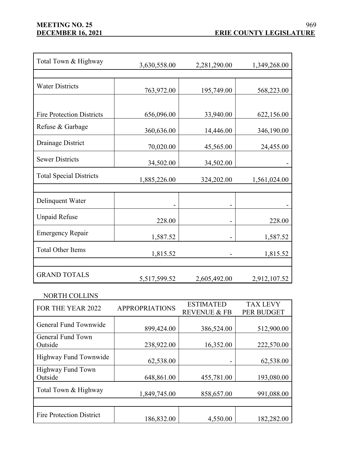| Total Town & Highway             | 3,630,558.00 | 2,281,290.00 | 1,349,268.00 |
|----------------------------------|--------------|--------------|--------------|
| <b>Water Districts</b>           | 763,972.00   | 195,749.00   | 568,223.00   |
| <b>Fire Protection Districts</b> | 656,096.00   | 33,940.00    | 622,156.00   |
| Refuse & Garbage                 | 360,636.00   | 14,446.00    | 346,190.00   |
| Drainage District                | 70,020.00    | 45,565.00    | 24,455.00    |
| <b>Sewer Districts</b>           | 34,502.00    | 34,502.00    |              |
| <b>Total Special Districts</b>   | 1,885,226.00 | 324,202.00   | 1,561,024.00 |
| Delinquent Water                 |              |              |              |
| <b>Unpaid Refuse</b>             | 228.00       |              | 228.00       |
| <b>Emergency Repair</b>          | 1,587.52     |              | 1,587.52     |
| <b>Total Other Items</b>         | 1,815.52     |              | 1,815.52     |
| <b>GRAND TOTALS</b>              | 5,517,599.52 | 2,605,492.00 | 2,912,107.52 |

NORTH COLLINS

| FOR THE YEAR 2022               | <b>APPROPRIATIONS</b> | <b>ESTIMATED</b>        | <b>TAX LEVY</b> |
|---------------------------------|-----------------------|-------------------------|-----------------|
|                                 |                       | <b>REVENUE &amp; FB</b> | PER BUDGET      |
| General Fund Townwide           |                       |                         |                 |
|                                 | 899,424.00            | 386,524.00              | 512,900.00      |
| General Fund Town               |                       |                         |                 |
| Outside                         | 238,922.00            | 16,352.00               | 222,570.00      |
|                                 |                       |                         |                 |
| Highway Fund Townwide           | 62,538.00             |                         | 62,538.00       |
| <b>Highway Fund Town</b>        |                       |                         |                 |
| Outside                         | 648,861.00            | 455,781.00              | 193,080.00      |
|                                 |                       |                         |                 |
| Total Town & Highway            | 1,849,745.00          | 858,657.00              | 991,088.00      |
|                                 |                       |                         |                 |
|                                 |                       |                         |                 |
| <b>Fire Protection District</b> | 186,832.00            | 4,550.00                | 182,282.00      |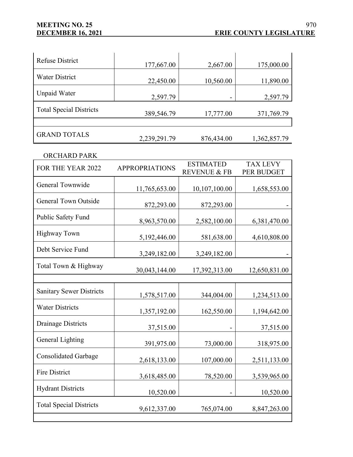| <b>Refuse District</b>         | 177,667.00   | 2,667.00   | 175,000.00   |
|--------------------------------|--------------|------------|--------------|
| <b>Water District</b>          | 22,450.00    | 10,560.00  | 11,890.00    |
| Unpaid Water                   | 2,597.79     |            | 2,597.79     |
| <b>Total Special Districts</b> | 389,546.79   | 17,777.00  | 371,769.79   |
|                                |              |            |              |
| <b>GRAND TOTALS</b>            | 2,239,291.79 | 876,434.00 | 1,362,857.79 |

#### ORCHARD PARK

| FOR THE YEAR 2022               | <b>APPROPRIATIONS</b> | <b>ESTIMATED</b>        | <b>TAX LEVY</b> |
|---------------------------------|-----------------------|-------------------------|-----------------|
|                                 |                       | <b>REVENUE &amp; FB</b> | PER BUDGET      |
| General Townwide                | 11,765,653.00         | 10,107,100.00           | 1,658,553.00    |
| <b>General Town Outside</b>     | 872,293.00            | 872,293.00              |                 |
| Public Safety Fund              | 8,963,570.00          | 2,582,100.00            | 6,381,470.00    |
| <b>Highway Town</b>             | 5,192,446.00          | 581,638.00              | 4,610,808.00    |
| Debt Service Fund               | 3,249,182.00          | 3,249,182.00            |                 |
| Total Town & Highway            | 30,043,144.00         | 17,392,313.00           | 12,650,831.00   |
|                                 |                       |                         |                 |
| <b>Sanitary Sewer Districts</b> | 1,578,517.00          | 344,004.00              | 1,234,513.00    |
| <b>Water Districts</b>          | 1,357,192.00          | 162,550.00              | 1,194,642.00    |
| <b>Drainage Districts</b>       | 37,515.00             |                         | 37,515.00       |
| General Lighting                | 391,975.00            | 73,000.00               | 318,975.00      |
| <b>Consolidated Garbage</b>     | 2,618,133.00          | 107,000.00              | 2,511,133.00    |
| <b>Fire District</b>            | 3,618,485.00          | 78,520.00               | 3,539,965.00    |
| <b>Hydrant Districts</b>        | 10,520.00             |                         | 10,520.00       |
| <b>Total Special Districts</b>  | 9,612,337.00          | 765,074.00              | 8,847,263.00    |
|                                 |                       |                         |                 |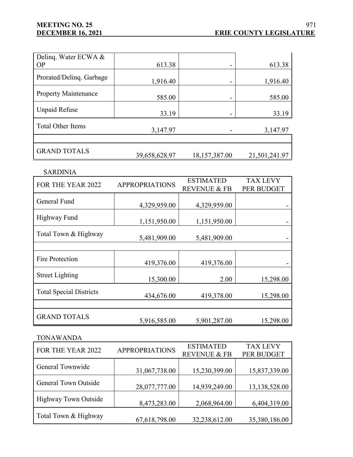# **MEETING NO. 25**

÷,

| Deling. Water ECWA &        |               |               |               |
|-----------------------------|---------------|---------------|---------------|
| <b>OP</b>                   | 613.38        |               | 613.38        |
| Prorated/Deling. Garbage    | 1,916.40      |               | 1,916.40      |
| <b>Property Maintenance</b> | 585.00        |               | 585.00        |
| <b>Unpaid Refuse</b>        | 33.19         |               | 33.19         |
| <b>Total Other Items</b>    | 3,147.97      |               | 3,147.97      |
|                             |               |               |               |
| <b>GRAND TOTALS</b>         | 39,658,628.97 | 18,157,387.00 | 21,501,241.97 |
|                             |               |               |               |

SARDINIA

| FOR THE YEAR 2022              | <b>APPROPRIATIONS</b> | <b>ESTIMATED</b>        | <b>TAX LEVY</b> |  |
|--------------------------------|-----------------------|-------------------------|-----------------|--|
|                                |                       | <b>REVENUE &amp; FB</b> | PER BUDGET      |  |
| General Fund                   |                       |                         |                 |  |
|                                | 4,329,959.00          | 4,329,959.00            |                 |  |
| Highway Fund                   |                       |                         |                 |  |
|                                | 1,151,950.00          | 1,151,950.00            |                 |  |
| Total Town & Highway           |                       |                         |                 |  |
|                                | 5,481,909.00          | 5,481,909.00            |                 |  |
|                                |                       |                         |                 |  |
| <b>Fire Protection</b>         |                       |                         |                 |  |
|                                | 419,376.00            | 419,376.00              |                 |  |
| <b>Street Lighting</b>         |                       |                         |                 |  |
|                                | 15,300.00             | 2.00                    | 15,298.00       |  |
| <b>Total Special Districts</b> |                       |                         |                 |  |
|                                | 434,676.00            | 419,378.00              | 15,298.00       |  |
|                                |                       |                         |                 |  |
| <b>GRAND TOTALS</b>            |                       |                         |                 |  |
|                                | 5,916,585.00          | 5,901,287.00            | 15,298.00       |  |

TONAWANDA

| FOR THE YEAR 2022    | <b>APPROPRIATIONS</b> | <b>ESTIMATED</b>        | <b>TAX LEVY</b> |
|----------------------|-----------------------|-------------------------|-----------------|
|                      |                       | <b>REVENUE &amp; FB</b> | PER BUDGET      |
| General Townwide     |                       |                         |                 |
|                      | 31,067,738.00         | 15,230,399.00           | 15,837,339.00   |
| General Town Outside |                       |                         |                 |
|                      | 28,077,777.00         | 14,939,249.00           | 13,138,528.00   |
|                      |                       |                         |                 |
| Highway Town Outside | 8,473,283.00          | 2,068,964.00            | 6,404,319.00    |
|                      |                       |                         |                 |
| Total Town & Highway | 67,618,798.00         | 32,238,612.00           | 35,380,186.00   |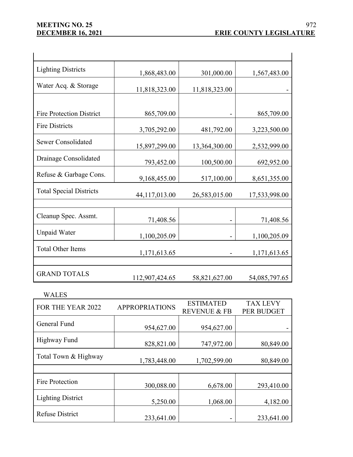| <b>Lighting Districts</b>       | 1,868,483.00   | 301,000.00    | 1,567,483.00  |
|---------------------------------|----------------|---------------|---------------|
| Water Acq. & Storage            | 11,818,323.00  | 11,818,323.00 |               |
|                                 |                |               |               |
| <b>Fire Protection District</b> | 865,709.00     |               | 865,709.00    |
| <b>Fire Districts</b>           | 3,705,292.00   | 481,792.00    | 3,223,500.00  |
| Sewer Consolidated              | 15,897,299.00  | 13,364,300.00 | 2,532,999.00  |
| Drainage Consolidated           | 793,452.00     | 100,500.00    | 692,952.00    |
| Refuse & Garbage Cons.          | 9,168,455.00   | 517,100.00    | 8,651,355.00  |
| <b>Total Special Districts</b>  | 44,117,013.00  | 26,583,015.00 | 17,533,998.00 |
|                                 |                |               |               |
| Cleanup Spec. Assmt.            | 71,408.56      |               | 71,408.56     |
| <b>Unpaid Water</b>             | 1,100,205.09   |               | 1,100,205.09  |
| <b>Total Other Items</b>        | 1,171,613.65   |               | 1,171,613.65  |
|                                 |                |               |               |
| <b>GRAND TOTALS</b>             | 112,907,424.65 | 58,821,627.00 | 54,085,797.65 |

## WALES

| FOR THE YEAR 2022        | <b>APPROPRIATIONS</b> | <b>ESTIMATED</b>        | <b>TAX LEVY</b> |
|--------------------------|-----------------------|-------------------------|-----------------|
|                          |                       | <b>REVENUE &amp; FB</b> | PER BUDGET      |
| General Fund             | 954,627.00            | 954,627.00              |                 |
| Highway Fund             | 828,821.00            | 747,972.00              | 80,849.00       |
| Total Town & Highway     | 1,783,448.00          | 1,702,599.00            | 80,849.00       |
|                          |                       |                         |                 |
| Fire Protection          | 300,088.00            | 6,678.00                | 293,410.00      |
| <b>Lighting District</b> | 5,250.00              | 1,068.00                | 4,182.00        |
| <b>Refuse District</b>   | 233,641.00            |                         | 233,641.00      |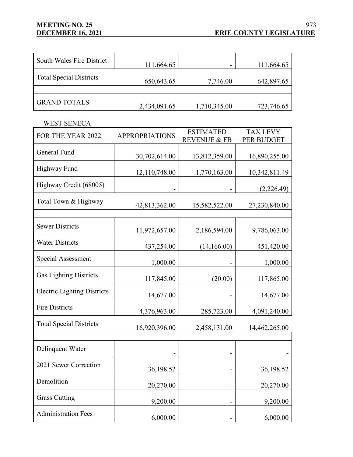# **MEETING NO. 25**

| South Wales Fire District      | 111,664.65   | ۰            | 111,664.65 |
|--------------------------------|--------------|--------------|------------|
| <b>Total Special Districts</b> | 650,643.65   | 7,746.00     | 642,897.65 |
| <b>GRAND TOTALS</b>            | 2,434,091.65 | 1,710,345.00 | 723,746.65 |

WEST SENECA **WEST** SENECA

| FOR THE YEAR 2022                  | <b>APPROPRIATIONS</b> | <b>ESTIMATED</b><br><b>REVENUE &amp; FB</b> | <b>TAX LEVY</b><br>PER BUDGET |
|------------------------------------|-----------------------|---------------------------------------------|-------------------------------|
| General Fund                       | 30,702,614.00         | 13,812,359.00                               | 16,890,255.00                 |
| <b>Highway Fund</b>                | 12,110,748.00         | 1,770,163.00                                | 10,342,811.49                 |
| Highway Credit (68005)             |                       |                                             | (2,226.49)                    |
| Total Town & Highway               | 42,813,362.00         | 15,582,522.00                               | 27,230,840.00                 |
|                                    |                       |                                             |                               |
| <b>Sewer Districts</b>             | 11,972,657.00         | 2,186,594.00                                | 9,786,063.00                  |
| <b>Water Districts</b>             | 437,254.00            | (14,166.00)                                 | 451,420.00                    |
| <b>Special Assessment</b>          | 1,000.00              |                                             | 1,000.00                      |
| <b>Gas Lighting Districts</b>      | 117,845.00            | (20.00)                                     | 117,865.00                    |
| <b>Electric Lighting Districts</b> | 14,677.00             |                                             | 14,677.00                     |
| <b>Fire Districts</b>              | 4,376,963.00          | 285,723.00                                  | 4,091,240.00                  |
| <b>Total Special Districts</b>     | 16,920,396.00         | 2,458,131.00                                | 14,462,265.00                 |
|                                    |                       |                                             |                               |
| Delinquent Water                   |                       |                                             |                               |
| 2021 Sewer Correction              | 36,198.52             |                                             | 36,198.52                     |
| Demolition                         | 20,270.00             |                                             | 20,270.00                     |
| <b>Grass Cutting</b>               | 9,200.00              |                                             | 9,200.00                      |
| <b>Administration Fees</b>         | 6,000.00              |                                             | 6,000.00                      |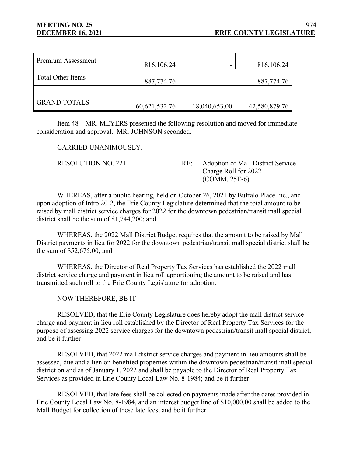| Premium Assessment       | 816,106.24       |               | 816,106.24    |
|--------------------------|------------------|---------------|---------------|
| <b>Total Other Items</b> | 887,774.76       |               | 887,774.76    |
|                          |                  |               |               |
| <b>GRAND TOTALS</b>      | 60, 621, 532. 76 | 18,040,653.00 | 42,580,879.76 |

Item 48 – MR. MEYERS presented the following resolution and moved for immediate consideration and approval. MR. JOHNSON seconded.

CARRIED UNANIMOUSLY.

RESOLUTION NO. 221 RE: Adoption of Mall District Service Charge Roll for 2022 (COMM. 25E-6)

WHEREAS, after a public hearing, held on October 26, 2021 by Buffalo Place Inc., and upon adoption of Intro 20-2, the Erie County Legislature determined that the total amount to be raised by mall district service charges for 2022 for the downtown pedestrian/transit mall special district shall be the sum of \$1,744,200; and

WHEREAS, the 2022 Mall District Budget requires that the amount to be raised by Mall District payments in lieu for 2022 for the downtown pedestrian/transit mall special district shall be the sum of \$52,675.00; and

WHEREAS, the Director of Real Property Tax Services has established the 2022 mall district service charge and payment in lieu roll apportioning the amount to be raised and has transmitted such roll to the Erie County Legislature for adoption.

NOW THEREFORE, BE IT

RESOLVED, that the Erie County Legislature does hereby adopt the mall district service charge and payment in lieu roll established by the Director of Real Property Tax Services for the purpose of assessing 2022 service charges for the downtown pedestrian/transit mall special district; and be it further

RESOLVED, that 2022 mall district service charges and payment in lieu amounts shall be assessed, due and a lien on benefited properties within the downtown pedestrian/transit mall special district on and as of January 1, 2022 and shall be payable to the Director of Real Property Tax Services as provided in Erie County Local Law No. 8-1984; and be it further

RESOLVED, that late fees shall be collected on payments made after the dates provided in Erie County Local Law No. 8-1984, and an interest budget line of \$10,000.00 shall be added to the Mall Budget for collection of these late fees; and be it further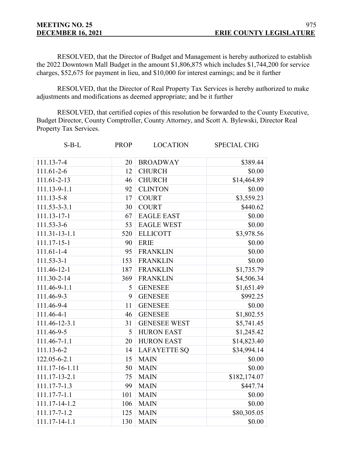RESOLVED, that the Director of Budget and Management is hereby authorized to establish the 2022 Downtown Mall Budget in the amount \$1,806,875 which includes \$1,744,200 for service charges, \$52,675 for payment in lieu, and \$10,000 for interest earnings; and be it further

RESOLVED, that the Director of Real Property Tax Services is hereby authorized to make adjustments and modifications as deemed appropriate; and be it further

RESOLVED, that certified copies of this resolution be forwarded to the County Executive, Budget Director, County Comptroller, County Attorney, and Scott A. Bylewski, Director Real Property Tax Services.

| $S-B-L$          | <b>PROP</b> | <b>LOCATION</b>     | <b>SPECIAL CHG</b> |
|------------------|-------------|---------------------|--------------------|
| 111.13-7-4       | 20          | <b>BROADWAY</b>     | \$389.44           |
| $111.61 - 2 - 6$ | 12          | <b>CHURCH</b>       | \$0.00             |
| 111.61-2-13      | 46          | <b>CHURCH</b>       | \$14,464.89        |
| 111.13-9-1.1     | 92          | <b>CLINTON</b>      | \$0.00             |
| 111.13-5-8       | 17          | <b>COURT</b>        | \$3,559.23         |
| 111.53-3-3.1     | 30          | <b>COURT</b>        | \$440.62           |
| 111.13-17-1      | 67          | <b>EAGLE EAST</b>   | \$0.00             |
| $111.53 - 3 - 6$ | 53          | <b>EAGLE WEST</b>   | \$0.00             |
| 111.31-13-1.1    | 520         | <b>ELLICOTT</b>     | \$3,978.56         |
| 111.17-15-1      | 90          | <b>ERIE</b>         | \$0.00             |
| $111.61 - 1 - 4$ | 95          | <b>FRANKLIN</b>     | \$0.00             |
| $111.53 - 3 - 1$ | 153         | <b>FRANKLIN</b>     | \$0.00             |
| 111.46-12-1      | 187         | <b>FRANKLIN</b>     | \$1,735.79         |
| 111.30-2-14      | 369         | <b>FRANKLIN</b>     | \$4,506.34         |
| 111.46-9-1.1     | 5           | <b>GENESEE</b>      | \$1,651.49         |
| 111.46-9-3       | 9           | <b>GENESEE</b>      | \$992.25           |
| 111.46-9-4       | 11          | <b>GENESEE</b>      | \$0.00             |
| 111.46-4-1       | 46          | <b>GENESEE</b>      | \$1,802.55         |
| 111.46-12-3.1    | 31          | <b>GENESEE WEST</b> | \$5,741.45         |
| 111.46-9-5       | 5           | <b>HURON EAST</b>   | \$1,245.42         |
| 111.46-7-1.1     | 20          | <b>HURON EAST</b>   | \$14,823.40        |
| 111.13-6-2       | 14          | <b>LAFAYETTE SQ</b> | \$34,994.14        |
| 122.05-6-2.1     | 15          | <b>MAIN</b>         | \$0.00             |
| 111.17-16-1.11   | 50          | <b>MAIN</b>         | \$0.00             |
| 111.17-13-2.1    | 75          | <b>MAIN</b>         | \$182,174.07       |
| 111.17-7-1.3     | 99          | <b>MAIN</b>         | \$447.74           |
| 111.17-7-1.1     | 101         | <b>MAIN</b>         | \$0.00             |
| 111.17-14-1.2    | 106         | <b>MAIN</b>         | \$0.00             |
| 111.17-7-1.2     | 125         | <b>MAIN</b>         | \$80,305.05        |
| 111.17-14-1.1    | 130         | <b>MAIN</b>         | \$0.00             |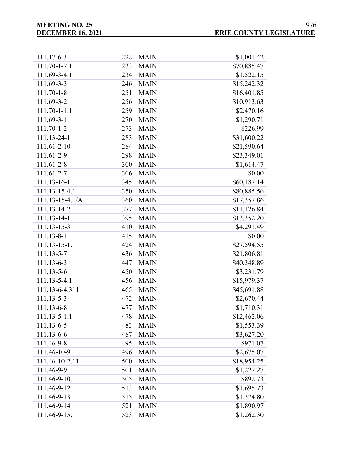| 111.17-6-3            | 222 | <b>MAIN</b> | \$1,001.42  |
|-----------------------|-----|-------------|-------------|
| 111.70-1-7.1          | 233 | <b>MAIN</b> | \$70,885.47 |
| 111.69-3-4.1          | 234 | <b>MAIN</b> | \$1,522.15  |
| 111.69-3-3            | 246 | <b>MAIN</b> | \$15,242.32 |
| $111.70 - 1 - 8$      | 251 | <b>MAIN</b> | \$16,401.85 |
| 111.69-3-2            | 256 | <b>MAIN</b> | \$10,913.63 |
| 111.70-1-1.1          | 259 | <b>MAIN</b> | \$2,470.16  |
| 111.69-3-1            | 270 | <b>MAIN</b> | \$1,290.71  |
| $111.70 - 1 - 2$      | 273 | <b>MAIN</b> | \$226.99    |
| 111.13-24-1           | 283 | <b>MAIN</b> | \$31,600.22 |
| 111.61-2-10           | 284 | <b>MAIN</b> | \$21,590.64 |
| 111.61-2-9            | 298 | <b>MAIN</b> | \$23,349.01 |
| 111.61-2-8            | 300 | <b>MAIN</b> | \$1,614.47  |
| 111.61-2-7            | 306 | <b>MAIN</b> | \$0.00      |
| 111.13-16-1           | 345 | <b>MAIN</b> | \$60,187.14 |
| 111.13-15-4.1         | 350 | <b>MAIN</b> | \$80,885.56 |
| $111.13 - 15 - 4.1/A$ | 360 | <b>MAIN</b> | \$17,357.86 |
| 111.13-14-2           | 377 | <b>MAIN</b> | \$11,126.84 |
| 111.13-14-1           | 395 | <b>MAIN</b> | \$13,352.20 |
| 111.13-15-3           | 410 | <b>MAIN</b> | \$4,291.49  |
| 111.13-8-1            | 415 | <b>MAIN</b> | \$0.00      |
| 111.13-15-1.1         | 424 | <b>MAIN</b> | \$27,594.55 |
| 111.13-5-7            | 436 | <b>MAIN</b> | \$21,806.81 |
| 111.13-6-3            | 447 | <b>MAIN</b> | \$40,348.89 |
| $111.13 - 5 - 6$      | 450 | <b>MAIN</b> | \$3,231.79  |
| 111.13-5-4.1          | 456 | <b>MAIN</b> | \$15,979.37 |
| 111.13-6-4.311        | 465 | <b>MAIN</b> | \$45,691.88 |
| 111.13-5-3            | 472 | <b>MAIN</b> | \$2,670.44  |
| 111.13-6-8            | 477 | <b>MAIN</b> | \$1,710.31  |
| 111.13-5-1.1          | 478 | <b>MAIN</b> | \$12,462.06 |
| 111.13-6-5            | 483 | <b>MAIN</b> | \$1,553.39  |
| 111.13-6-6            | 487 | <b>MAIN</b> | \$3,627.20  |
| 111.46-9-8            | 495 | <b>MAIN</b> | \$971.07    |
| 111.46-10-9           | 496 | <b>MAIN</b> | \$2,675.07  |
| 111.46-10-2.11        | 500 | <b>MAIN</b> | \$18,954.25 |
| 111.46-9-9            | 501 | <b>MAIN</b> | \$1,227.27  |
| 111.46-9-10.1         | 505 | <b>MAIN</b> | \$892.73    |
| 111.46-9-12           | 513 | <b>MAIN</b> | \$1,695.73  |
| 111.46-9-13           | 515 | <b>MAIN</b> | \$1,374.80  |
| 111.46-9-14           | 521 | <b>MAIN</b> | \$1,890.97  |
| 111.46-9-15.1         | 523 | <b>MAIN</b> | \$1,262.30  |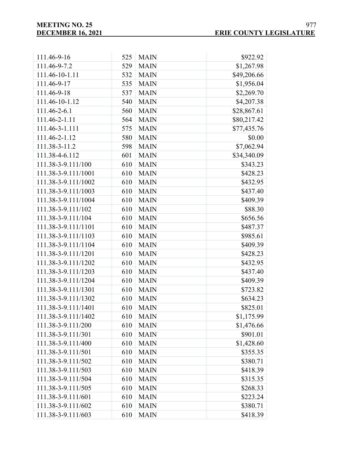| 111.46-9-16         | 525 | <b>MAIN</b> | \$922.92    |
|---------------------|-----|-------------|-------------|
| 111.46-9-7.2        | 529 | <b>MAIN</b> | \$1,267.98  |
| 111.46-10-1.11      | 532 | <b>MAIN</b> | \$49,206.66 |
| 111.46-9-17         | 535 | <b>MAIN</b> | \$1,956.04  |
| 111.46-9-18         | 537 | <b>MAIN</b> | \$2,269.70  |
| 111.46-10-1.12      | 540 | <b>MAIN</b> | \$4,207.38  |
| 111.46-2-6.1        | 560 | <b>MAIN</b> | \$28,867.61 |
| 111.46-2-1.11       | 564 | <b>MAIN</b> | \$80,217.42 |
| 111.46-3-1.111      | 575 | <b>MAIN</b> | \$77,435.76 |
| 111.46-2-1.12       | 580 | <b>MAIN</b> | \$0.00      |
| 111.38-3-11.2       | 598 | <b>MAIN</b> | \$7,062.94  |
| 111.38-4-6.112      | 601 | <b>MAIN</b> | \$34,340.09 |
| 111.38-3-9.111/100  | 610 | <b>MAIN</b> | \$343.23    |
| 111.38-3-9.111/1001 | 610 | <b>MAIN</b> | \$428.23    |
| 111.38-3-9.111/1002 | 610 | <b>MAIN</b> | \$432.95    |
| 111.38-3-9.111/1003 | 610 | <b>MAIN</b> | \$437.40    |
| 111.38-3-9.111/1004 | 610 | <b>MAIN</b> | \$409.39    |
| 111.38-3-9.111/102  | 610 | <b>MAIN</b> | \$88.30     |
| 111.38-3-9.111/104  | 610 | <b>MAIN</b> | \$656.56    |
| 111.38-3-9.111/1101 | 610 | <b>MAIN</b> | \$487.37    |
| 111.38-3-9.111/1103 | 610 | <b>MAIN</b> | \$985.61    |
| 111.38-3-9.111/1104 | 610 | <b>MAIN</b> | \$409.39    |
| 111.38-3-9.111/1201 | 610 | <b>MAIN</b> | \$428.23    |
| 111.38-3-9.111/1202 | 610 | <b>MAIN</b> | \$432.95    |
| 111.38-3-9.111/1203 | 610 | <b>MAIN</b> | \$437.40    |
| 111.38-3-9.111/1204 | 610 | <b>MAIN</b> | \$409.39    |
| 111.38-3-9.111/1301 | 610 | <b>MAIN</b> | \$723.82    |
| 111.38-3-9.111/1302 | 610 | <b>MAIN</b> | \$634.23    |
| 111.38-3-9.111/1401 | 610 | <b>MAIN</b> | \$825.01    |
| 111.38-3-9.111/1402 | 610 | <b>MAIN</b> | \$1,175.99  |
| 111.38-3-9.111/200  | 610 | <b>MAIN</b> | \$1,476.66  |
| 111.38-3-9.111/301  | 610 | <b>MAIN</b> | \$901.01    |
| 111.38-3-9.111/400  | 610 | <b>MAIN</b> | \$1,428.60  |
| 111.38-3-9.111/501  | 610 | <b>MAIN</b> | \$355.35    |
| 111.38-3-9.111/502  | 610 | <b>MAIN</b> | \$380.71    |
| 111.38-3-9.111/503  | 610 | <b>MAIN</b> | \$418.39    |
| 111.38-3-9.111/504  | 610 | <b>MAIN</b> | \$315.35    |
| 111.38-3-9.111/505  | 610 | <b>MAIN</b> | \$268.33    |
| 111.38-3-9.111/601  | 610 | <b>MAIN</b> | \$223.24    |
| 111.38-3-9.111/602  | 610 | <b>MAIN</b> | \$380.71    |
| 111.38-3-9.111/603  | 610 | <b>MAIN</b> | \$418.39    |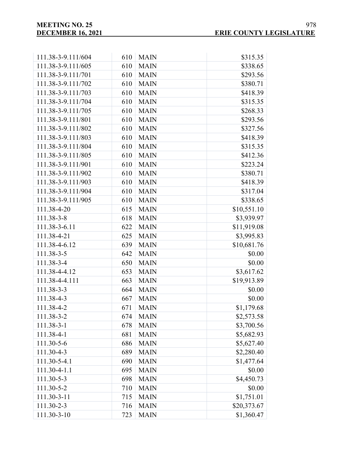| 111.38-3-9.111/604 | 610 | <b>MAIN</b> | \$315.35    |
|--------------------|-----|-------------|-------------|
| 111.38-3-9.111/605 | 610 | <b>MAIN</b> | \$338.65    |
| 111.38-3-9.111/701 | 610 | <b>MAIN</b> | \$293.56    |
| 111.38-3-9.111/702 | 610 | <b>MAIN</b> | \$380.71    |
| 111.38-3-9.111/703 | 610 | <b>MAIN</b> | \$418.39    |
| 111.38-3-9.111/704 | 610 | <b>MAIN</b> | \$315.35    |
| 111.38-3-9.111/705 | 610 | <b>MAIN</b> | \$268.33    |
| 111.38-3-9.111/801 | 610 | <b>MAIN</b> | \$293.56    |
| 111.38-3-9.111/802 | 610 | <b>MAIN</b> | \$327.56    |
| 111.38-3-9.111/803 | 610 | <b>MAIN</b> | \$418.39    |
| 111.38-3-9.111/804 | 610 | <b>MAIN</b> | \$315.35    |
| 111.38-3-9.111/805 | 610 | <b>MAIN</b> | \$412.36    |
| 111.38-3-9.111/901 | 610 | <b>MAIN</b> | \$223.24    |
| 111.38-3-9.111/902 | 610 | <b>MAIN</b> | \$380.71    |
| 111.38-3-9.111/903 | 610 | <b>MAIN</b> | \$418.39    |
| 111.38-3-9.111/904 | 610 | <b>MAIN</b> | \$317.04    |
| 111.38-3-9.111/905 | 610 | <b>MAIN</b> | \$338.65    |
| 111.38-4-20        | 615 | <b>MAIN</b> | \$10,551.10 |
| 111.38-3-8         | 618 | <b>MAIN</b> | \$3,939.97  |
| 111.38-3-6.11      | 622 | <b>MAIN</b> | \$11,919.08 |
| 111.38-4-21        | 625 | <b>MAIN</b> | \$3,995.83  |
| 111.38-4-6.12      | 639 | <b>MAIN</b> | \$10,681.76 |
| 111.38-3-5         | 642 | <b>MAIN</b> | \$0.00      |
| 111.38-3-4         | 650 | <b>MAIN</b> | \$0.00      |
| 111.38-4-4.12      | 653 | <b>MAIN</b> | \$3,617.62  |
| 111.38-4-4.111     | 663 | <b>MAIN</b> | \$19,913.89 |
| 111.38-3-3         | 664 | <b>MAIN</b> | \$0.00      |
| 111.38-4-3         | 667 | <b>MAIN</b> | \$0.00      |
| 111.38-4-2         | 671 | <b>MAIN</b> | \$1,179.68  |
| 111.38-3-2         | 674 | <b>MAIN</b> | \$2,573.58  |
| 111.38-3-1         | 678 | <b>MAIN</b> | \$3,700.56  |
| 111.38-4-1         | 681 | <b>MAIN</b> | \$5,682.93  |
| 111.30-5-6         | 686 | <b>MAIN</b> | \$5,627.40  |
| 111.30-4-3         | 689 | <b>MAIN</b> | \$2,280.40  |
| 111.30-5-4.1       | 690 | <b>MAIN</b> | \$1,477.64  |
| 111.30-4-1.1       | 695 | <b>MAIN</b> | \$0.00      |
| 111.30-5-3         | 698 | <b>MAIN</b> | \$4,450.73  |
| 111.30-5-2         | 710 | <b>MAIN</b> | \$0.00      |
| 111.30-3-11        | 715 | <b>MAIN</b> | \$1,751.01  |
| 111.30-2-3         | 716 | <b>MAIN</b> | \$20,373.67 |
| 111.30-3-10        | 723 | <b>MAIN</b> | \$1,360.47  |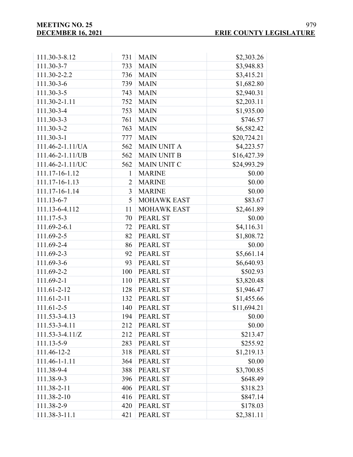| 111.30-3-8.12         | 731            | <b>MAIN</b>        | \$2,303.26  |
|-----------------------|----------------|--------------------|-------------|
| 111.30-3-7            | 733            | <b>MAIN</b>        | \$3,948.83  |
| 111.30-2-2.2          | 736            | <b>MAIN</b>        | \$3,415.21  |
| 111.30-3-6            | 739            | <b>MAIN</b>        | \$1,682.80  |
| 111.30-3-5            | 743            | <b>MAIN</b>        | \$2,940.31  |
| 111.30-2-1.11         | 752            | <b>MAIN</b>        | \$2,203.11  |
| 111.30-3-4            | 753            | <b>MAIN</b>        | \$1,935.00  |
| $111.30 - 3 - 3$      | 761            | <b>MAIN</b>        | \$746.57    |
| 111.30-3-2            | 763            | <b>MAIN</b>        | \$6,582.42  |
| $111.30 - 3 - 1$      | 777            | <b>MAIN</b>        | \$20,724.21 |
| 111.46-2-1.11/UA      | 562            | <b>MAIN UNIT A</b> | \$4,223.57  |
| 111.46-2-1.11/UB      | 562            | <b>MAIN UNIT B</b> | \$16,427.39 |
| 111.46-2-1.11/UC      | 562            | <b>MAIN UNIT C</b> | \$24,993.29 |
| 111.17-16-1.12        | 1              | <b>MARINE</b>      | \$0.00      |
| 111.17-16-1.13        | $\overline{2}$ | <b>MARINE</b>      | \$0.00      |
| 111.17-16-1.14        | 3              | <b>MARINE</b>      | \$0.00      |
| 111.13-6-7            | 5              | <b>MOHAWK EAST</b> | \$83.67     |
| 111.13-6-4.112        | 11             | <b>MOHAWK EAST</b> | \$2,461.89  |
| 111.17-5-3            | 70             | <b>PEARL ST</b>    | \$0.00      |
| 111.69-2-6.1          | 72             | PEARL ST           | \$4,116.31  |
| 111.69-2-5            | 82             | PEARL ST           | \$1,808.72  |
| 111.69-2-4            | 86             | PEARL ST           | \$0.00      |
| 111.69-2-3            | 92             | PEARL ST           | \$5,661.14  |
| 111.69-3-6            | 93             | <b>PEARL ST</b>    | \$6,640.93  |
| 111.69-2-2            | 100            | <b>PEARL ST</b>    | \$502.93    |
| 111.69-2-1            | 110            | <b>PEARL ST</b>    | \$3,820.48  |
| 111.61-2-12           | 128            | PEARL ST           | \$1,946.47  |
| 111.61-2-11           | 132            | PEARL ST           | \$1,455.66  |
| 111.61-2-5            | 140            | <b>PEARL ST</b>    | \$11,694.21 |
| 111.53-3-4.13         | 194            | <b>PEARL ST</b>    | \$0.00      |
| 111.53-3-4.11         | 212            | PEARL ST           | \$0.00      |
| $111.53 - 3 - 4.11/Z$ | 212            | PEARL ST           | \$213.47    |
| 111.13-5-9            | 283            | <b>PEARL ST</b>    | \$255.92    |
| 111.46-12-2           | 318            | <b>PEARL ST</b>    | \$1,219.13  |
| 111.46-1-1.11         | 364            | <b>PEARL ST</b>    | \$0.00      |
| 111.38-9-4            | 388            | PEARL ST           | \$3,700.85  |
| 111.38-9-3            | 396            | PEARL ST           | \$648.49    |
| 111.38-2-11           | 406            | PEARL ST           | \$318.23    |
| 111.38-2-10           | 416            | PEARL ST           | \$847.14    |
| 111.38-2-9            | 420            | PEARL ST           | \$178.03    |
| 111.38-3-11.1         | 421            | PEARL ST           | \$2,381.11  |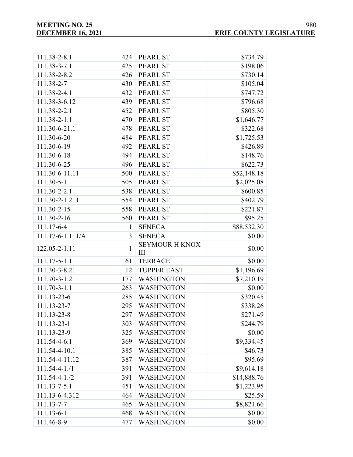| 111.38-2-8.1           | 424            | <b>PEARL ST</b>                    | \$734.79    |
|------------------------|----------------|------------------------------------|-------------|
| 111.38-3-7.1           | 425            | <b>PEARL ST</b>                    | \$198.06    |
| 111.38-2-8.2           | 426            | PEARL ST                           | \$730.14    |
| 111.38-2-7             | 430            | <b>PEARL ST</b>                    | \$105.04    |
| 111.38-2-4.1           | 432            | PEARL ST                           | \$747.72    |
| 111.38-3-6.12          | 439            | <b>PEARL ST</b>                    | \$796.68    |
| 111.38-2-2.1           | 452            | <b>PEARL ST</b>                    | \$805.30    |
| 111.38-2-1.1           | 470            | <b>PEARL ST</b>                    | \$1,646.77  |
| 111.30-6-21.1          | 478            | <b>PEARL ST</b>                    | \$322.68    |
| 111.30-6-20            | 484            | <b>PEARL ST</b>                    | \$1,725.53  |
| 111.30-6-19            | 492            | <b>PEARL ST</b>                    | \$426.89    |
| 111.30-6-18            | 494            | <b>PEARL ST</b>                    | \$148.76    |
| 111.30-6-25            | 496            | <b>PEARL ST</b>                    | \$622.73    |
| 111.30-6-11.11         | 500            | <b>PEARL ST</b>                    | \$52,148.18 |
| 111.30-5-1             | 505            | <b>PEARL ST</b>                    | \$2,025.08  |
| 111.30-2-2.1           | 538            | <b>PEARL ST</b>                    | \$600.85    |
| 111.30-2-1.211         | 554            | <b>PEARL ST</b>                    | \$402.79    |
| 111.30-2-15            | 558            | <b>PEARL ST</b>                    | \$221.87    |
| 111.30-2-16            | 560            | <b>PEARL ST</b>                    | \$95.25     |
| 111.17-6-4             | 1              | <b>SENECA</b>                      | \$88,532.30 |
| $111.17 - 6 - 1.111/A$ | $\overline{3}$ | <b>SENECA</b>                      | \$0.00      |
| 122.05-2-1.11          | 1              | <b>SEYMOUR H KNOX</b><br>$\rm III$ | \$0.00      |
| 111.17-5-1.1           | 61             | <b>TERRACE</b>                     | \$0.00      |
| 111.30-3-8.21          | 12             | <b>TUPPER EAST</b>                 | \$1,196.69  |
| 111.70-3-1.2           | 177            | <b>WASHINGTON</b>                  | \$7,210.19  |
| 111.70-3-1.1           | 263            | <b>WASHINGTON</b>                  | \$0.00      |
| 111.13-23-6            | 285            | <b>WASHINGTON</b>                  | \$320.45    |
| 111.13-23-7            | 295            | <b>WASHINGTON</b>                  | \$338.26    |
| 111.13-23-8            | 297            | <b>WASHINGTON</b>                  | \$271.49    |
| 111.13-23-1            | 303            | <b>WASHINGTON</b>                  | \$244.79    |
| 111.13-23-9            | 325            | <b>WASHINGTON</b>                  | \$0.00      |
| 111.54-4-6.1           | 369            | <b>WASHINGTON</b>                  | \$9,334.45  |
| 111.54-4-10.1          | 385            | <b>WASHINGTON</b>                  | \$46.73     |
| 111.54-4-11.12         | 387            | <b>WASHINGTON</b>                  | \$95.69     |
| $111.54 - 4 - 1.71$    | 391            | <b>WASHINGTON</b>                  | \$9,614.18  |
| $111.54 - 4 - 1.72$    | 391            | <b>WASHINGTON</b>                  | \$14,888.76 |
| 111.13-7-5.1           | 451            | <b>WASHINGTON</b>                  | \$1,223.95  |
| 111.13-6-4.312         | 464            | <b>WASHINGTON</b>                  | \$25.59     |
| 111.13-7-7             | 465            | <b>WASHINGTON</b>                  | \$8,821.66  |
| 111.13-6-1             | 468            | <b>WASHINGTON</b>                  | \$0.00      |
| 111.46-8-9             | 477            | <b>WASHINGTON</b>                  | \$0.00      |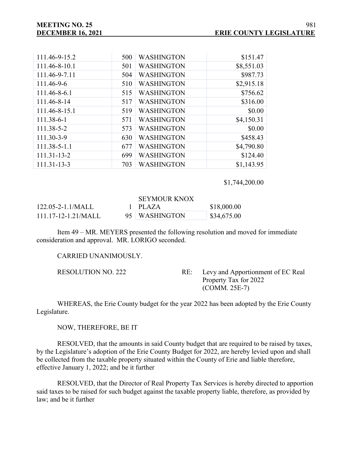| 111.46-9-15.2 | 500 | <b>WASHINGTON</b> | \$151.47   |
|---------------|-----|-------------------|------------|
| 111.46-8-10.1 | 501 | <b>WASHINGTON</b> | \$8,551.03 |
| 111.46-9-7.11 | 504 | <b>WASHINGTON</b> | \$987.73   |
| 111.46-9-6    | 510 | <b>WASHINGTON</b> | \$2,915.18 |
| 111.46-8-6.1  | 515 | <b>WASHINGTON</b> | \$756.62   |
| 111.46-8-14   | 517 | <b>WASHINGTON</b> | \$316.00   |
| 111.46-8-15.1 | 519 | <b>WASHINGTON</b> | \$0.00     |
| 111.38-6-1    | 571 | <b>WASHINGTON</b> | \$4,150.31 |
| 111.38-5-2    | 573 | <b>WASHINGTON</b> | \$0.00     |
| 111.30-3-9    | 630 | <b>WASHINGTON</b> | \$458.43   |
| 111.38-5-1.1  | 677 | <b>WASHINGTON</b> | \$4,790.80 |
| 111.31-13-2   | 699 | <b>WASHINGTON</b> | \$124.40   |
| 111.31-13-3   | 703 | <b>WASHINGTON</b> | \$1,143.95 |

\$1,744,200.00

#### SEYMOUR KNOX

| $122.05 - 2 - 1.1/MALL$   | $1$ PLAZA     | \$18,000.00            |
|---------------------------|---------------|------------------------|
| $111.17 - 12 - 1.21/MALL$ | 95 WASHINGTON | $\frac{$34,675.00}{ }$ |

Item 49 – MR. MEYERS presented the following resolution and moved for immediate consideration and approval. MR. LORIGO seconded.

CARRIED UNANIMOUSLY.

RESOLUTION NO. 222 RE: Levy and Apportionment of EC Real Property Tax for 2022 (COMM. 25E-7)

WHEREAS, the Erie County budget for the year 2022 has been adopted by the Erie County Legislature.

NOW, THEREFORE, BE IT

RESOLVED, that the amounts in said County budget that are required to be raised by taxes, by the Legislature's adoption of the Erie County Budget for 2022, are hereby levied upon and shall be collected from the taxable property situated within the County of Erie and liable therefore, effective January 1, 2022; and be it further

RESOLVED, that the Director of Real Property Tax Services is hereby directed to apportion said taxes to be raised for such budget against the taxable property liable, therefore, as provided by law; and be it further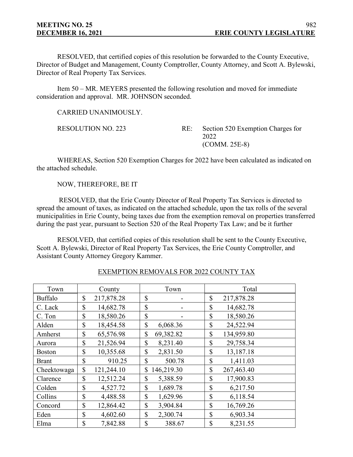RESOLVED, that certified copies of this resolution be forwarded to the County Executive, Director of Budget and Management, County Comptroller, County Attorney, and Scott A. Bylewski, Director of Real Property Tax Services.

Item 50 – MR. MEYERS presented the following resolution and moved for immediate consideration and approval. MR. JOHNSON seconded.

CARRIED UNANIMOUSLY.

RESOLUTION NO. 223 RE: Section 520 Exemption Charges for 2022 (COMM. 25E-8)

WHEREAS, Section 520 Exemption Charges for 2022 have been calculated as indicated on the attached schedule.

NOW, THEREFORE, BE IT

RESOLVED, that the Erie County Director of Real Property Tax Services is directed to spread the amount of taxes, as indicated on the attached schedule, upon the tax rolls of the several municipalities in Erie County, being taxes due from the exemption removal on properties transferred during the past year, pursuant to Section 520 of the Real Property Tax Law; and be it further

RESOLVED, that certified copies of this resolution shall be sent to the County Executive, Scott A. Bylewski, Director of Real Property Tax Services, the Erie County Comptroller, and Assistant County Attorney Gregory Kammer.

| Town           | County           |               | Town       | Total            |
|----------------|------------------|---------------|------------|------------------|
| <b>Buffalo</b> | \$<br>217,878.28 | \$            |            | \$<br>217,878.28 |
| C. Lack        | \$<br>14,682.78  | \$            |            | \$<br>14,682.78  |
| C. Ton         | \$<br>18,580.26  | \$            |            | \$<br>18,580.26  |
| Alden          | \$<br>18,454.58  | \$            | 6,068.36   | \$<br>24,522.94  |
| Amherst        | \$<br>65,576.98  | \$            | 69,382.82  | \$<br>134,959.80 |
| Aurora         | \$<br>21,526.94  | \$            | 8,231.40   | \$<br>29,758.34  |
| <b>Boston</b>  | \$<br>10,355.68  | \$            | 2,831.50   | \$<br>13,187.18  |
| <b>Brant</b>   | \$<br>910.25     | \$            | 500.78     | \$<br>1,411.03   |
| Cheektowaga    | \$<br>121,244.10 | \$            | 146,219.30 | \$<br>267,463.40 |
| Clarence       | \$<br>12,512.24  | \$            | 5,388.59   | \$<br>17,900.83  |
| Colden         | \$<br>4,527.72   | $\mathcal{S}$ | 1,689.78   | \$<br>6,217.50   |
| Collins        | \$<br>4,488.58   | \$            | 1,629.96   | \$<br>6,118.54   |
| Concord        | \$<br>12,864.42  | \$            | 3,904.84   | \$<br>16,769.26  |
| Eden           | \$<br>4,602.60   | \$            | 2,300.74   | \$<br>6,903.34   |
| Elma           | \$<br>7,842.88   | \$            | 388.67     | \$<br>8,231.55   |

EXEMPTION REMOVALS FOR 2022 COUNTY TAX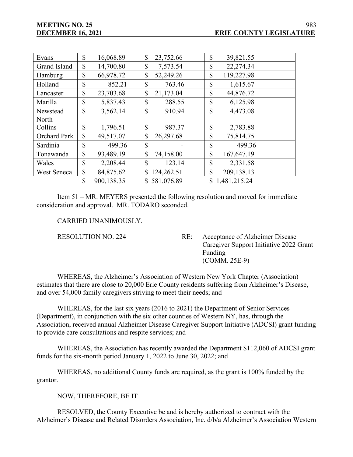| Evans               | \$            | 16,068.89  | \$<br>23,752.66  | \$            | 39,821.55      |
|---------------------|---------------|------------|------------------|---------------|----------------|
| Grand Island        | \$            | 14,700.80  | \$<br>7,573.54   | \$            | 22,274.34      |
| Hamburg             | \$            | 66,978.72  | \$<br>52,249.26  | \$            | 119,227.98     |
| Holland             | \$            | 852.21     | \$<br>763.46     | \$            | 1,615.67       |
| Lancaster           | \$            | 23,703.68  | \$<br>21,173.04  | $\mathbb{S}$  | 44,876.72      |
| Marilla             | \$            | 5,837.43   | \$<br>288.55     | $\mathbb{S}$  | 6,125.98       |
| Newstead            | \$            | 3,562.14   | \$<br>910.94     | \$            | 4,473.08       |
| North               |               |            |                  |               |                |
| Collins             | \$            | 1,796.51   | \$<br>987.37     | \$            | 2,783.88       |
| <b>Orchard Park</b> | $\mathcal{S}$ | 49,517.07  | \$<br>26,297.68  | $\mathcal{S}$ | 75,814.75      |
| Sardinia            | \$            | 499.36     | \$               | $\mathbb{S}$  | 499.36         |
| Tonawanda           | \$            | 93,489.19  | \$<br>74,158.00  | $\mathbb{S}$  | 167,647.19     |
| Wales               | \$            | 2,208.44   | \$<br>123.14     | $\mathbb{S}$  | 2,331.58       |
| West Seneca         | \$            | 84,875.62  | \$<br>124,262.51 | $\mathcal{S}$ | 209,138.13     |
|                     | \$            | 900,138.35 | \$581,076.89     |               | \$1,481,215.24 |

Item 51 – MR. MEYERS presented the following resolution and moved for immediate consideration and approval. MR. TODARO seconded.

#### CARRIED UNANIMOUSLY.

RESOLUTION NO. 224 RE: Acceptance of Alzheimer Disease Caregiver Support Initiative 2022 Grant Funding (COMM. 25E-9)

WHEREAS, the Alzheimer's Association of Western New York Chapter (Association) estimates that there are close to 20,000 Erie County residents suffering from Alzheimer's Disease, and over 54,000 family caregivers striving to meet their needs; and

WHEREAS, for the last six years (2016 to 2021) the Department of Senior Services (Department), in conjunction with the six other counties of Western NY, has, through the Association, received annual Alzheimer Disease Caregiver Support Initiative (ADCSI) grant funding to provide care consultations and respite services; and

WHEREAS, the Association has recently awarded the Department \$112,060 of ADCSI grant funds for the six-month period January 1, 2022 to June 30, 2022; and

WHEREAS, no additional County funds are required, as the grant is 100% funded by the grantor.

NOW, THEREFORE, BE IT

RESOLVED, the County Executive be and is hereby authorized to contract with the Alzheimer's Disease and Related Disorders Association, Inc. d/b/a Alzheimer's Association Western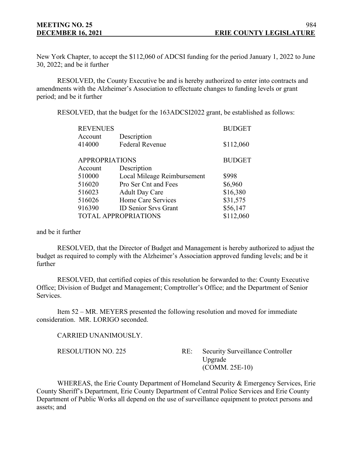New York Chapter, to accept the \$112,060 of ADCSI funding for the period January 1, 2022 to June 30, 2022; and be it further

RESOLVED, the County Executive be and is hereby authorized to enter into contracts and amendments with the Alzheimer's Association to effectuate changes to funding levels or grant period; and be it further

RESOLVED, that the budget for the 163ADCSI2022 grant, be established as follows:

| <b>REVENUES</b>       |                             | <b>BUDGET</b> |
|-----------------------|-----------------------------|---------------|
| Account               | Description                 |               |
| 414000                | <b>Federal Revenue</b>      | \$112,060     |
| <b>APPROPRIATIONS</b> |                             | <b>BUDGET</b> |
| Account               | Description                 |               |
| 510000                | Local Mileage Reimbursement | \$998         |
| 516020                | Pro Ser Cnt and Fees        | \$6,960       |
| 516023                | <b>Adult Day Care</b>       | \$16,380      |
| 516026                | Home Care Services          | \$31,575      |
| 916390                | <b>ID Senior Srvs Grant</b> | \$56,147      |
|                       | <b>TOTAL APPROPRIATIONS</b> | \$112,060     |

and be it further

RESOLVED, that the Director of Budget and Management is hereby authorized to adjust the budget as required to comply with the Alzheimer's Association approved funding levels; and be it further

RESOLVED, that certified copies of this resolution be forwarded to the: County Executive Office; Division of Budget and Management; Comptroller's Office; and the Department of Senior Services.

Item 52 – MR. MEYERS presented the following resolution and moved for immediate consideration. MR. LORIGO seconded.

CARRIED UNANIMOUSLY.

RESOLUTION NO. 225 RE: Security Surveillance Controller Upgrade (COMM. 25E-10)

WHEREAS, the Erie County Department of Homeland Security & Emergency Services, Erie County Sheriff's Department, Erie County Department of Central Police Services and Erie County Department of Public Works all depend on the use of surveillance equipment to protect persons and assets; and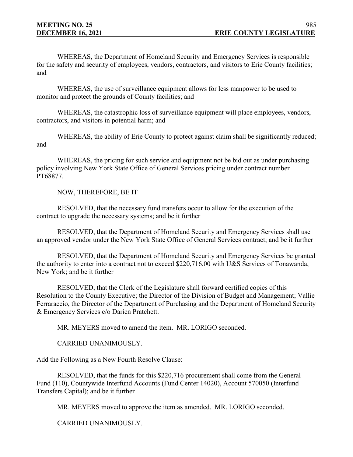WHEREAS, the Department of Homeland Security and Emergency Services is responsible for the safety and security of employees, vendors, contractors, and visitors to Erie County facilities; and

WHEREAS, the use of surveillance equipment allows for less manpower to be used to monitor and protect the grounds of County facilities; and

WHEREAS, the catastrophic loss of surveillance equipment will place employees, vendors, contractors, and visitors in potential harm; and

WHEREAS, the ability of Erie County to protect against claim shall be significantly reduced; and

WHEREAS, the pricing for such service and equipment not be bid out as under purchasing policy involving New York State Office of General Services pricing under contract number PT68877.

NOW, THEREFORE, BE IT

RESOLVED, that the necessary fund transfers occur to allow for the execution of the contract to upgrade the necessary systems; and be it further

RESOLVED, that the Department of Homeland Security and Emergency Services shall use an approved vendor under the New York State Office of General Services contract; and be it further

RESOLVED, that the Department of Homeland Security and Emergency Services be granted the authority to enter into a contract not to exceed \$220,716.00 with U&S Services of Tonawanda, New York; and be it further

RESOLVED, that the Clerk of the Legislature shall forward certified copies of this Resolution to the County Executive; the Director of the Division of Budget and Management; Vallie Ferraraccio, the Director of the Department of Purchasing and the Department of Homeland Security & Emergency Services c/o Darien Pratchett.

MR. MEYERS moved to amend the item. MR. LORIGO seconded.

CARRIED UNANIMOUSLY.

Add the Following as a New Fourth Resolve Clause:

RESOLVED, that the funds for this \$220,716 procurement shall come from the General Fund (110), Countywide Interfund Accounts (Fund Center 14020), Account 570050 (Interfund Transfers Capital); and be it further

MR. MEYERS moved to approve the item as amended. MR. LORIGO seconded.

CARRIED UNANIMOUSLY.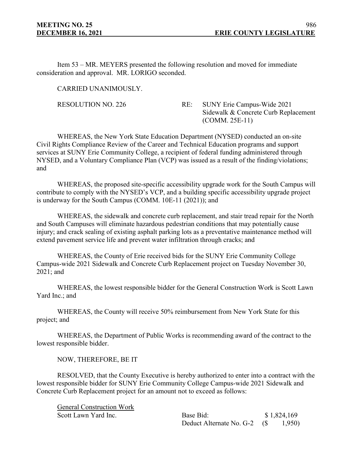Item 53 – MR. MEYERS presented the following resolution and moved for immediate consideration and approval. MR. LORIGO seconded.

CARRIED UNANIMOUSLY.

RESOLUTION NO. 226 RE: SUNY Erie Campus-Wide 2021 Sidewalk & Concrete Curb Replacement (COMM. 25E-11)

WHEREAS, the New York State Education Department (NYSED) conducted an on-site Civil Rights Compliance Review of the Career and Technical Education programs and support services at SUNY Erie Community College, a recipient of federal funding administered through NYSED, and a Voluntary Compliance Plan (VCP) was issued as a result of the finding/violations; and

WHEREAS, the proposed site-specific accessibility upgrade work for the South Campus will contribute to comply with the NYSED's VCP, and a building specific accessibility upgrade project is underway for the South Campus (COMM. 10E-11 (2021)); and

WHEREAS, the sidewalk and concrete curb replacement, and stair tread repair for the North and South Campuses will eliminate hazardous pedestrian conditions that may potentially cause injury; and crack sealing of existing asphalt parking lots as a preventative maintenance method will extend pavement service life and prevent water infiltration through cracks; and

WHEREAS, the County of Erie received bids for the SUNY Erie Community College Campus-wide 2021 Sidewalk and Concrete Curb Replacement project on Tuesday November 30, 2021; and

WHEREAS, the lowest responsible bidder for the General Construction Work is Scott Lawn Yard Inc.; and

WHEREAS, the County will receive 50% reimbursement from New York State for this project; and

WHEREAS, the Department of Public Works is recommending award of the contract to the lowest responsible bidder.

NOW, THEREFORE, BE IT

RESOLVED, that the County Executive is hereby authorized to enter into a contract with the lowest responsible bidder for SUNY Erie Community College Campus-wide 2021 Sidewalk and Concrete Curb Replacement project for an amount not to exceed as follows:

General Construction Work

Scott Lawn Yard Inc. Base Bid: \$ 1,824,169 Deduct Alternate No. G-2 (\$ 1,950)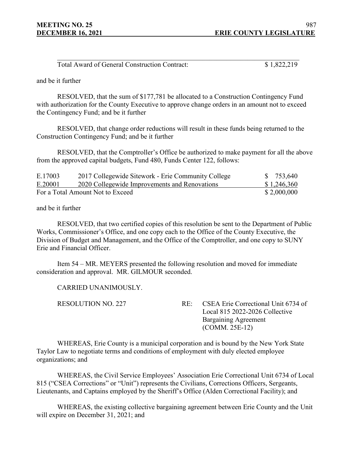| Total Award of General Construction Contract: | \$1,822,219 |
|-----------------------------------------------|-------------|

and be it further

RESOLVED, that the sum of \$177,781 be allocated to a Construction Contingency Fund with authorization for the County Executive to approve change orders in an amount not to exceed the Contingency Fund; and be it further

RESOLVED, that change order reductions will result in these funds being returned to the Construction Contingency Fund; and be it further

RESOLVED, that the Comptroller's Office be authorized to make payment for all the above from the approved capital budgets, Fund 480, Funds Center 122, follows:

| E.17003 | 2017 Collegewide Sitework - Erie Community College | \$ 753,640  |
|---------|----------------------------------------------------|-------------|
| E.20001 | 2020 Collegewide Improvements and Renovations      | \$1,246,360 |
|         | For a Total Amount Not to Exceed                   | \$2,000,000 |

and be it further

RESOLVED, that two certified copies of this resolution be sent to the Department of Public Works, Commissioner's Office, and one copy each to the Office of the County Executive, the Division of Budget and Management, and the Office of the Comptroller, and one copy to SUNY Erie and Financial Officer.

Item 54 – MR. MEYERS presented the following resolution and moved for immediate consideration and approval. MR. GILMOUR seconded.

CARRIED UNANIMOUSLY.

RESOLUTION NO. 227 RE: CSEA Erie Correctional Unit 6734 of Local 815 2022-2026 Collective Bargaining Agreement (COMM. 25E-12)

WHEREAS, Erie County is a municipal corporation and is bound by the New York State Taylor Law to negotiate terms and conditions of employment with duly elected employee organizations; and

WHEREAS, the Civil Service Employees' Association Erie Correctional Unit 6734 of Local 815 ("CSEA Corrections" or "Unit") represents the Civilians, Corrections Officers, Sergeants, Lieutenants, and Captains employed by the Sheriff's Office (Alden Correctional Facility); and

WHEREAS, the existing collective bargaining agreement between Erie County and the Unit will expire on December 31, 2021; and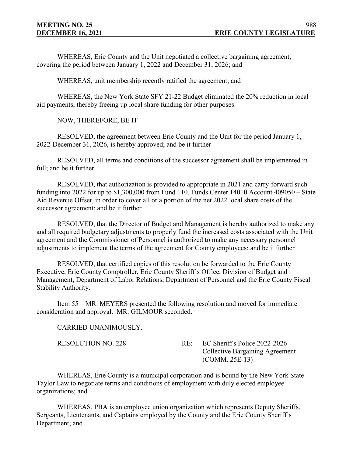WHEREAS, Erie County and the Unit negotiated a collective bargaining agreement, covering the period between January 1, 2022 and December 31, 2026; and

WHEREAS, unit membership recently ratified the agreement; and

WHEREAS, the New York State SFY 21-22 Budget eliminated the 20% reduction in local aid payments, thereby freeing up local share funding for other purposes.

NOW, THEREFORE, BE IT

RESOLVED, the agreement between Erie County and the Unit for the period January 1, 2022-December 31, 2026, is hereby approved; and be it further

RESOLVED, all terms and conditions of the successor agreement shall be implemented in full; and be it further

RESOLVED, that authorization is provided to appropriate in 2021 and carry-forward such funding into 2022 for up to \$1,300,000 from Fund 110, Funds Center 14010 Account 409050 – State Aid Revenue Offset, in order to cover all or a portion of the net 2022 local share costs of the successor agreement; and be it further

RESOLVED, that the Director of Budget and Management is hereby authorized to make any and all required budgetary adjustments to properly fund the increased costs associated with the Unit agreement and the Commissioner of Personnel is authorized to make any necessary personnel adjustments to implement the terms of the agreement for County employees; and be it further

RESOLVED, that certified copies of this resolution be forwarded to the Erie County Executive, Erie County Comptroller, Erie County Sheriff's Office, Division of Budget and Management, Department of Labor Relations, Department of Personnel and the Erie County Fiscal Stability Authority.

Item 55 – MR. MEYERS presented the following resolution and moved for immediate consideration and approval. MR. GILMOUR seconded.

CARRIED UNANIMOUSLY.

RESOLUTION NO. 228 RE: EC Sheriff's Police 2022-2026 Collective Bargaining Agreement (COMM. 25E-13)

WHEREAS, Erie County is a municipal corporation and is bound by the New York State Taylor Law to negotiate terms and conditions of employment with duly elected employee organizations; and

WHEREAS, PBA is an employee union organization which represents Deputy Sheriffs, Sergeants, Lieutenants, and Captains employed by the County and the Erie County Sheriff's Department; and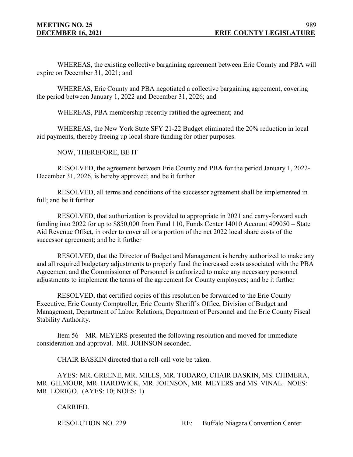WHEREAS, the existing collective bargaining agreement between Erie County and PBA will expire on December 31, 2021; and

WHEREAS, Erie County and PBA negotiated a collective bargaining agreement, covering the period between January 1, 2022 and December 31, 2026; and

WHEREAS, PBA membership recently ratified the agreement; and

WHEREAS, the New York State SFY 21-22 Budget eliminated the 20% reduction in local aid payments, thereby freeing up local share funding for other purposes.

NOW, THEREFORE, BE IT

RESOLVED, the agreement between Erie County and PBA for the period January 1, 2022- December 31, 2026, is hereby approved; and be it further

RESOLVED, all terms and conditions of the successor agreement shall be implemented in full; and be it further

RESOLVED, that authorization is provided to appropriate in 2021 and carry-forward such funding into 2022 for up to \$850,000 from Fund 110, Funds Center 14010 Account 409050 – State Aid Revenue Offset, in order to cover all or a portion of the net 2022 local share costs of the successor agreement; and be it further

RESOLVED, that the Director of Budget and Management is hereby authorized to make any and all required budgetary adjustments to properly fund the increased costs associated with the PBA Agreement and the Commissioner of Personnel is authorized to make any necessary personnel adjustments to implement the terms of the agreement for County employees; and be it further

RESOLVED, that certified copies of this resolution be forwarded to the Erie County Executive, Erie County Comptroller, Erie County Sheriff's Office, Division of Budget and Management, Department of Labor Relations, Department of Personnel and the Erie County Fiscal Stability Authority.

Item 56 – MR. MEYERS presented the following resolution and moved for immediate consideration and approval. MR. JOHNSON seconded.

CHAIR BASKIN directed that a roll-call vote be taken.

AYES: MR. GREENE, MR. MILLS, MR. TODARO, CHAIR BASKIN, MS. CHIMERA, MR. GILMOUR, MR. HARDWICK, MR. JOHNSON, MR. MEYERS and MS. VINAL. NOES: MR. LORIGO. (AYES: 10; NOES: 1)

CARRIED.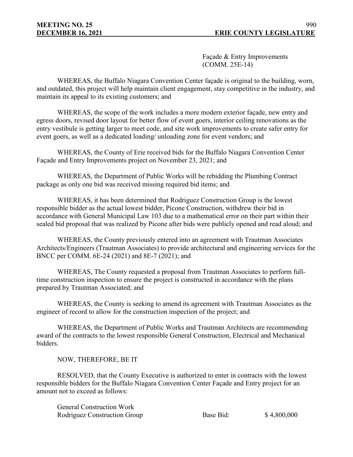Façade & Entry Improvements (COMM. 25E-14)

WHEREAS, the Buffalo Niagara Convention Center façade is original to the building, worn, and outdated, this project will help maintain client engagement, stay competitive in the industry, and maintain its appeal to its existing customers; and

WHEREAS, the scope of the work includes a more modern exterior façade, new entry and egress doors, revised door layout for better flow of event goers, interior ceiling renovations as the entry vestibule is getting larger to meet code, and site work improvements to create safer entry for event goers, as well as a dedicated loading/ unloading zone for event vendors; and

WHEREAS, the County of Erie received bids for the Buffalo Niagara Convention Center Façade and Entry Improvements project on November 23, 2021; and

WHEREAS, the Department of Public Works will be rebidding the Plumbing Contract package as only one bid was received missing required bid items; and

WHEREAS, it has been determined that Rodriguez Construction Group is the lowest responsible bidder as the actual lowest bidder, Picone Construction, withdrew their bid in accordance with General Municipal Law 103 due to a mathematical error on their part within their sealed bid proposal that was realized by Picone after bids were publicly opened and read aloud; and

WHEREAS, the County previously entered into an agreement with Trautman Associates Architects/Engineers (Trautman Associates) to provide architectural and engineering services for the BNCC per COMM. 6E-24 (2021) and 8E-7 (2021); and

WHEREAS, The County requested a proposal from Trautman Associates to perform fulltime construction inspection to ensure the project is constructed in accordance with the plans prepared by Trautman Associated; and

WHEREAS, the County is seeking to amend its agreement with Trautman Associates as the engineer of record to allow for the construction inspection of the project; and

WHEREAS, the Department of Public Works and Trautman Architects are recommending award of the contracts to the lowest responsible General Construction, Electrical and Mechanical bidders.

NOW, THEREFORE, BE IT

RESOLVED, that the County Executive is authorized to enter in contracts with the lowest responsible bidders for the Buffalo Niagara Convention Center Façade and Entry project for an amount not to exceed as follows:

General Construction Work

Rodriguez Construction Group Base Bid: \$4,800,000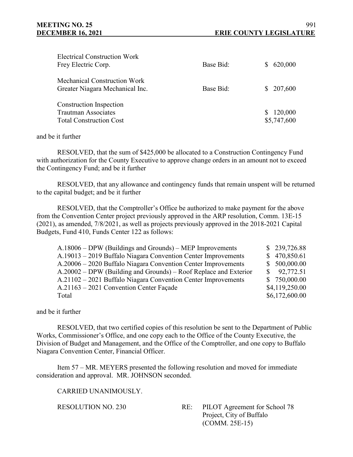| <b>Electrical Construction Work</b><br>Frey Electric Corp.                                     | Base Bid: | S. | 620,000                |
|------------------------------------------------------------------------------------------------|-----------|----|------------------------|
| <b>Mechanical Construction Work</b><br>Greater Niagara Mechanical Inc.                         | Base Bid: |    | \$207,600              |
| <b>Construction Inspection</b><br><b>Trautman Associates</b><br><b>Total Construction Cost</b> |           | S. | 120,000<br>\$5,747,600 |

## and be it further

RESOLVED, that the sum of \$425,000 be allocated to a Construction Contingency Fund with authorization for the County Executive to approve change orders in an amount not to exceed the Contingency Fund; and be it further

RESOLVED, that any allowance and contingency funds that remain unspent will be returned to the capital budget; and be it further

RESOLVED, that the Comptroller's Office be authorized to make payment for the above from the Convention Center project previously approved in the ARP resolution, Comm. 13E-15 (2021), as amended, 7/8/2021, as well as projects previously approved in the 2018-2021 Capital Budgets, Fund 410, Funds Center 122 as follows:

| $A.18006 - DPW$ (Buildings and Grounds) – MEP Improvements       | \$239,726.88     |
|------------------------------------------------------------------|------------------|
| A.19013 – 2019 Buffalo Niagara Convention Center Improvements    | \$470,850.61     |
| A.20006 – 2020 Buffalo Niagara Convention Center Improvements    | \$500,000.00     |
| A.20002 – DPW (Building and Grounds) – Roof Replace and Exterior | $\$\,$ 92,772.51 |
| A.21102 – 2021 Buffalo Niagara Convention Center Improvements    | \$750,000.00     |
| A.21163 – 2021 Convention Center Façade                          | \$4,119,250.00   |
| Total                                                            | \$6,172,600.00   |

and be it further

RESOLVED, that two certified copies of this resolution be sent to the Department of Public Works, Commissioner's Office, and one copy each to the Office of the County Executive, the Division of Budget and Management, and the Office of the Comptroller, and one copy to Buffalo Niagara Convention Center, Financial Officer.

Item 57 – MR. MEYERS presented the following resolution and moved for immediate consideration and approval. MR. JOHNSON seconded.

CARRIED UNANIMOUSLY.

RESOLUTION NO. 230 RE: PILOT Agreement for School 78 Project, City of Buffalo (COMM. 25E-15)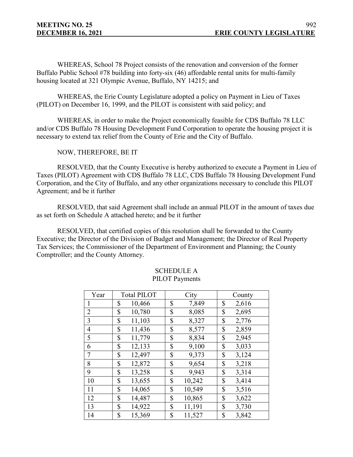WHEREAS, School 78 Project consists of the renovation and conversion of the former Buffalo Public School #78 building into forty-six (46) affordable rental units for multi-family housing located at 321 Olympic Avenue, Buffalo, NY 14215; and

WHEREAS, the Erie County Legislature adopted a policy on Payment in Lieu of Taxes (PILOT) on December 16, 1999, and the PILOT is consistent with said policy; and

WHEREAS, in order to make the Project economically feasible for CDS Buffalo 78 LLC and/or CDS Buffalo 78 Housing Development Fund Corporation to operate the housing project it is necessary to extend tax relief from the County of Erie and the City of Buffalo.

NOW, THEREFORE, BE IT

RESOLVED, that the County Executive is hereby authorized to execute a Payment in Lieu of Taxes (PILOT) Agreement with CDS Buffalo 78 LLC, CDS Buffalo 78 Housing Development Fund Corporation, and the City of Buffalo, and any other organizations necessary to conclude this PILOT Agreement; and be it further

RESOLVED, that said Agreement shall include an annual PILOT in the amount of taxes due as set forth on Schedule A attached hereto; and be it further

RESOLVED, that certified copies of this resolution shall be forwarded to the County Executive; the Director of the Division of Budget and Management; the Director of Real Property Tax Services; the Commissioner of the Department of Environment and Planning; the County Comptroller; and the County Attorney.

| Year           | <b>Total PILOT</b> | City   | County |
|----------------|--------------------|--------|--------|
| 1              | \$                 | \$     | \$     |
|                | 10,466             | 7,849  | 2,616  |
| $\overline{2}$ | 10,780             | \$     | \$     |
|                | \$                 | 8,085  | 2,695  |
| 3              | 11,103             | \$     | \$     |
|                | \$                 | 8,327  | 2,776  |
| $\overline{4}$ | \$                 | \$     | \$     |
|                | 11,436             | 8,577  | 2,859  |
| 5              | \$                 | \$     | \$     |
|                | 11,779             | 8,834  | 2,945  |
| 6              | \$                 | \$     | \$     |
|                | 12,133             | 9,100  | 3,033  |
| 7              | 12,497             | \$     | \$     |
|                | \$                 | 9,373  | 3,124  |
| 8              | \$                 | \$     | \$     |
|                | 12,872             | 9,654  | 3,218  |
| 9              | \$                 | \$     | \$     |
|                | 13,258             | 9,943  | 3,314  |
| 10             | \$                 | \$     | \$     |
|                | 13,655             | 10,242 | 3,414  |
| 11             | \$                 | \$     | \$     |
|                | 14,065             | 10,549 | 3,516  |
| 12             | \$                 | \$     | \$     |
|                | 14,487             | 10,865 | 3,622  |
| 13             | \$                 | \$     | \$     |
|                | 14,922             | 11,191 | 3,730  |
| 14             | \$                 | \$     | \$     |
|                | 15,369             | 11,527 | 3,842  |

## SCHEDULE A PILOT Payments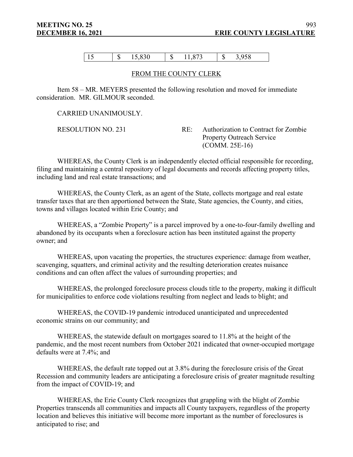15  $\vert \ \$$  15,830  $\vert \ \$$  11,873  $\vert \ \$$  3,958

## FROM THE COUNTY CLERK

Item 58 – MR. MEYERS presented the following resolution and moved for immediate consideration. MR. GILMOUR seconded.

CARRIED UNANIMOUSLY.

RESOLUTION NO. 231 RE: Authorization to Contract for Zombie Property Outreach Service (COMM. 25E-16)

WHEREAS, the County Clerk is an independently elected official responsible for recording, filing and maintaining a central repository of legal documents and records affecting property titles, including land and real estate transactions; and

WHEREAS, the County Clerk, as an agent of the State, collects mortgage and real estate transfer taxes that are then apportioned between the State, State agencies, the County, and cities, towns and villages located within Erie County; and

WHEREAS, a "Zombie Property" is a parcel improved by a one-to-four-family dwelling and abandoned by its occupants when a foreclosure action has been instituted against the property owner; and

WHEREAS, upon vacating the properties, the structures experience: damage from weather, scavenging, squatters, and criminal activity and the resulting deterioration creates nuisance conditions and can often affect the values of surrounding properties; and

WHEREAS, the prolonged foreclosure process clouds title to the property, making it difficult for municipalities to enforce code violations resulting from neglect and leads to blight; and

WHEREAS, the COVID-19 pandemic introduced unanticipated and unprecedented economic strains on our community; and

WHEREAS, the statewide default on mortgages soared to 11.8% at the height of the pandemic, and the most recent numbers from October 2021 indicated that owner-occupied mortgage defaults were at 7.4%; and

WHEREAS, the default rate topped out at 3.8% during the foreclosure crisis of the Great Recession and community leaders are anticipating a foreclosure crisis of greater magnitude resulting from the impact of COVID-19; and

WHEREAS, the Erie County Clerk recognizes that grappling with the blight of Zombie Properties transcends all communities and impacts all County taxpayers, regardless of the property location and believes this initiative will become more important as the number of foreclosures is anticipated to rise; and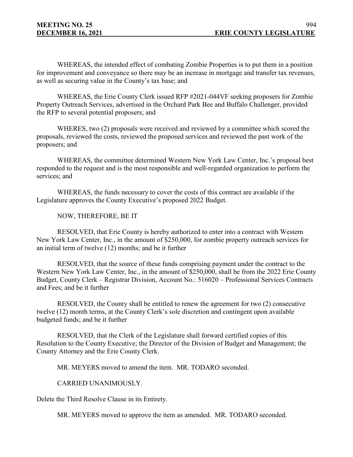WHEREAS, the intended effect of combating Zombie Properties is to put them in a position for improvement and conveyance so there may be an increase in mortgage and transfer tax revenues, as well as securing value in the County's tax base; and

WHEREAS, the Erie County Clerk issued RFP #2021-044VF seeking proposers for Zombie Property Outreach Services, advertised in the Orchard Park Bee and Buffalo Challenger, provided the RFP to several potential proposers; and

WHERES, two (2) proposals were received and reviewed by a committee which scored the proposals, reviewed the costs, reviewed the proposed services and reviewed the past work of the proposers; and

WHEREAS, the committee determined Western New York Law Center, Inc.'s proposal best responded to the request and is the most responsible and well-regarded organization to perform the services; and

WHEREAS, the funds necessary to cover the costs of this contract are available if the Legislature approves the County Executive's proposed 2022 Budget.

NOW, THEREFORE, BE IT

RESOLVED, that Erie County is hereby authorized to enter into a contract with Western New York Law Center, Inc., in the amount of \$250,000, for zombie property outreach services for an initial term of twelve (12) months; and be it further

RESOLVED, that the source of these funds comprising payment under the contract to the Western New York Law Center, Inc., in the amount of \$250,000, shall be from the 2022 Erie County Budget, County Clerk – Registrar Division, Account No.: 516020 – Professional Services Contracts and Fees; and be it further

RESOLVED, the County shall be entitled to renew the agreement for two (2) consecutive twelve (12) month terms, at the County Clerk's sole discretion and contingent upon available budgeted funds; and be it further

RESOLVED, that the Clerk of the Legislature shall forward certified copies of this Resolution to the County Executive; the Director of the Division of Budget and Management; the County Attorney and the Erie County Clerk.

MR. MEYERS moved to amend the item. MR. TODARO seconded.

CARRIED UNANIMOUSLY.

Delete the Third Resolve Clause in its Entirety.

MR. MEYERS moved to approve the item as amended. MR. TODARO seconded.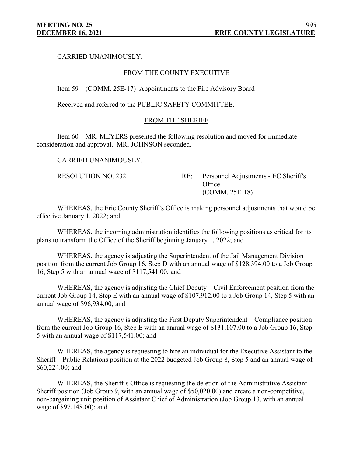CARRIED UNANIMOUSLY.

## FROM THE COUNTY EXECUTIVE

Item 59 – (COMM. 25E-17) Appointments to the Fire Advisory Board

Received and referred to the PUBLIC SAFETY COMMITTEE.

### FROM THE SHERIFF

Item 60 – MR. MEYERS presented the following resolution and moved for immediate consideration and approval. MR. JOHNSON seconded.

CARRIED UNANIMOUSLY.

RESOLUTION NO. 232 RE: Personnel Adjustments - EC Sheriff's **Office** (COMM. 25E-18)

WHEREAS, the Erie County Sheriff's Office is making personnel adjustments that would be effective January 1, 2022; and

WHEREAS, the incoming administration identifies the following positions as critical for its plans to transform the Office of the Sheriff beginning January 1, 2022; and

WHEREAS, the agency is adjusting the Superintendent of the Jail Management Division position from the current Job Group 16, Step D with an annual wage of \$128,394.00 to a Job Group 16, Step 5 with an annual wage of \$117,541.00; and

WHEREAS, the agency is adjusting the Chief Deputy – Civil Enforcement position from the current Job Group 14, Step E with an annual wage of \$107,912.00 to a Job Group 14, Step 5 with an annual wage of \$96,934.00; and

WHEREAS, the agency is adjusting the First Deputy Superintendent – Compliance position from the current Job Group 16, Step E with an annual wage of \$131,107.00 to a Job Group 16, Step 5 with an annual wage of \$117,541.00; and

WHEREAS, the agency is requesting to hire an individual for the Executive Assistant to the Sheriff – Public Relations position at the 2022 budgeted Job Group 8, Step 5 and an annual wage of \$60,224.00; and

WHEREAS, the Sheriff's Office is requesting the deletion of the Administrative Assistant – Sheriff position (Job Group 9, with an annual wage of \$50,020.00) and create a non-competitive, non-bargaining unit position of Assistant Chief of Administration (Job Group 13, with an annual wage of \$97,148.00); and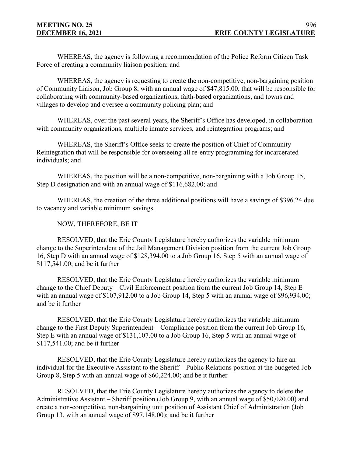WHEREAS, the agency is following a recommendation of the Police Reform Citizen Task Force of creating a community liaison position; and

WHEREAS, the agency is requesting to create the non-competitive, non-bargaining position of Community Liaison, Job Group 8, with an annual wage of \$47,815.00, that will be responsible for collaborating with community-based organizations, faith-based organizations, and towns and villages to develop and oversee a community policing plan; and

WHEREAS, over the past several years, the Sheriff's Office has developed, in collaboration with community organizations, multiple inmate services, and reintegration programs; and

WHEREAS, the Sheriff's Office seeks to create the position of Chief of Community Reintegration that will be responsible for overseeing all re-entry programming for incarcerated individuals; and

WHEREAS, the position will be a non-competitive, non-bargaining with a Job Group 15, Step D designation and with an annual wage of \$116,682.00; and

WHEREAS, the creation of the three additional positions will have a savings of \$396.24 due to vacancy and variable minimum savings.

# NOW, THEREFORE, BE IT

RESOLVED, that the Erie County Legislature hereby authorizes the variable minimum change to the Superintendent of the Jail Management Division position from the current Job Group 16, Step D with an annual wage of \$128,394.00 to a Job Group 16, Step 5 with an annual wage of \$117,541.00; and be it further

RESOLVED, that the Erie County Legislature hereby authorizes the variable minimum change to the Chief Deputy – Civil Enforcement position from the current Job Group 14, Step E with an annual wage of \$107,912.00 to a Job Group 14, Step 5 with an annual wage of \$96,934.00; and be it further

RESOLVED, that the Erie County Legislature hereby authorizes the variable minimum change to the First Deputy Superintendent – Compliance position from the current Job Group 16, Step E with an annual wage of \$131,107.00 to a Job Group 16, Step 5 with an annual wage of \$117,541.00; and be it further

RESOLVED, that the Erie County Legislature hereby authorizes the agency to hire an individual for the Executive Assistant to the Sheriff – Public Relations position at the budgeted Job Group 8, Step 5 with an annual wage of \$60,224.00; and be it further

RESOLVED, that the Erie County Legislature hereby authorizes the agency to delete the Administrative Assistant – Sheriff position (Job Group 9, with an annual wage of \$50,020.00) and create a non-competitive, non-bargaining unit position of Assistant Chief of Administration (Job Group 13, with an annual wage of \$97,148.00); and be it further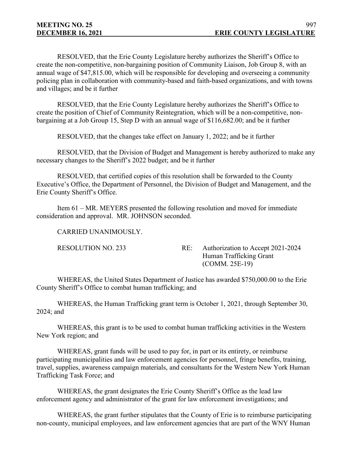RESOLVED, that the Erie County Legislature hereby authorizes the Sheriff's Office to create the non-competitive, non-bargaining position of Community Liaison, Job Group 8, with an annual wage of \$47,815.00, which will be responsible for developing and overseeing a community policing plan in collaboration with community-based and faith-based organizations, and with towns and villages; and be it further

RESOLVED, that the Erie County Legislature hereby authorizes the Sheriff's Office to create the position of Chief of Community Reintegration, which will be a non-competitive, nonbargaining at a Job Group 15, Step D with an annual wage of \$116,682.00; and be it further

RESOLVED, that the changes take effect on January 1, 2022; and be it further

RESOLVED, that the Division of Budget and Management is hereby authorized to make any necessary changes to the Sheriff's 2022 budget; and be it further

RESOLVED, that certified copies of this resolution shall be forwarded to the County Executive's Office, the Department of Personnel, the Division of Budget and Management, and the Erie County Sheriff's Office.

Item 61 – MR. MEYERS presented the following resolution and moved for immediate consideration and approval. MR. JOHNSON seconded.

CARRIED UNANIMOUSLY.

RESOLUTION NO. 233 RE: Authorization to Accept 2021-2024 Human Trafficking Grant (COMM. 25E-19)

WHEREAS, the United States Department of Justice has awarded \$750,000.00 to the Erie County Sheriff's Office to combat human trafficking; and

WHEREAS, the Human Trafficking grant term is October 1, 2021, through September 30, 2024; and

WHEREAS, this grant is to be used to combat human trafficking activities in the Western New York region; and

WHEREAS, grant funds will be used to pay for, in part or its entirety, or reimburse participating municipalities and law enforcement agencies for personnel, fringe benefits, training, travel, supplies, awareness campaign materials, and consultants for the Western New York Human Trafficking Task Force; and

WHEREAS, the grant designates the Erie County Sheriff's Office as the lead law enforcement agency and administrator of the grant for law enforcement investigations; and

WHEREAS, the grant further stipulates that the County of Erie is to reimburse participating non-county, municipal employees, and law enforcement agencies that are part of the WNY Human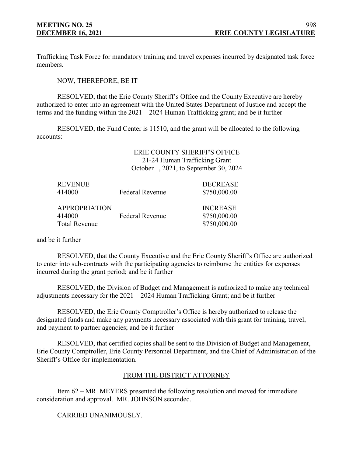Trafficking Task Force for mandatory training and travel expenses incurred by designated task force members.

NOW, THEREFORE, BE IT

RESOLVED, that the Erie County Sheriff's Office and the County Executive are hereby authorized to enter into an agreement with the United States Department of Justice and accept the terms and the funding within the 2021 – 2024 Human Trafficking grant; and be it further

RESOLVED, the Fund Center is 11510, and the grant will be allocated to the following accounts:

# ERIE COUNTY SHERIFF'S OFFICE 21-24 Human Trafficking Grant October 1, 2021, to September 30, 2024

| <b>REVENUE</b><br>414000                               | <b>Federal Revenue</b> | <b>DECREASE</b><br>\$750,000.00                 |
|--------------------------------------------------------|------------------------|-------------------------------------------------|
| <b>APPROPRIATION</b><br>414000<br><b>Total Revenue</b> | <b>Federal Revenue</b> | <b>INCREASE</b><br>\$750,000.00<br>\$750,000.00 |

and be it further

RESOLVED, that the County Executive and the Erie County Sheriff's Office are authorized to enter into sub-contracts with the participating agencies to reimburse the entities for expenses incurred during the grant period; and be it further

RESOLVED, the Division of Budget and Management is authorized to make any technical adjustments necessary for the 2021 – 2024 Human Trafficking Grant; and be it further

RESOLVED, the Erie County Comptroller's Office is hereby authorized to release the designated funds and make any payments necessary associated with this grant for training, travel, and payment to partner agencies; and be it further

RESOLVED, that certified copies shall be sent to the Division of Budget and Management, Erie County Comptroller, Erie County Personnel Department, and the Chief of Administration of the Sheriff's Office for implementation.

## FROM THE DISTRICT ATTORNEY

Item 62 – MR. MEYERS presented the following resolution and moved for immediate consideration and approval. MR. JOHNSON seconded.

CARRIED UNANIMOUSLY.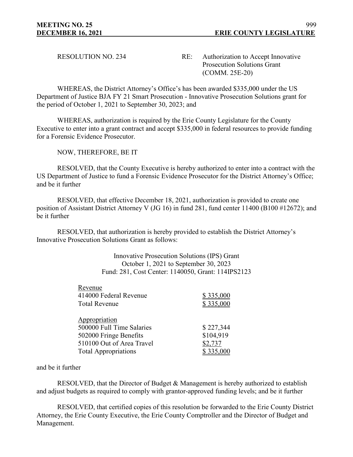RESOLUTION NO. 234 RE: Authorization to Accept Innovative Prosecution Solutions Grant (COMM. 25E-20)

WHEREAS, the District Attorney's Office's has been awarded \$335,000 under the US Department of Justice BJA FY 21 Smart Prosecution - Innovative Prosecution Solutions grant for the period of October 1, 2021 to September 30, 2023; and

WHEREAS, authorization is required by the Erie County Legislature for the County Executive to enter into a grant contract and accept \$335,000 in federal resources to provide funding for a Forensic Evidence Prosecutor.

NOW, THEREFORE, BE IT

RESOLVED, that the County Executive is hereby authorized to enter into a contract with the US Department of Justice to fund a Forensic Evidence Prosecutor for the District Attorney's Office; and be it further

RESOLVED, that effective December 18, 2021, authorization is provided to create one position of Assistant District Attorney V (JG 16) in fund 281, fund center 11400 (B100 #12672); and be it further

RESOLVED, that authorization is hereby provided to establish the District Attorney's Innovative Prosecution Solutions Grant as follows:

> Innovative Prosecution Solutions (IPS) Grant October 1, 2021 to September 30, 2023 Fund: 281, Cost Center: 1140050, Grant: 114IPS2123

| Revenue                     |           |
|-----------------------------|-----------|
| 414000 Federal Revenue      | \$335,000 |
| <b>Total Revenue</b>        | \$335,000 |
|                             |           |
| Appropriation               |           |
| 500000 Full Time Salaries   | \$227,344 |
| 502000 Fringe Benefits      | \$104,919 |
| 510100 Out of Area Travel   | \$2,737   |
| <b>Total Appropriations</b> | \$335,000 |
|                             |           |

and be it further

RESOLVED, that the Director of Budget & Management is hereby authorized to establish and adjust budgets as required to comply with grantor-approved funding levels; and be it further

RESOLVED, that certified copies of this resolution be forwarded to the Erie County District Attorney, the Erie County Executive, the Erie County Comptroller and the Director of Budget and Management.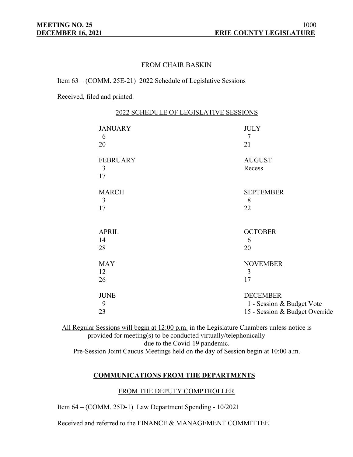# FROM CHAIR BASKIN

Item 63 – (COMM. 25E-21) 2022 Schedule of Legislative Sessions

Received, filed and printed.

| 2022 SCHEDULE OF LEGISLATIVE SESSIONS |                                                                                |  |
|---------------------------------------|--------------------------------------------------------------------------------|--|
| <b>JANUARY</b><br>6<br>20             | <b>JULY</b><br>7<br>21                                                         |  |
| <b>FEBRUARY</b><br>3<br>17            | <b>AUGUST</b><br>Recess                                                        |  |
| <b>MARCH</b><br>3<br>17               | <b>SEPTEMBER</b><br>8<br>22                                                    |  |
| <b>APRIL</b><br>14<br>28              | <b>OCTOBER</b><br>6<br>20                                                      |  |
| <b>MAY</b><br>12<br>26                | <b>NOVEMBER</b><br>3<br>17                                                     |  |
| <b>JUNE</b><br>9<br>23                | <b>DECEMBER</b><br>1 - Session & Budget Vote<br>15 - Session & Budget Override |  |

All Regular Sessions will begin at 12:00 p.m. in the Legislature Chambers unless notice is provided for meeting(s) to be conducted virtually/telephonically due to the Covid-19 pandemic. Pre-Session Joint Caucus Meetings held on the day of Session begin at 10:00 a.m.

## **COMMUNICATIONS FROM THE DEPARTMENTS**

## FROM THE DEPUTY COMPTROLLER

Item 64 – (COMM. 25D-1) Law Department Spending - 10/2021

Received and referred to the FINANCE & MANAGEMENT COMMITTEE.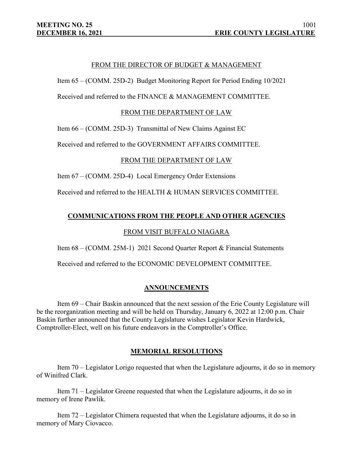## FROM THE DIRECTOR OF BUDGET & MANAGEMENT

Item 65 – (COMM. 25D-2) Budget Monitoring Report for Period Ending 10/2021

Received and referred to the FINANCE & MANAGEMENT COMMITTEE.

### FROM THE DEPARTMENT OF LAW

Item 66 – (COMM. 25D-3) Transmittal of New Claims Against EC

Received and referred to the GOVERNMENT AFFAIRS COMMITTEE.

#### FROM THE DEPARTMENT OF LAW

Item 67 – (COMM. 25D-4) Local Emergency Order Extensions

Received and referred to the HEALTH & HUMAN SERVICES COMMITTEE.

### **COMMUNICATIONS FROM THE PEOPLE AND OTHER AGENCIES**

## FROM VISIT BUFFALO NIAGARA

Item 68 – (COMM. 25M-1) 2021 Second Quarter Report & Financial Statements

Received and referred to the ECONOMIC DEVELOPMENT COMMITTEE.

#### **ANNOUNCEMENTS**

Item 69 – Chair Baskin announced that the next session of the Erie County Legislature will be the reorganization meeting and will be held on Thursday, January 6, 2022 at 12:00 p.m. Chair Baskin further announced that the County Legislature wishes Legislator Kevin Hardwick, Comptroller-Elect, well on his future endeavors in the Comptroller's Office.

#### **MEMORIAL RESOLUTIONS**

Item 70 – Legislator Lorigo requested that when the Legislature adjourns, it do so in memory of Winifred Clark.

Item 71 – Legislator Greene requested that when the Legislature adjourns, it do so in memory of Irene Pawlik.

Item 72 – Legislator Chimera requested that when the Legislature adjourns, it do so in memory of Mary Ciovacco.